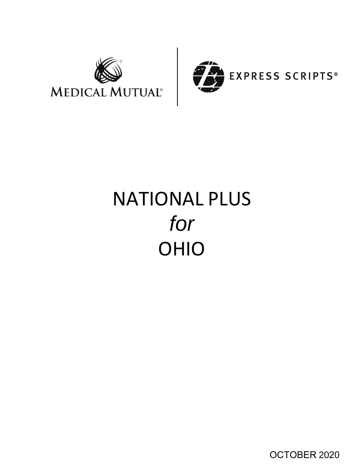



# NATIONAL PLUS *for* OHIO

OCTOBER 2020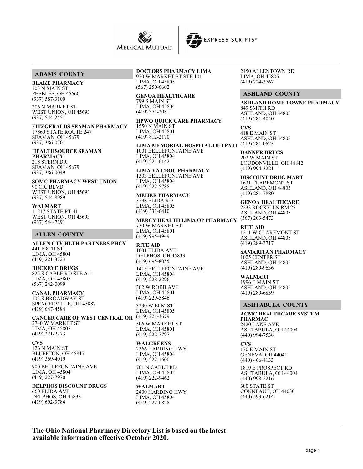



## **ADAMS COUNTY**

**BLAKE PHARMACY**

103 N MAIN ST PEEBLES, OH 45660 (937) 587-3100

206 N MARKET ST WEST UNION, OH 45693 (937) 544-2451

**FITZGERALDS SEAMAN PHARMACY** 17860 STATE ROUTE 247 SEAMAN, OH 45679 (937) 386-0701

**HEALTHSOURCE SEAMAN PHARMACY** 218 STERN DR SEAMAN, OH 45679 (937) 386-0049

**SOMC PHARMACY WEST UNION** 90 CIC BLVD WEST UNION, OH 45693 (937) 544-8989

**WALMART** 11217 STATE RT 41 WEST UNION, OH 45693 (937) 544-7291

#### **ALLEN COUNTY**

**ALLEN CTY HLTH PARTNERS PHCY** 441 E 8TH ST LIMA, OH 45804 (419) 221-3723

**BUCKEYE DRUGS** 825 S CABLE RD STE A-1 LIMA, OH 45805 (567) 242-0099

**CANAL PHARMACY** 102 S BROADWAY ST SPENCERVILLE, OH 45887 (419) 647-4584

**CANCER CARE OF WEST CENTRAL OH** (419) 221-3679 2740 W MARKET ST LIMA, OH 45805 (419) 221-2273

**CVS** 126 N MAIN ST BLUFFTON, OH 45817 (419) 369-4019 900 BELLEFONTAINE AVE LIMA, OH 45804  $(419)$  227-7970

**DELPHOS DISCOUNT DRUGS** 660 ELIDA AVE

DELPHOS, OH 45833 (419) 692-3784

# **DOCTORS PHARMACY LIMA**

920 W MARKET ST STE 101 LIMA, OH 45805 (567) 250-6602

**GENOA HEALTHCARE** 799 S MAIN ST LIMA, OH 45804 (419) 371-2081

**HPWO QUICK CARE PHARMACY** 1550 N MAIN ST LIMA, OH 45801 (419) 812-2170

**LIMA MEMORIAL HOSPITAL OUTPATI** (419) 281-0525 1001 BELLEFONTAINE AVE LIMA, OH 45804 (419) 221-6142

**LIMA VA CBOC PHARMACY** 1303 BELLEFONTAINE AVE LIMA, OH 45804 (419) 222-5788

**MEIJER PHARMACY** 3298 ELIDA RD LIMA, OH 45805 (419) 331-6410

**MERCY HEALTH LIMA OP PHARMACY** (567) 203-5473 730 W MARKET ST LIMA, OH 45801 (419) 995-4949

**RITE AID** 1001 ELIDA AVE DELPHOS, OH 45833 (419) 695-8055 1415 BELLEFONTAINE AVE

LIMA, OH 45804 (419) 228-2296

302 W ROBB AVE LIMA, OH 45801 (419) 229-5846 3230 W ELM ST LIMA, OH 45805

506 W MARKET ST LIMA, OH 45801 (419) 222-7797

**WALGREENS** 2366 HARDING HWY LIMA, OH 45804 (419) 222-1600

701 N CABLE RD LIMA, OH 45805 (419) 222-9462

**WALMART** 2400 HARDING HWY LIMA, OH 45804 (419) 222-6828

2450 ALLENTOWN RD LIMA, OH 45805 (419) 224-3767

## **ASHLAND COUNTY**

**ASHLAND HOME TOWNE PHARMACY** 849 SMITH RD ASHLAND, OH 44805 (419) 281-4040

**CVS** 418 E MAIN ST ASHLAND, OH 44805

**DANNER DRUGS** 202 W MAIN ST LOUDONVILLE, OH 44842 (419) 994-3221

**DISCOUNT DRUG MART** 1631 CLAREMONT ST ASHLAND, OH 44805 (419) 281-7880

**GENOA HEALTHCARE** 2233 ROCKY LN RM 27 ASHLAND, OH 44805

**RITE AID** 1211 W CLAREMONT ST ASHLAND, OH 44805 (419) 289-3717

**SAMARITAN PHARMACY** 1025 CENTER ST ASHLAND, OH 44805 (419) 289-9636

**WALMART** 1996 E MAIN ST ASHLAND, OH 44805 (419) 289-6859

#### **ASHTABULA COUNTY**

**ACMC HEALTHCARE SYSTEM PHARMAC** 2420 LAKE AVE ASHTABULA, OH 44004 (440) 994-7538

**CVS** 170 E MAIN ST GENEVA, OH 44041 (440) 466-4133

1819 E PROSPECT RD ASHTABULA, OH 44004 (440) 998-2216

380 STATE ST CONNEAUT, OH 44030 (440) 593-6214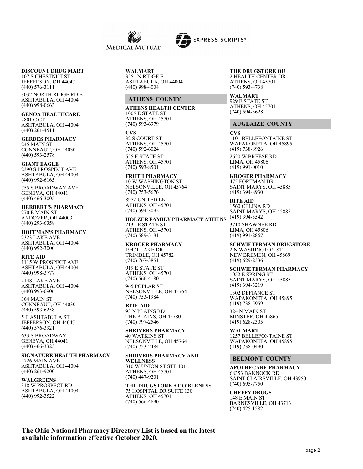

#### **DISCOUNT DRUG MART** 107 S CHESTNUT ST

JEFFERSON, OH 44047 (440) 576-3111

3032 NORTH RIDGE RD E ASHTABULA, OH 44004 (440) 998-0663

**GENOA HEALTHCARE** 2801 C CT ASHTABULA, OH 44004 (440) 261-4511

**GERDES PHARMACY** 245 MAIN ST CONNEAUT, OH 44030 (440) 593-2578

**GIANT EAGLE** 2390 S PROSPECT AVE ASHTABULA, OH 44004 (440) 992-6165

755 S BROADWAY AVE GENEVA, OH 44041 (440) 466-3005

**HERBERT'S PHARMACY** 270 E MAIN ST ANDOVER, OH 44003 (440) 293-6358

**HOFFMAN'S PHARMACY** 2323 LAKE AVE ASHTABULA, OH 44004 (440) 992-3000

**RITE AID** 1115 W PROSPECT AVE ASHTABULA, OH 44004 (440) 998-3777

2148 LAKE AVE ASHTABULA, OH 44004 (440) 993-0906

364 MAIN ST CONNEAUT, OH 44030 (440) 593-6258

5 E ASHTABULA ST JEFFERSON, OH 44047 (440) 576-3921

633 S BROADWAY GENEVA, OH 44041 (440) 466-3323

# **SIGNATURE HEALTH PHARMACY**

4726 MAIN AVE ASHTABULA, OH 44004 (440) 261-9200

**WALGREENS** 318 W PROSPECT RD ASHTABULA, OH 44004 (440) 992-3522

**WALMART** 3551 N RIDGE E

ASHTABULA, OH 44004 (440) 998-4004

## **ATHENS COUNTY**

**ATHENS HEALTH CENTER** 1005 E STATE ST ATHENS, OH 45701 (740) 593-6979

**CVS** 32 S COURT ST ATHENS, OH 45701 (740) 592-6024

555 E STATE ST ATHENS, OH 45701 (740) 593-8501

**FRUTH PHARMACY** 10 W WASHINGTON ST NELSONVILLE, OH 45764 (740) 753-5676 8972 UNITED LN

ATHENS, OH 45701 (740) 594-3092

**HOLZER FAMILY PHARMACY ATHENS** 2131 E STATE ST ATHENS, OH 45701 (740) 589-3181

**KROGER PHARMACY**

19471 LAKE DR TRIMBLE, OH 45782 (740) 767-3851 919 E STATE ST ATHENS, OH 45701

(740) 566-4180 965 POPLAR ST NELSONVILLE, OH 45764 (740) 753-1984

## **RITE AID**

93 N PLAINS RD THE PLAINS, OH 45780 (740) 797-2546

**SHRIVERS PHARMACY** 40 WATKINS ST NELSONVILLE, OH 45764 (740) 753-2484

**SHRIVERS PHARMACY AND WELLNESS** 310 W UNION ST STE 101 ATHENS, OH 45701

(740) 447-9201

**THE DRUGSTORE AT O'BLENESS** 75 HOSPITAL DR SUITE 130 ATHENS, OH 45701 (740) 566-4690

#### **THE DRUGSTORE OU** 2 HEALTH CENTER DR ATHENS, OH 45701 (740) 593-4738

**WALMART** 929 E STATE ST ATHENS, OH 45701 (740) 594-3628

## **AUGLAIZE COUNTY**

**CVS** 1101 BELLEFONTAINE ST WAPAKONETA, OH 45895 (419) 738-8926

2620 W BREESE RD LIMA, OH 45806 (419) 991-0010

**KROGER PHARMACY** 475 FORTMAN DR SAINT MARYS, OH 45885 (419) 394-8930

**RITE AID** 1560 CELINA RD SAINT MARYS, OH 45885 (419) 394-3542

3710 SHAWNEE RD LIMA, OH 45806 (419) 991-2867

**SCHWIETERMAN DRUGSTORE** 2 N WASHINGTON ST

NEW BREMEN, OH 45869 (419) 629-2336

## **SCHWIETERMAN PHARMACY**

1052 E SPRING ST SAINT MARYS, OH 45885 (419) 394-3219

1302 DEFIANCE ST WAPAKONETA, OH 45895 (419) 738-5959

324 N MAIN ST MINSTER, OH 45865 (419) 628-2305

**WALMART** 1257 BELLEFONTAINE ST WAPAKONETA, OH 45895 (419) 738-0490

## **BELMONT COUNTY**

**APOTHECARE PHARMACY** 68353 BANNOCK RD SAINT CLAIRSVILLE, OH 43950 (740) 695-7750

**CHEFFY DRUGS** 148 E MAIN ST BARNESVILLE, OH 43713 (740) 425-1582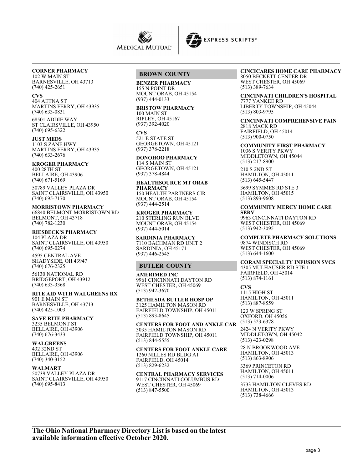



## **CORNER PHARMACY**

102 W MAIN ST BARNESVILLE, OH 43713 (740) 425-2651

#### **CVS**

404 AETNA ST MARTINS FERRY, OH 43935 (740) 633-0831

68501 ADDIE WAY ST CLAIRSVILLE, OH 43950 (740) 695-6322

**JUST MEDS** 1103 S ZANE HWY MARTINS FERRY, OH 43935 (740) 633-2676

#### **KROGER PHARMACY**

400 28TH ST BELLAIRE, OH 43906  $(740)$  671-5169

50789 VALLEY PLAZA DR SAINT CLAIRSVILLE, OH 43950 (740) 695-7170

**MORRISTOWN PHARMACY** 66840 BELMONT MORRISTOWN RD BELMONT, OH 43718 (740) 782-1230

#### **RIESBECK'S PHARMACY** 104 PLAZA DR

SAINT CLAIRSVILLE, OH 43950 (740) 695-0274

4595 CENTRAL AVE SHADYSIDE, OH 43947 (740) 676-2325

56130 NATIONAL RD BRIDGEPORT, OH 43912 (740) 633-3368

#### **RITE AID WITH WALGREENS RX** 901 E MAIN ST

BARNESVILLE, OH 43713 (740) 425-1003

**SAVE RITE PHARMACY** 3235 BELMONT ST BELLAIRE, OH 43906

## (740) 676-3433 **WALGREENS**

432 32ND ST BELLAIRE, OH 43906 (740) 340-3152

#### **WALMART**

50739 VALLEY PLAZA DR SAINT CLAIRSVILLE, OH 43950 (740) 695-8413

## **BROWN COUNTY**

**BENZER PHARMACY**

155 N POINT DR MOUNT ORAB, OH 45154 (937) 444-0133

#### **BRISTOW PHARMACY** 100 MAIN ST RIPLEY, OH 45167

(937) 392-4020

**CVS** 521 E STATE ST GEORGETOWN, OH 45121 (937) 378-2218

#### **DONOHOO PHARMACY** 114 S MAIN ST

GEORGETOWN, OH 45121 (937) 378-4844

**HEALTHSOURCE MT ORAB PHARMACY** 150 HEALTH PARTNERS CIR MOUNT ORAB, OH 45154 (937) 444-2514

**KROGER PHARMACY** 210 STERLING RUN BLVD MOUNT ORAB, OH 45154 (937) 444-5014

**SARDINIA PHARMACY** 7110 BACHMAN RD UNIT 2 SARDINIA, OH 45171 (937) 446-2545

## **BUTLER COUNTY**

**AMERIMED INC** 9961 CINCINNATI DAYTON RD WEST CHESTER, OH 45069 (513) 942-3670

**BETHESDA BUTLER HOSP OP** 3125 HAMILTON MASON RD FAIRFIELD TOWNSHIP, OH 45011 (513) 893-8645

**CENTERS FOR FOOT AND ANKLE CAR** 3035 HAMILTON MASON RD FAIRFIELD TOWNSHIP, OH 45011 (513) 844-5555

**CENTERS FOR FOOT ANKLE CARE** 1260 NILLES RD BLDG A1 FAIRFIELD, OH 45014 (513) 829-6232

**CENTRAL PHARMACY SERVICES** 9117 CINCINNATI COLUMBUS RD WEST CHESTER, OH 45069 (513) 847-5500

#### **CINCICARES HOME CARE PHARMACY** 8050 BECKETT CENTER DR

WEST CHESTER, OH 45069 (513) 389-7634

**CINCINNATI CHILDREN'S HOSPITAL** 7777 YANKEE RD LIBERTY TOWNSHIP, OH 45044 (513) 803-9795

**CINCINNATI COMPREHENSIVE PAIN** 2818 MACK RD FAIRFIELD, OH 45014 (513) 900-0750

**COMMUNITY FIRST PHARMACY** 1036 S VERITY PKWY MIDDLETOWN, OH 45044 (513) 217-8900

210 S 2ND ST HAMILTON, OH 45011 (513) 645-5447

3699 SYMMES RD STE 3 HAMILTON, OH 45015 (513) 893-9608

#### **COMMUNITY MERCY HOME CARE SERV**

9963 CINCINNATI DAYTON RD WEST CHESTER, OH 45069 (513) 942-3095

**COMPLETE PHARMACY SOLUTIONS** 9874 WINDISCH RD WEST CHESTER, OH 45069 (513) 644-1600

#### **CORAM SPECIALTY INFUSION SVCS** 4305 MULHAUSER RD STE 1 FAIRFIELD, OH 45014 (513) 874-1161

**CVS** 1115 HIGH ST HAMILTON, OH 45011 (513) 887-8559

123 W SPRING ST OXFORD, OH 45056 (513) 523-6378

2424 N VERITY PKWY MIDDLETOWN, OH 45042 (513) 423-0298

28 N BROOKWOOD AVE HAMILTON, OH 45013 (513) 863-8906

3369 PRINCETON RD HAMILTON, OH 45011 (513) 714-0006

3733 HAMILTON CLEVES RD HAMILTON, OH 45013 (513) 738-4666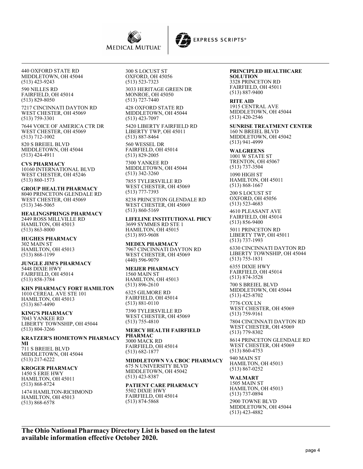



440 OXFORD STATE RD MIDDLETOWN, OH 45044 (513) 423-9243

590 NILLES RD FAIRFIELD, OH 45014 (513) 829-8050

7217 CINCINNATI DAYTON RD WEST CHESTER, OH 45069 (513) 759-3301

7644 VOICE OF AMERICA CTR DR WEST CHESTER, OH 45069 (513) 712-1002

820 S BREIEL BLVD MIDDLETOWN, OH 45044 (513) 424-4911

**CVS PHARMACY** 10160 INTERNATIONAL BLVD WEST CHESTER, OH 45246 (513) 860-1573

**GROUP HEALTH PHARMACY** 8040 PRINCETON GLENDALE RD WEST CHESTER, OH 45069 (513) 346-5065

**HEALINGSPRINGS PHARMACY** 2449 ROSS MILLVILLE RD HAMILTON, OH 45013 (513) 863-8000

**HUGHES PHARMACY** 302 MAIN ST HAMILTON, OH 45013 (513) 868-1199

**JUNGLE JIM'S PHARMACY** 5448 DIXIE HWY FAIRFIELD, OH 45014 (513) 858-3784

**KHN PHARMACY FORT HAMILTON** 1010 CEREAL AVE STE 101 HAMILTON, OH 45013 (513) 867-4490

**KING'S PHARMACY** 7043 YANKEE RD LIBERTY TOWNSHIP, OH 45044 (513) 804-3266

**KRATZER'S HOMETOWN PHARMACY MI**

711 S BREIEL BLVD MIDDLETOWN, OH 45044 (513) 217-6222

**KROGER PHARMACY** 1450 S ERIE HWY HAMILTON, OH 45011 (513) 868-8724

1474 HAMILTON-RICHMOND HAMILTON, OH 45013 (513) 868-6578

300 S LOCUST ST OXFORD, OH 45056 (513) 523-7323

3033 HERITAGE GREEN DR MONROE, OH 45050 (513) 727-7440

428 OXFORD STATE RD MIDDLETOWN, OH 45044 (513) 423-7097

5420 LIBERTY FAIRFIELD RD LIBERTY TWP, OH 45011 (513) 887-8464 560 WESSEL DR

FAIRFIELD, OH 45014 (513) 829-2005

7300 YANKEE RD MIDDLETOWN, OH 45044 (513) 342-3260

7855 TYLERSVILLE RD WEST CHESTER, OH 45069 (513) 777-7393

8238 PRINCETON GLENDALE RD WEST CHESTER, OH 45069 (513) 860-5169

**LIFELINE INSTITUTIONAL PHCY** 3699 SYMMES RD STE 1 HAMILTON, OH 45015 (513) 893-9608

**MEDEX PHARMACY** 7967 CINCINNATI DAYTON RD WEST CHESTER, OH 45069 (440) 596-9079

**MEIJER PHARMACY** 1560 MAIN ST HAMILTON, OH 45013 (513) 896-2610

6325 GILMORE RD FAIRFIELD, OH 45014 (513) 881-0110

7390 TYLERSVILLE RD WEST CHESTER, OH 45069 (513) 755-4810

**MERCY HEALTH FAIRFIELD PHARMAC** 3000 MACK RD FAIRFIELD, OH 45014 (513) 682-1877

**MIDDLETOWN VA CBOC PHARMACY** 675 N UNIVERSITY BLVD MIDDLETOWN, OH 45042 (513) 423-8387

**PATIENT CARE PHARMACY** 5502 DIXIE HWY FAIRFIELD, OH 45014 (513) 874-5868

# **PRINCIPLED HEALTHCARE**

**SOLUTION** 3328 PRINCETON RD FAIRFIELD, OH 45011 (513) 887-9400

**RITE AID** 1915 CENTRAL AVE MIDDLETOWN, OH 45044 (513) 420-2546

**SUNRISE TREATMENT CENTER** 160 N BREIEL BLVD MIDDLETOWN, OH 45042 (513) 941-4999

**WALGREENS** 1001 W STATE ST TRENTON, OH 45067 (513) 737-3504

1090 HIGH ST HAMILTON, OH 45011 (513) 868-1667

200 S LOCUST ST OXFORD, OH 45056 (513) 523-4683

4610 PLEASANT AVE FAIRFIELD, OH 45014 (513) 856-9400

5011 PRINCETON RD LIBERTY TWP, OH 45011 (513) 737-1993

6330 CINCINNATI DAYTON RD LIBERTY TOWNSHIP, OH 45044 (513) 755-1831 6355 DIXIE HWY

FAIRFIELD, OH 45014 (513) 874-3528

700 S BREIEL BLVD MIDDLETOWN, OH 45044 (513) 425-8702

7776 COX LN WEST CHESTER, OH 45069 (513) 759-9161

7804 CINCINNATI DAYTON RD WEST CHESTER, OH 45069 (513) 779-8302

8614 PRINCETON GLENDALE RD WEST CHESTER, OH 45069 (513) 860-4753

940 MAIN ST HAMILTON, OH 45013 (513) 867-0252

**WALMART** 1505 MAIN ST HAMILTON, OH 45013 (513) 737-0894

2900 TOWNE BLVD MIDDLETOWN, OH 45044 (513) 423-4882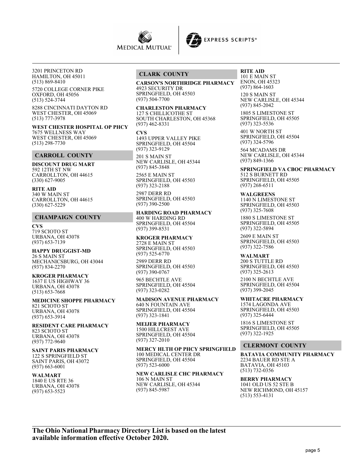



3201 PRINCETON RD HAMILTON, OH 45011 (513) 869-8410

5720 COLLEGE CORNER PIKE OXFORD, OH 45056 (513) 524-3744

8288 CINCINNATI DAYTON RD WEST CHESTER, OH 45069 (513) 777-3978

**WEST CHESTER HOSPITAL OP PHCY** 7675 WELLNESS WAY WEST CHESTER, OH 45069 (513) 298-7730

# **CARROLL COUNTY**

**DISCOUNT DRUG MART** 592 12TH ST NW CARROLLTON, OH 44615 (330) 627-9005

**RITE AID** 340 W MAIN ST CARROLLTON, OH 44615 (330) 627-5229

#### **CHAMPAIGN COUNTY**

**CVS** 719 SCIOTO ST URBANA, OH 43078 (937) 653-7139

#### **HAPPY DRUGGIST-MD** 26 S MAIN ST

MECHANICSBURG, OH 43044 (937) 834-2270

#### **KROGER PHARMACY**

1637 E US HIGHWAY 36 URBANA, OH 43078 (513) 653-7668

**MEDICINE SHOPPE PHARMACY** 821 SCIOTO ST URBANA, OH 43078 (937) 653-3914

**RESIDENT CARE PHARMACY** 823 SCIOTO ST

URBANA, OH 43078 (937) 772-9640

## **SAINT PARIS PHARMACY**

122 S SPRINGFIELD ST SAINT PARIS, OH 43072 (937) 663-6001

**WALMART** 1840 E US RTE 36

URBANA, OH 43078 (937) 653-5523

#### **CLARK COUNTY**

**CARSON'S NORTHRIDGE PHARMACY** 4923 SECURITY DR SPRINGFIELD, OH 45503 (937) 504-7700

# **CHARLESTON PHARMACY**

127 S CHILLICOTHE ST SOUTH CHARLESTON, OH 45368 (937) 462-8331

**CVS** 1493 UPPER VALLEY PIKE SPRINGFIELD, OH 45504 (937) 323-9129

201 S MAIN ST NEW CARLISLE, OH 45344 (937) 845-3848

2565 E MAIN ST SPRINGFIELD, OH 45503 (937) 323-2188 2987 DERR RD

SPRINGFIELD, OH 45503 (937) 390-2500

**HARDING ROAD PHARMACY** 400 W HARDING RD SPRINGFIELD, OH 45504 (937) 399-8531

## **KROGER PHARMACY**

2728 E MAIN ST SPRINGFIELD, OH 45503 (937) 525-6770

2989 DERR RD SPRINGFIELD, OH 45503 (937) 390-0767

965 BECHTLE AVE SPRINGFIELD, OH 45504 (937) 323-0282

**MADISON AVENUE PHARMACY** 640 N FOUNTAIN AVE SPRINGFIELD, OH 45504 (937) 323-1841

#### **MEIJER PHARMACY** 1500 HILLCREST AVE

SPRINGFIELD, OH 45504 (937) 327-2010

**MERCY HLTH OP PHCY SPRINGFIELD** 100 MEDICAL CENTER DR SPRINGFIELD, OH 45504 (937) 523-6000

# **NEW CARLISLE CHC PHARMACY**

106 N MAIN ST NEW CARLISLE, OH 45344 (937) 845-5987

**RITE AID** 101 E MAIN ST ENON, OH 45323 (937) 864-1603

120 S MAIN ST NEW CARLISLE, OH 45344 (937) 845-2042

1805 S LIMESTONE ST SPRINGFIELD, OH 45505 (937) 323-5536

401 W NORTH ST SPRINGFIELD, OH 45504 (937) 324-5796

564 MCADAMS DR NEW CARLISLE, OH 45344 (937) 849-1366

#### **SPRINGFIELD VA CBOC PHARMACY**

512 S BURNETT RD SPRINGFIELD, OH 45505 (937) 268-6511

**WALGREENS** 1140 N LIMESTONE ST SPRINGFIELD, OH 45503 (937) 325-7608

1880 S LIMESTONE ST SPRINGFIELD, OH 45505 (937) 322-5894

2609 E MAIN ST SPRINGFIELD, OH 45503 (937) 322-7586

#### **WALMART**

200 S TUTTLE RD SPRINGFIELD, OH 45503 (937) 325-2613

2100 N BECHTLE AVE SPRINGFIELD, OH 45504 (937) 399-2045

**WHITACRE PHARMACY** 1574 LAGONDA AVE SPRINGFIELD, OH 45503 (937) 325-6444

1816 S LIMESTONE ST SPRINGFIELD, OH 45505 (937) 322-1925

#### **CLERMONT COUNTY**

**BATAVIA COMMUNITY PHARMACY** 2234 BAUER RD STE A BATAVIA, OH 45103 (513) 732-0356

**BERRY PHARMACY** 1041 OLD US 52 STE B NEW RICHMOND, OH 45157 (513) 553-4131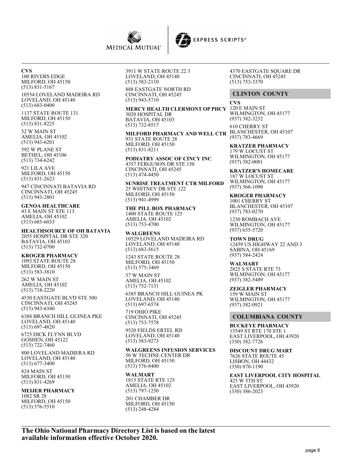



**CVS** 100 RIVERS EDGE MILFORD, OH 45150 (513) 831-5167

10554 LOVELAND MADEIRA RD LOVELAND, OH 45140 (513) 683-0400

1137 STATE ROUTE 131 MILFORD, OH 45150 (513) 831-8225

52 W MAIN ST AMELIA, OH 45102 (513) 943-6201

592 W PLANE ST BETHEL, OH 45106 (513) 734-6242

921 LILA AVE MILFORD, OH 45150 (513) 831-2623

947 CINCINNATI BATAVIA RD CINCINNATI, OH 45245 (513) 943-2801

#### **GENOA HEALTHCARE** 43 E MAIN ST STE 113

AMELIA, OH 45102 (513) 685-6033

**HEALTHSOURCE OF OH BATAVIA** 2055 HOSPITAL DR STE 320 BATAVIA, OH 45103 (513) 732-0700

## **KROGER PHARMACY**

1093 STATE ROUTE 28 MILFORD, OH 45150 (513) 583-3810

262 W MAIN ST AMELIA, OH 45102 (513) 718-2220

4530 EASTGATE BLVD STE 500 CINCINNATI, OH 45245 (513) 943-6340

6388 BRANCH HILL GUINEA PKE LOVELAND, OH 45140 (513) 697-4820

6725 DICK FLYNN BLVD GOSHEN, OH 45122 (513) 722-7460

800 LOVELAND MADIERA RD LOVELAND, OH 45140 (513) 677-3400

824 MAIN ST MILFORD, OH 45150 (513) 831-4269

#### **MEIJER PHARMACY** 1082 SR 28 MILFORD, OH 45150 (513) 576-5510

3911 W STATE ROUTE 22 3 LOVELAND, OH 45140 (513) 583-2110 888 EASTGATE NORTH RD

CINCINNATI, OH 45245 (513) 943-5710

**MERCY HEALTH CLERMONT OP PHCY** 120 E MAIN ST 3020 HOSPITAL DR BATAVIA, OH 45103 (513) 732-8517

**MILFORD PHARMACY AND WELL CTR** BLANCHESTER, OH 45107 931 STATE ROUTE 28 MILFORD, OH 45150 (513) 831-8211

**PODIATRY ASSOC OF CINCY INC** 4357 FERGUSON DR STE 150 CINCINNATI, OH 45245 (513) 474-4450

**SUNRISE TREATMENT CTR MILFORD** 25 WHITNEY DR STE 122 MILFORD, OH 45150 (513) 941-4999

**THE PILL BOX PHARMACY** 1400 STATE ROUTE 125 AMELIA, OH 45102 (513) 753-4700

**WALGREENS** 10529 LOVELAND MADEIRA RD LOVELAND, OH 45140 (513) 683-5615

1243 STATE ROUTE 28 MILFORD, OH 45150 (513) 575-3469

57 W MAIN ST AMELIA, OH 45102 (513) 752-7131

6385 BRANCH HILL GUINEA PK LOVELAND, OH 45140 (513) 697-6574

719 OHIO PIKE CINCINNATI, OH 45245 (513) 753-7578

9520 FIELDS ERTEL RD LOVELAND, OH 45140 (513) 583-9273

**WALGREENS INFUSION SERVICES** 50 W TECHNE CENTER DR MILFORD, OH 45150 (513) 576-8400

## **WALMART**

1815 STATE RTE 125 AMELIA, OH 45102 (513) 797-1250 201 CHAMBER DR MILFORD, OH 45150 (513) 248-4284

4370 EASTGATE SQUARE DR CINCINNATI, OH 45245 (513) 753-3370

## **CLINTON COUNTY**

**CVS** WILMINGTON, OH 45177 (937) 382-3232

610 CHERRY ST (937) 783-4669

**KRATZER PHARMACY** 179 W LOCUST ST WILMINGTON, OH 45177 (937) 382-0081

**KRATZER'S HOMECARE** 187 W LOCUST ST WILMINGTON, OH 45177 (937) 366-1090

**KROGER PHARMACY** 1001 CHERRY ST BLANCHESTER, OH 45107 (937) 783-0270

1230 ROMBACH AVE WILMINGTON, OH 45177 (937) 655-5720

**TOWN DRUG** 12459 US HIGHWAY 22 AND 3 SABINA, OH 45169 (937) 584-2424

**WALMART** 2825 S STATE RTE 73 WILMINGTON, OH 45177 (937) 382-5489

**ZEIGLER PHARMACY** 159 W MAIN ST WILMINGTON, OH 45177 (937) 382-0921

## **COLUMBIANA COUNTY**

**BUCKEYE PHARMACY** 15549 ST RTE 170 STE 1 EAST LIVERPOOL, OH 43920 (330) 382-7726

**DISCOUNT DRUG MART** 7626 STATE ROUTE 45 LISBON, OH 44432 (330) 870-1190

**EAST LIVERPOOL CITY HOSPITAL** 425 W 5TH ST EAST LIVERPOOL, OH 43920 (330) 386-2023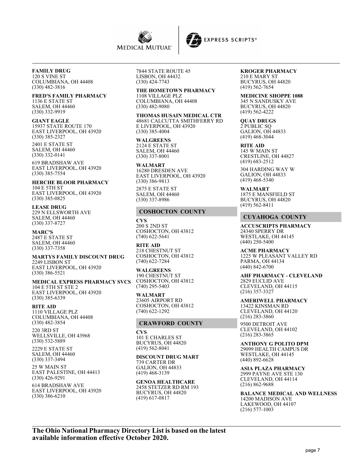



# **FAMILY DRUG**

120 S VINE ST COLUMBIANA, OH 44408 (330) 482-3816

## **FRED'S FAMILY PHARMACY**

1136 E STATE ST SALEM, OH 44460 (330) 332-9919

**GIANT EAGLE** 15937 STATE ROUTE 170 EAST LIVERPOOL, OH 43920 (330) 385-2327

2401 E STATE ST SALEM, OH 44460 (330) 332-0141

619 BRADSHAW AVE EAST LIVERPOOL, OH 43920 (330) 385-7554

**HERCHE BLOOR PHARMACY** 104 E 5TH ST EAST LIVERPOOL, OH 43920 (330) 385-0825

**LEASE DRUG** 229 N ELLSWORTH AVE SALEM, OH 44460 (330) 337-8727

**MARC'S** 2487 E STATE ST SALEM, OH 44460 (330) 337-7358

**MARTYS FAMILY DISCOUNT DRUG** 2249 LISBON ST EAST LIVERPOOL, OH 43920 (330) 386-5521

**MEDICAL EXPRESS PHARMACY SVCS** 104 E 5TH ST STE 2 EAST LIVERPOOL, OH 43920 (330) 385-6339

**RITE AID** 1110 VILLAGE PLZ COLUMBIANA, OH 44408 (330) 482-3854

220 3RD ST WELLSVILLE, OH 43968 (330) 532-5889

2229 E STATE ST SALEM, OH 44460 (330) 337-3494

25 W MAIN ST EAST PALESTINE, OH 44413 (330) 426-9291

614 BRADSHAW AVE EAST LIVERPOOL, OH 43920 (330) 386-6210

7844 STATE ROUTE 45 LISBON, OH 44432 (330) 424-7743

# **THE HOMETOWN PHARMACY**

1108 VILLAGE PLZ COLUMBIANA, OH 44408 (330) 482-9080

**THOMAS HUSAIN MEDICAL CTR** 48681 CALCUTTA SMITHFERRY RD E LIVERPOOL, OH 43920 (330) 385-4004

**WALGREENS** 2124 E STATE ST SALEM, OH 44460 (330) 337-8001

**WALMART** 16280 DRESDEN AVE EAST LIVERPOOL, OH 43920 (330) 386-9813

2875 E STATE ST SALEM, OH 44460 (330) 337-8986

## **COSHOCTON COUNTY**

**CVS** 200 S 2ND ST COSHOCTON, OH 43812 (740) 622-5641

**RITE AID** 218 CHESTNUT ST COSHOCTON, OH 43812 (740) 622-7284

**WALGREENS** 190 CHESTNUT ST COSHOCTON, OH 43812 (740) 295-5403

**WALMART** 23605 AIRPORT RD COSHOCTON, OH 43812 (740) 622-1292

## **CRAWFORD COUNTY**

**CVS** 101 E CHARLES ST BUCYRUS, OH 44820 (419) 562-8041

**DISCOUNT DRUG MART** 739 CARTER DR GALION, OH 44833 (419) 468-3139

**GENOA HEALTHCARE** 2458 STETZER RD RM 193 BUCYRUS, OH 44820 (419) 617-0817

#### **KROGER PHARMACY** 210 E MARY ST

BUCYRUS, OH 44820 (419) 562-7654

**MEDICINE SHOPPE 1088** 345 N SANDUSKY AVE BUCYRUS, OH 44820 (419) 562-4222

**QUAY DRUGS** 2 PUBLIC SQ GALION, OH 44833 (419) 468-3044

**RITE AID** 145 W MAIN ST CRESTLINE, OH 44827 (419) 683-2512

304 HARDING WAY W GALION, OH 44833 (419) 468-5340

**WALMART** 1875 E MANSFIELD ST BUCYRUS, OH 44820 (419) 562-8411

## **CUYAHOGA COUNTY**

**ACCUSCRIPTS PHARMACY** 24340 SPERRY DR WESTLAKE, OH 44145 (440) 250-5400

**ACME PHARMACY** 1225 W PLEASANT VALLEY RD PARMA, OH 44134 (440) 842-6700

**AHF PHARMACY - CLEVELAND** 2829 EUCLID AVE CLEVELAND, OH 44115 (216) 357-3327

**AMERIWELL PHARMACY** 13422 KINSMAN RD CLEVELAND, OH 44120 (216) 283-3860

9500 DETROIT AVE CLEVELAND, OH 44102 (216) 283-3865

**ANTHONY G POLITO DPM** 29099 HEALTH CAMPUS DR WESTLAKE, OH 44145 (440) 892-6628

**ASIA PLAZA PHARMACY** 2999 PAYNE AVE STE 130 CLEVELAND, OH 44114 (216) 862-9688

**BALANCE MEDICAL AND WELLNESS** 14200 MADISON AVE LAKEWOOD, OH 44107 (216) 577-1003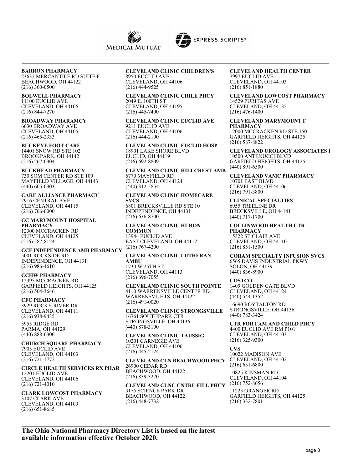

#### **BARRON PHARMACY**

23632 MERCANTILE RD SUITE F BEACHWOOD, OH 44122 (216) 360-0500

#### **BOLWELL PHARMACY**

11100 EUCLID AVE CLEVELAND, OH 44106 (216) 844-7270

**BROADWAY PHARAMCY** 6630 BROADWAY AVE CLEVELAND, OH 44105 (216) 465-2333

**BUCKEYE FOOT CARE** 14401 SNOW RD STE 102 BROOKPARK, OH 44142 (216) 267-0304

## **BUCKHEAD PHARMACY**

730 SOM CENTER RD STE 100 MAYFIELD VILLAGE, OH 44143 (440) 605-0303

**CARE ALLIANCE PHARMACY** 2916 CENTRAL AVE CLEVELAND, OH 44115 (216) 706-0000

**CC MARYMOUNT HOSPITAL PHARMACY** 12300 MCCRACKEN RD CLEVELAND, OH 44125 (216) 587-8124

#### **CCF INDEPENDENCE AMB PHARMACY** 5001 ROCKSIDE RD INDEPENDENCE, OH 44131 (216) 986-4610

**CCHW PHARMACY** 12395 MCCRACKEN RD GARFIELD HEIGHTS, OH 44125 (216) 504-3646

**CFC PHARMACY** 3929 ROCKY RIVER DR CLEVELAND, OH 44111 (216) 938-9435

5955 RIDGE RD PARMA, OH 44129 (440) 888-0300

**CHURCH SQUARE PHARMACY** 7905 EUCLID AVE CLEVELAND, OH 44103 (216) 721-1772

**CIRCLE HEALTH SERVICES RX PHAR** 12201 EUCLID AVE CLEVELAND, OH 44106 (216) 721-4010

**CLARK LOWCOST PHARMACY** 3107 CLARK AVE CLEVELAND, OH 44109 (216) 651-8685

## **CLEVELAND CLINIC CHILDREN'S**

8950 EUCLID AVE CLEVELAND, OH 44106 (216) 444-9525

**CLEVELAND CLINIC CRILE PHCY** 2049 E. 100TH ST CLEVELAND, OH 44195 (216) 445-7400

**CLEVELAND CLINIC EUCLID AVE** 9211 EUCLID AVE CLEVELAND, OH 44106 (216) 444-2100

**CLEVELAND CLINIC EUCLID HOSP** 18901 LAKE SHORE BLVD EUCLID, OH 44119 (216) 692-8809

**CLEVELAND CLINIC HILLCREST AMB** 6770 MAYFIELD RD CLEVELAND, OH 44124 (440) 312-5854

#### **CLEVELAND CLINIC HOMECARE SVCS**

6801 BRECKSVILLE RD STE 10 INDEPENDENCE, OH 44131 (216) 636-8700

**CLEVELAND CLINIC HURON COMMUN** 13944 EUCLID AVE

EAST CLEVELAND, OH 44112 (216) 767-4200

#### **CLEVELAND CLINIC LUTHERAN AMBU** 1730 W 25TH ST

CLEVELAND, OH 44113 (216) 696-7055

**CLEVELAND CLINIC SOUTH POINTE** 4110 WARRENSVILLE CENTER RD WARRENSVL HTS, OH 44122 (216) 491-0020

**CLEVELAND CLINIC STRONGSVILLE** 16761 SOUTHPARK CTR STRONGSVILLE, OH 44136 (440) 878-3100

**CLEVELAND CLINIC TAUSSIG** 10201 CARNEGIE AVE CLEVELAND, OH 44106 (216) 445-2124

**CLEVELAND CLN BEACHWOOD PHCY** 26900 CEDAR RD BEACHWOOD, OH 44122 (216) 839-3270

**CLEVELAND CLNC CNTRL FILL PHCY** 3175 SCIENCE PARK DR BEACHWOOD, OH 44122 (216) 448-7732

#### **CLEVELAND HEALTH CENTER** 7997 EUCLID AVE CLEVELAND, OH 44103

(216) 851-1880 **CLEVELAND LOWCOST PHARMACY** 14529 PURITAS AVE CLEVELAND, OH 44135

**CLEVELAND MARYMOUNT F PHARMACY** 12000 MCCRACKEN RD STE 150 GARFIELD HEIGHTS, OH 44125 (216) 587-8822

(216) 476-1400

**CLEVELAND UROLOGY ASSOCIATES I** 10500 ANTENUCCI BLVD GARFIELD HEIGHTS, OH 44125 (440) 891-6500

**CLEVELAND VAMC PHARMACY** 10701 EAST BLVD CLEVELAND, OH 44106 (216) 791-3800

**CLINICAL SPECIALTIES** 6955 TREELINE DR BRECKSVILLE, OH 44141 (440) 717-1700

**COLLINWOOD HEALTH CTR PHARMACY** 15322 ST CLAIR AVE CLEVELAND, OH 44110 (216) 851-1500

**CORAM SPECIALTY INFUSION SVCS** 6565 DAVIS INDUSTRIAL PKWY SOLON, OH 44139 (440) 836-8900

## **COSTCO**

1409 GOLDEN GATE BLVD CLEVELAND, OH 44124 (440) 544-1352

16690 ROYTALTON RD STRONGSVILLE, OH 44136 (440) 783-3424

**CTR FOR FAM AND CHILD PHCY** 4400 EUCLID AVE RM P101

CLEVELAND, OH 44103 (216) 325-9300

**CVS** 10022 MADISON AVE CLEVELAND, OH 44102 (216) 651-6800

10825 KINSMAN RD CLEVELAND, OH 44104  $(216) 752 - 8656$ 

11223 GRANGER RD GARFIELD HEIGHTS, OH 44125 (216) 332-7801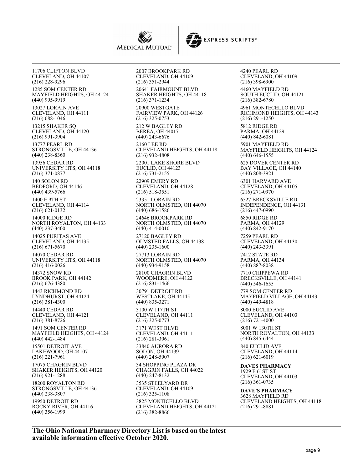



11706 CLIFTON BLVD CLEVELAND, OH 44107 (216) 228-9296 1285 SOM CENTER RD MAYFIELD HEIGHTS, OH 44124 (440) 995-9919 13027 LORAIN AVE CLEVELAND, OH 44111 (216) 688-1046 13215 SHAKER SQ CLEVELAND, OH 44120 (216) 991-3904 13777 PEARL RD STRONGSVILLE, OH 44136 (440) 238-8360 13956 CEDAR RD UNIVERSITY HTS, OH 44118 (216) 371-0877 140 SOLON RD BEDFORD, OH 44146 (440) 439-5766 1400 E 9TH ST CLEVELAND, OH 44114 (216) 621-0132 14000 RIDGE RD NORTH ROYALTON, OH 44133 (440) 237-3400 14025 PURITAS AVE CLEVELAND, OH 44135 (216) 671-5670 14070 CEDAR RD UNIVERSITY HTS, OH 44118 (216) 416-0026 14372 SNOW RD BROOK PARK, OH 44142 (216) 676-4380 1443 RICHMOND RD LYNDHURST, OH 44124 (216) 381-4300 14440 CEDAR RD CLEVELAND, OH 44121 (216) 381-8726 1491 SOM CENTER RD MAYFIELD HEIGHTS, OH 44124 (440) 442-1484 15501 DETROIT AVE LAKEWOOD, OH 44107 (216) 221-7961 17075 CHAGRIN BLVD SHAKER HEIGHTS, OH 44120 (216) 921-1288 18200 ROYALTON RD STRONGSVILLE, OH 44136 (440) 238-3807 19950 DETROIT RD ROCKY RIVER, OH 44116 (440) 356-1999

2007 BROOKPARK RD CLEVELAND, OH 44109 (216) 351-2944

20641 FAIRMOUNT BLVD SHAKER HEIGHTS, OH 44118 (216) 371-1234

20900 WESTGATE FAIRVIEW PARK, OH 44126 (216) 325-0753

212 W BAGLEY RD BEREA, OH 44017 (440) 243-6676

2160 LEE RD CLEVELAND HEIGHTS, OH 44118 (216) 932-4808

22001 LAKE SHORE BLVD EUCLID, OH 44123 (216) 731-2155

22909 EMERY RD CLEVELAND, OH 44128 (216) 518-3551

23351 LORAIN RD NORTH OLMSTED, OH 44070 (440) 686-1586

24646 BROOKPARK RD NORTH OLMSTED, OH 44070 (440) 414-0010

27120 BAGLEY RD OLMSTED FALLS, OH 44138 (440) 235-1600

27713 LORAIN RD NORTH OLMSTED, OH 44070 (440) 934-9158

28100 CHAGRIN BLVD WOODMERE, OH 44122 (216) 831-1466

30791 DETROIT RD WESTLAKE, OH 44145 (440) 835-3271

3100 W 117TH ST CLEVELAND, OH 44111 (216) 325-0773

3171 WEST BLVD CLEVELAND, OH 44111 (216) 281-3061

33840 AURORA RD SOLON, OH 44139 (440) 248-5907

34 SHOPPING PLAZA DR CHAGRIN FALLS, OH 44022 (440) 247-8132

3535 STEELYARD DR CLEVELAND, OH 44109 (216) 325-1108 3825 MONTICELLO BLVD CLEVELAND HEIGHTS, OH 44121 (216) 382-8866

4240 PEARL RD CLEVELAND, OH 44109 (216) 398-6900 4460 MAYFIELD RD SOUTH EUCLID, OH 44121 (216) 382-6780 4961 MONTECELLO BLVD RICHMOND HEIGHTS, OH 44143 (216) 291-1250 5812 RIDGE RD PARMA, OH 44129 (440) 842-6081 5901 MAYFIELD RD MAYFIELD HEIGHTS, OH 44124 (440) 646-1555 625 DOVER CENTER RD BAY VILLAGE, OH 44140 (440) 808-3921 6301 HARVARD AVE CLEVELAND, OH 44105 (216) 271-0970 6527 BRECKSVILLE RD INDEPENDENCE, OH 44131 (216) 447-0990 6850 RIDGE RD PARMA, OH 44129 (440) 842-9170 7259 PEARL RD CLEVELAND, OH 44130 (440) 243-3391 7412 STATE RD PARMA, OH 44134 (440) 887-8038 7710 CHIPPEWA RD BRECKSVILLE, OH 44141 (440) 546-1655 779 SOM CENTER RD MAYFIELD VILLAGE, OH 44143 (440) 449-4818 8000 EUCLID AVE CLEVELAND, OH 44103 (216) 721-4000 8001 W 130TH ST NORTH ROYALTON, OH 44133 (440) 845-6444 840 EUCLID AVE CLEVELAND, OH 44114 (216) 621-6019 **DAVES PHARMACY** 1929 E 61ST ST CLEVELAND, OH 44103 (216) 361-0735

**DAVE'S PHARMACY** 3628 MAYFIELD RD CLEVELAND HEIGHTS, OH 44118 (216) 291-8881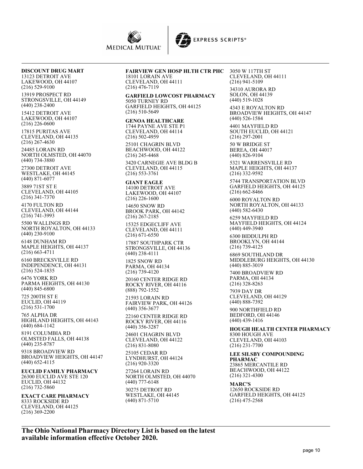

#### **DISCOUNT DRUG MART** 13123 DETROIT AVE

LAKEWOOD, OH 44107 (216) 529-9100

13919 PROSPECT RD STRONGSVILLE, OH 44149 (440) 238-2400

15412 DETROIT AVE LAKEWOOD, OH 44107 (216) 226-0600

17815 PURITAS AVE CLEVELAND, OH 44135 (216) 267-4630

24485 LORAIN RD NORTH OLMSTED, OH 44070 (440) 734-3880

27300 DETROIT AVE WESTLAKE, OH 44145 (440) 871-6077

3889 71ST ST E CLEVELAND, OH 44105 (216) 341-7370

4170 FULTON RD CLEVELAND, OH 44144 (216) 741-3993

5500 WALLINGS RD NORTH ROYALTON, OH 44133 (440) 230-9100

6148 DUNHAM RD MAPLE HEIGHTS, OH 44137 (216) 663-4711

6160 BRECKSVILLE RD INDEPENDENCE, OH 44131 (216) 524-1835

6476 YORK RD PARMA HEIGHTS, OH 44130 (440) 845-6800

725 200TH ST E EUCLID, OH 44119 (216) 531-1700

765 ALPHA DR HIGHLAND HEIGHTS, OH 44143 (440) 684-1142

8191 COLUMBIA RD OLMSTED FALLS, OH 44138 (440) 235-8787

9318 BROADVIEW RD BROADVIEW HEIGHTS, OH 44147 (440) 652-4115

**EUCLID FAMILY PHARMACY** 26300 EUCLID AVE STE 120 EUCLID, OH 44132 (216) 732-5860

**EXACT CARE PHARMACY** 8333 ROCKSIDE RD CLEVELAND, OH 44125 (216) 369-2200

## **FAIRVIEW GEN HOSP HLTH CTR PHC** 3050 W 117TH ST

18101 LORAIN AVE CLEVELAND, OH 44111 (216) 476-7119

**GARFIELD LOWCOST PHARMACY** 5050 TURNEY RD GARFIELD HEIGHTS, OH 44125 (216) 510-5649

#### **GENOA HEALTHCARE**

1744 PAYNE AVE STE P1 CLEVELAND, OH 44114 (216) 502-4959 25101 CHAGRIN BLVD BEACHWOOD, OH 44122 (216) 245-4468

3420 CARNEGIE AVE BLDG B CLEVELAND, OH 44115 (216) 553-3761

**GIANT EAGLE** 14100 DETROIT AVE LAKEWOOD, OH 44107 (216) 226-1600

14650 SNOW RD BROOK PARK, OH 44142 (216) 267-2185

15325 EDGECLIFF AVE CLEVELAND, OH 44111 (216) 671-6550

17887 SOUTHPARK CTR STRONGSVILLE, OH 44136 (440) 238-4111

1825 SNOW RD PARMA, OH 44134 (216) 739-4120 20160 CENTER RIDGE RD ROCKY RIVER, OH 44116

(888) 792-1552 21593 LORAIN RD

FAIRVIEW PARK, OH 44126 (440) 356-3677

22160 CENTER RIDGE RD ROCKY RIVER, OH 44116 (440) 356-3287

24601 CHAGRIN BLVD CLEVELAND, OH 44122 (216) 831-8080

25105 CEDAR RD LYNDHURST, OH 44124 (216) 920-3320

27264 LORAIN RD NORTH OLMSTED, OH 44070 (440) 777-6148

30275 DETROIT RD WESTLAKE, OH 44145 (440) 871-5710

CLEVELAND, OH 44111 (216) 941-5109 34310 AURORA RD SOLON, OH 44139 (440) 519-1028

4343 E ROYALTON RD BROADVIEW HEIGHTS, OH 44147 (440) 526-1584

4401 MAYFIELD RD SOUTH EUCLID, OH 44121 (216) 297-2001

50 W BRIDGE ST BEREA, OH 44017 (440) 826-9104

5321 WARRENSVILLE RD MAPLE HEIGHTS, OH 44137 (216) 332-9592

5744 TRANSPORTATION BLVD GARFIELD HEIGHTS, OH 44125 (216) 662-8466

6000 ROYALTON RD NORTH ROYALTON, OH 44133 (440) 582-6430

6259 MAYFIELD RD MAYFIELD HEIGHTS, OH 44124 (440) 449-3940

6300 BIDDULPH RD BROOKLYN, OH 44144 (216) 739-4125

6869 SOUTHLAND DR MIDDLEBURG HEIGHTS, OH 44130 (440) 885-3019

7400 BROADVIEW RD PARMA, OH 44134 (216) 328-8263

7939 DAY DR CLEVELAND, OH 44129 (440) 888-7392

900 NORTHFIELD RD BEDFORD, OH 44146 (440) 439-1416

**HOUGH HEALTH CENTER PHARMACY** 8300 HOUGH AVE CLEVELAND, OH 44103 (216) 231-7700

**LEE SILSBY COMPOUNDING PHARMAC** 23865 MERCANTILE RD BEACHWOOD, OH 44122 (216) 321-4300

**MARC'S** 12650 ROCKSIDE RD GARFIELD HEIGHTS, OH 44125 (216) 475-2568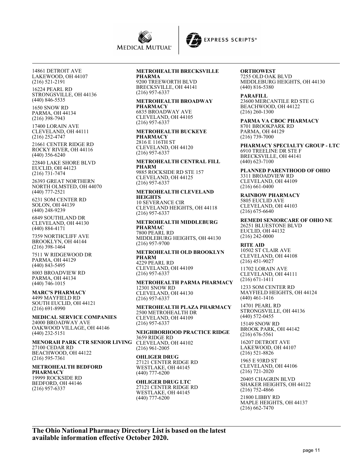



14861 DETROIT AVE LAKEWOOD, OH 44107 (216) 521-2191

16224 PEARL RD STRONGSVILLE, OH 44136 (440) 846-5535

1650 SNOW RD PARMA, OH 44134 (216) 398-7943

17400 LORAIN AVE CLEVELAND, OH 44111 (216) 252-4747

21661 CENTER RIDGE RD ROCKY RIVER, OH 44116 (440) 356-6240

22840 LAKE SHORE BLVD EUCLID, OH 44123 (216) 731-7474

26393 GREAT NORTHERN NORTH OLMSTED, OH 44070 (440) 777-2521

6231 SOM CENTER RD SOLON, OH 44139 (440) 248-9239

6849 SOUTHLAND DR CLEVELAND, OH 44130 (440) 884-4171

7359 NORTHCLIFF AVE BROOKLYN, OH 44144 (216) 398-1464

7511 W RIDGEWOOD DR PARMA, OH 44129 (440) 843-5495

8003 BROADVIEW RD PARMA, OH 44134 (440) 746-1015

**MARC'S PHARMACY**

4499 MAYFIELD RD SOUTH EUCLID, OH 44121 (216) 691-8990

**MEDICAL SERVICE COMPANIES** 24000 BROADWAY AVE OAKWOOD VILLAGE, OH 44146 (440) 232-5151

#### **MENORAH PARK CTR SENIOR LIVING** 27100 CEDAR RD

BEACHWOOD, OH 44122 (216) 595-7361

#### **METROHEALTH BEDFORD PHARMACY**

19999 ROCKSIDE RD BEDFORD, OH 44146 (216) 957-6337

#### **METROHEALTH BRECKSVILLE PHARMA**

9200 TREEWORTH BLVD BRECKSVILLE, OH 44141 (216) 957-6337

#### **METROHEALTH BROADWAY PHARMACY** 6835 BROADWAY AVE

CLEVELAND, OH 44105 (216) 957-6337

**METROHEALTH BUCKEYE PHARMACY** 2816 E 116TH ST CLEVELAND, OH 44120 (216) 957-6337

**METROHEALTH CENTRAL FILL PHARM** 9885 ROCKSIDE RD STE 157 CLEVELAND, OH 44125

(216) 957-6337

**METROHEALTH CLEVELAND HEIGHTS** 10 SEVERANCE CIR CLEVELAND HEIGHTS, OH 44118

(216) 957-6337 **METROHEALTH MIDDLEBURG PHARMAC** 7800 PEARL RD MIDDLEBURG HEIGHTS, OH 44130 (216) 957-9700

**METROHEALTH OLD BROOKLYN PHARM** 4229 PEARL RD CLEVELAND, OH 44109 (216) 957-6337

**METROHEALTH PARMA PHARMACY** 12301 SNOW RD CLEVELAND, OH 44130 (216) 957-6337

**METROHEALTH PLAZA PHARMACY** 2500 METROHEALTH DR CLEVELAND, OH 44109 (216) 957-6337

**NEIGHBORHOOD PRACTICE RIDGE** 3659 RIDGE RD CLEVELAND, OH 44102 (216) 961-2005

**OHLIGER DRUG**

27121 CENTER RIDGE RD WESTLAKE, OH 44145 (440) 777-6200

#### **OHLIGER DRUG LTC** 27121 CENTER RIDGE RD WESTLAKE, OH 44145 (440) 777-6200

**ORTHOWEST** 7255 OLD OAK BLVD MIDDLEBURG HEIGHTS, OH 44130 (440) 816-5380

**PARAFILL** 23600 MERCANTILE RD STE G BEACHWOOD, OH 44122 (216) 260-1300

**PARMA VA CBOC PHARMACY** 8701 BROOKPARK RD PARMA, OH 44129 (216) 739-7000

**PHARMACY SPECIALTY GROUP - LTC** 6910 TREELINE DR STE F BRECKSVILLE, OH 44141 (440) 623-7100

**PLANNED PARENTHOOD OF OHIO** 3311 BROADVIEW RD CLEVELAND, OH 44109 (216) 661-0400

**RAINBOW PHARMACY** 5805 EUCLID AVE CLEVELAND, OH 44103  $(216)$  675-6640

**REMEDI SENIORCARE OF OHIO NE** 26251 BLUESTONE BLVD EUCLID, OH 44132 (216) 242-0000

**RITE AID** 10502 ST CLAIR AVE CLEVELAND, OH 44108 (216) 451-9027

11702 LORAIN AVE CLEVELAND, OH 44111 (216) 671-1411

1233 SOM CENTER RD MAYFIELD HEIGHTS, OH 44124 (440) 461-1416

14701 PEARL RD STRONGSVILLE, OH 44136 (440) 572-0455

15149 SNOW RD BROOK PARK, OH 44142 (216) 676-5561

16207 DETROIT AVE LAKEWOOD, OH 44107 (216) 521-8826

1965 E 93RD ST CLEVELAND, OH 44106 (216) 721-2020

20405 CHAGRIN BLVD SHAKER HEIGHTS, OH 44122 (216) 752-4866

21800 LIBBY RD MAPLE HEIGHTS, OH 44137 (216) 662-7470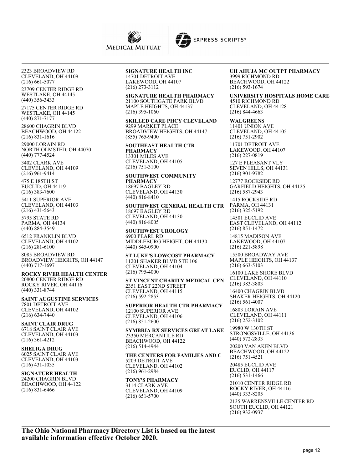

2323 BROADVIEW RD CLEVELAND, OH 44109 (216) 661-5077

23709 CENTER RIDGE RD WESTLAKE, OH 44145 (440) 356-3433

27175 CENTER RIDGE RD WESTLAKE, OH 44145 (440) 871-7177

28600 CHAGRIN BLVD BEACHWOOD, OH 44122 (216) 831-1616

29000 LORAIN RD NORTH OLMSTED, OH 44070 (440) 777-4524

3402 CLARK AVE CLEVELAND, OH 44109 (216) 961-9414

475 E 185TH ST EUCLID, OH 44119 (216) 383-7600

5411 SUPERIOR AVE CLEVELAND, OH 44103 (216) 431-5643

5795 STATE RD PARMA, OH 44134 (440) 884-3549

6512 FRANKLIN BLVD CLEVELAND, OH 44102 (216) 281-6100

8085 BROADVIEW RD BROADVIEW HEIGHTS, OH 44147 (440) 717-1697

**ROCKY RIVER HEALTH CENTER** 20800 CENTER RIDGE RD ROCKY RIVER, OH 44116 (440) 331-8744

**SAINT AUGUSTINE SERVICES** 7801 DETROIT AVE CLEVELAND, OH 44102 (216) 634-7440

**SAINT CLAIR DRUG** 6718 SAINT CLAIR AVE CLEVELAND, OH 44103 (216) 361-4212

**SHELIGA DRUG** 6025 SAINT CLAIR AVE CLEVELAND, OH 44103 (216) 431-1035

**SIGNATURE HEALTH** 24200 CHAGRIN BLVD BEACHWOOD, OH 44122 (216) 831-6466

**SIGNATURE HEALTH INC** 14701 DETROIT AVE

LAKEWOOD, OH 44107 (216) 273-3112

**SIGNATURE HEALTH PHARMACY** 21100 SOUTHGATE PARK BLVD MAPLE HEIGHTS, OH 44137 (216) 395-1060

**SKILLED CARE PHCY CLEVELAND** 9299 MARKET PLACE BROADVIEW HEIGHTS, OH 44147 (855) 765-9400

**SOUTHEAST HEALTH CTR PHARMACY** 13301 MILES AVE CLEVELAND, OH 44105 (216) 751-3100

**SOUTHWEST COMMUNITY PHARMACY** 18697 BAGLEY RD CLEVELAND, OH 44130 (440) 816-8410

**SOUTHWEST GENERAL HEALTH CTR** 18697 BAGLEY RD CLEVELAND, OH 44130 (440) 816-8005

**SOUTHWEST UROLOGY** 6900 PEARL RD MIDDLEBURG HEIGHT, OH 44130 (440) 845-0900

**ST LUKE'S LOWCOST PHARMACY** 11201 SHAKER BLVD STE 106 CLEVELAND, OH 44104 (216) 795-4000

**ST VINCENT CHARITY MEDICAL CEN** 2351 EAST 22ND STREET CLEVELAND, OH 44115 (216) 592-2853

**SUPERIOR HEALTH CTR PHARMACY** 12100 SUPERIOR AVE CLEVELAND, OH 44106 (216) 851-2600

**SYMBRIA RX SERVICES GREAT LAKE** 23350 MERCANTILE RD BEACHWOOD, OH 44122 (216) 514-4944

**THE CENTERS FOR FAMILIES AND C** 5209 DETROIT AVE CLEVELAND, OH 44102 (216) 961-2984

**TONY'S PHARMACY** 3114 CLARK AVE CLEVELAND, OH 44109 (216) 651-5700

**UH AHUJA MC OUTPT PHARMACY** 3999 RICHMOND RD BEACHWOOD, OH 44122 (216) 593-1674

**UNIVERSITY HOSPITALS HOME CARE** 4510 RICHMOND RD CLEVELAND, OH 44128 (216) 844-4663

**WALGREENS** 11401 UNION AVE CLEVELAND, OH 44105 (216) 751-2902 11701 DETROIT AVE

LAKEWOOD, OH 44107 (216) 227-0819

127 E PLEASANT VLY SEVEN HILLS, OH 44131 (216) 901-9782

12777 ROCKSIDE RD GARFIELD HEIGHTS, OH 44125 (216) 587-2943

1415 ROCKSIDE RD PARMA, OH 44131 (216) 325-5192

14501 EUCLID AVE EAST CLEVELAND, OH 44112 (216) 851-1472

14815 MADISON AVE LAKEWOOD, OH 44107 (216) 221-5898

15500 BROADWAY AVE MAPLE HEIGHTS, OH 44137 (216) 663-5103

16100 LAKE SHORE BLVD CLEVELAND, OH 44110 (216) 383-3803

16400 CHAGRIN BLVD SHAKER HEIGHTS, OH 44120 (216) 561-4007

16803 LORAIN AVE CLEVELAND, OH 44111 (216) 252-3102

19980 W 130TH ST STRONGSVILLE, OH 44136 (440) 572-2833

20200 VAN AKEN BLVD BEACHWOOD, OH 44122 (216) 751-4521 20485 EUCLID AVE

EUCLID, OH 44117 (216) 531-1466

21010 CENTER RIDGE RD ROCKY RIVER, OH 44116 (440) 333-8205

2135 WARRENSVILLE CENTER RD SOUTH EUCLID, OH 44121 (216) 932-0937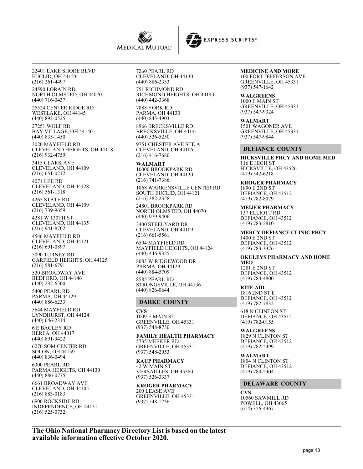



22401 LAKE SHORE BLVD EUCLID, OH 44123 (216) 261-4497 24590 LORAIN RD NORTH OLMSTED, OH 44070 (440) 716-0437 25524 CENTER RIDGE RD WESTLAKE, OH 44145 (440) 892-0525 27251 WOLF RD BAY VILLAGE, OH 44140 (440) 835-1450 3020 MAYFIELD RD CLEVELAND HEIGHTS, OH 44118 (216) 932-4759 3415 CLARK AVE CLEVELAND, OH 44109 (216) 651-0212 4071 LEE RD CLEVELAND, OH 44128 (216) 561-1318 4265 STATE RD CLEVELAND, OH 44109 (216) 739-9659 4281 W 130TH ST CLEVELAND, OH 44135 (216) 941-8702 4546 MAYFIELD RD CLEVELAND, OH 44121 (216) 691-0897 5090 TURNEY RD GARFIELD HEIGHTS, OH 44125 (216) 581-6791 520 BROADWAY AVE BEDFORD, OH 44146 (440) 232-6500 5400 PEARL RD PARMA, OH 44129 (440) 886-6233 5644 MAYFIELD RD LYNDHURST, OH 44124 (440) 646-2314 6 E BAGLEY RD BEREA, OH 44017 (440) 891-9422 6270 SOM CENTER RD SOLON, OH 44139 (440) 836-0494 6300 PEARL RD PARMA HEIGHTS, OH 44130 (440) 886-0775 6661 BROADWAY AVE CLEVELAND, OH 44105 (216) 883-0183

6900 ROCKSIDE RD INDEPENDENCE, OH 44131 (216) 525-0732

7260 PEARL RD CLEVELAND, OH 44130 (440) 886-2353

751 RICHMOND RD RICHMOND HEIGHTS, OH 44143 (440) 442-3368

7888 YORK RD PARMA, OH 44130 (440) 845-4903

8966 BRECKSVILLE RD BRECKSVILLE, OH 44141 (440) 526-5250

9751 CHESTER AVE STE A CLEVELAND, OH 44106 (216) 416-7680

**WALMART** 10000 BROOKPARK RD CLEVELAND, OH 44130 (216) 741-7386

1868 WARRENSVILLE CENTER RD SOUTH EUCLID, OH 44121 (216) 382-2358

24801 BROOKPARK RD NORTH OLMSTED, OH 44070 (440) 979-9406

3400 STEELYARD DR CLEVELAND, OH 44109 (216) 661-5561

6594 MAYFIELD RD MAYFIELD HEIGHTS, OH 44124 (440) 446-9325

8083 W RIDGEWOOD DR PARMA, OH 44129 (440) 884-5709 8585 PEARL RD

STRONGSVILLE, OH 44136 (440) 826-0644

## **DARKE COUNTY**

**CVS** 1009 E MAIN ST GREENVILLE, OH 45331 (937) 548-8730

**FAMILY HEALTH PHARMACY** 5735 MEEKER RD GREENVILLE, OH 45331 (937) 548-2953

**KAUP PHARMACY** 42 W MAIN ST VERSAILLES, OH 45380 (937) 526-3337

**KROGER PHARMACY** 200 LEASE AVE GREENVILLE, OH 45331 (937) 548-1736

#### **MEDICINE AND MORE** 100 FORT JEFFERSON AVE GREENVILLE, OH 45331 (937) 547-1642

**WALGREENS** 1000 E MAIN ST GREENVILLE, OH 45331 (937) 547-9324

**WALMART** 1501 WAGONER AVE GREENVILLE, OH 45331 (937) 547-9844

#### **DEFIANCE COUNTY**

**HICKSVILLE PHCY AND HOME MED** 116 E HIGH ST HICKSVILLE, OH 43526 (419) 542-6218

#### **KROGER PHARMACY**

1890 E 2ND ST DEFIANCE, OH 43512 (419) 782-8079

#### **MEIJER PHARMACY**

137 ELLIOTT RD DEFIANCE, OH 43512 (419) 783-2810

**MERCY DEFIANCE CLINIC PHCY** 1400 E 2ND ST DEFIANCE, OH 43512 (419) 783-3376

**OKULEYS PHARMACY AND HOME MED** 1201 E 2ND ST DEFIANCE, OH 43512

**RITE AID** 1816 2ND ST E DEFIANCE, OH 43512 (419) 782-7832

(419) 784-4800

618 N CLINTON ST DEFIANCE, OH 43512 (419) 782-0155

**WALGREENS** 1829 N CLINTON ST DEFIANCE, OH 43512 (419) 782-2499

**WALMART** 1804 N CLINTON ST DEFIANCE, OH 43512 (419) 784-2404

## **DELAWARE COUNTY**

**CVS** 10560 SAWMILL RD POWELL, OH 43065 (614) 356-4367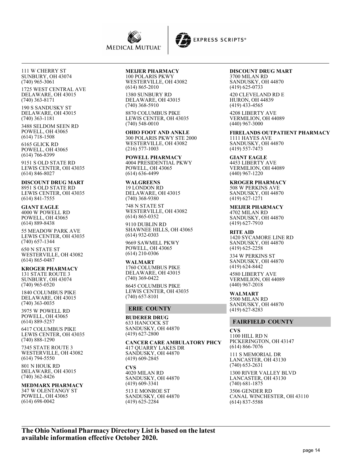

111 W CHERRY ST SUNBURY, OH 43074 (740) 965-3061

1725 WEST CENTRAL AVE DELAWARE, OH 43015 (740) 363-8171

190 S SANDUSKY ST DELAWARE, OH 43015 (740) 363-1181

3488 SELDOM SEEN RD POWELL, OH 43065 (614) 718-1508

6165 GLICK RD POWELL, OH 43065 (614) 766-8399

9151 S OLD STATE RD LEWIS CENTER, OH 43035 (614) 846-8027

**DISCOUNT DRUG MART** 8951 S OLD STATE RD LEWIS CENTER, OH 43035 (614) 841-7555

**GIANT EAGLE** 4000 W POWELL RD POWELL, OH 43065 (614) 889-8438

55 MEADOW PARK AVE LEWIS CENTER, OH 43035 (740) 657-1344

650 N STATE ST WESTERVILLE, OH 43082 (614) 865-0487

**KROGER PHARMACY** 131 STATE ROUTE 3 SUNBURY, OH 43074 (740) 965-0520

1840 COLUMBUS PIKE DELAWARE, OH 43015 (740) 363-0035

3975 W POWELL RD POWELL, OH 43065 (614) 889-5257

6417 COLUMBUS PIKE LEWIS CENTER, OH 43035 (740) 888-1290

7345 STATE ROUTE 3 WESTERVILLE, OH 43082 (614) 794-5550

801 N HOUK RD DELAWARE, OH 43015 (740) 362-8426

## **MEDMARX PHARMACY**

347 W OLENTANGY ST POWELL, OH 43065 (614) 698-0042

## **MEIJER PHARMACY**

100 POLARIS PKWY WESTERVILLE, OH 43082 (614) 865-2010

1380 SUNBURY RD DELAWARE, OH 43015 (740) 368-5910

8870 COLUMBUS PIKE LEWIS CENTER, OH 43035 (740) 548-0010

**OHIO FOOT AND ANKLE** 300 POLARIS PKWY STE 2000 WESTERVILLE, OH 43082 (216) 577-1003

**POWELL PHARMACY** 4004 PRESIDENTIAL PKWY POWELL, OH 43065 (614) 636-4499

**WALGREENS** 19 LONDON RD DELAWARE, OH 43015 (740) 368-9380

748 N STATE ST WESTERVILLE, OH 43082 (614) 865-0352

9110 DUBLIN RD SHAWNEE HILLS, OH 43065 (614) 932-0303

9669 SAWMILL PKWY POWELL, OH 43065 (614) 210-0306

**WALMART** 1760 COLUMBUS PIKE DELAWARE, OH 43015 (740) 369-0422 8645 COLUMBUS PIKE LEWIS CENTER, OH 43035 (740) 657-8101

## **ERIE COUNTY**

**BUDERER DRUG** 633 HANCOCK ST SANDUSKY, OH 44870 (419) 627-2800

**CANCER CARE AMBULATORY PHCY** 417 QUARRY LAKES DR SANDUSKY, OH 44870 (419) 609-2845

**CVS** 4020 MILAN RD SANDUSKY, OH 44870 (419) 609-3341

513 E MONROE ST SANDUSKY, OH 44870 (419) 625-2284

## **DISCOUNT DRUG MART**

3700 MILAN RD SANDUSKY, OH 44870 (419) 625-0733

420 CLEVELAND RD E HURON, OH 44839 (419) 433-4565

4208 LIBERTY AVE VERMILION, OH 44089 (440) 967-3000

**FIRELANDS OUTPATIENT PHARMACY** 1111 HAYES AVE SANDUSKY, OH 44870 (419) 557-7473

**GIANT EAGLE** 4453 LIBERTY AVE VERMILION, OH 44089 (440) 967-1220

**KROGER PHARMACY** 508 W PERKINS AVE SANDUSKY, OH 44870 (419) 627-1271

**MEIJER PHARMACY** 4702 MILAN RD SANDUSKY, OH 44870 (419) 627-7910

**RITE AID** 1420 SYCAMORE LINE RD SANDUSKY, OH 44870 (419) 625-2258

334 W PERKINS ST SANDUSKY, OH 44870 (419) 624-8442

4580 LIBERTY AVE VERMILION, OH 44089 (440) 967-2018

**WALMART** 5500 MILAN RD SANDUSKY, OH 44870 (419) 627-8283

## **FAIRFIELD COUNTY**

**CVS** 1100 HILL RD N PICKERINGTON, OH 43147 (614) 866-7076 111 S MEMORIAL DR LANCASTER, OH 43130 (740) 653-2631

1300 RIVER VALLEY BLVD LANCASTER, OH 43130 (740) 681-1875

3506 GENDER RD CANAL WINCHESTER, OH 43110 (614) 837-5588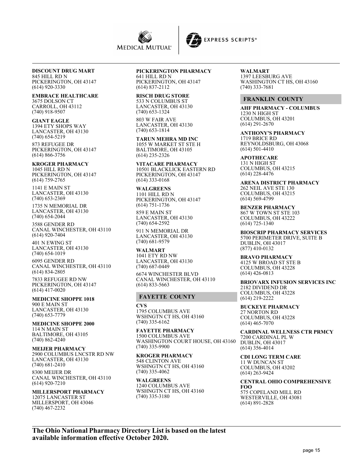



#### **DISCOUNT DRUG MART** 845 HILL RD N

PICKERINGTON, OH 43147 (614) 920-3330

**EMBRACE HEALTHCARE** 3675 DOLSON CT CARROLL, OH 43112 (740) 918-9507

**GIANT EAGLE** 1394 ETY SHOPS WAY LANCASTER, OH 43130 (740) 654-5219

873 REFUGEE DR PICKERINGTON, OH 43147 (614) 866-3756

**KROGER PHARMACY** 1045 HILL RD N PICKERINGTON, OH 43147 (614) 759-2765

1141 E MAIN ST LANCASTER, OH 43130 (740) 653-2369

1735 N MEMORIAL DR LANCASTER, OH 43130 (740) 654-2044

3588 GENDER RD CANAL WINCHESTER, OH 43110 (614) 920-7404

401 N EWING ST LANCASTER, OH 43130 (740) 654-1019

6095 GENDER RD CANAL WINCHESTER, OH 43110 (614) 834-2805

7833 REFUGEE RD NW PICKERINGTON, OH 43147 (614) 417-0020

**MEDICINE SHOPPE 1018** 900 E MAIN ST LANCASTER, OH 43130 (740) 653-7779

**MEDICINE SHOPPE 2000** 114 N MAIN ST BALTIMORE, OH 43105 (740) 862-4240

**MEIJER PHARMACY** 2900 COLUMBUS LNCSTR RD NW LANCASTER, OH 43130 (740) 681-2410

8300 MEIJER DR CANAL WINCHESTER, OH 43110 (614) 920-7210

**MILLERSPORT PHARMACY** 12075 LANCASTER ST MILLERSPORT, OH 43046 (740) 467-2232

## **PICKERINGTON PHARMACY**

641 HILL RD N PICKERINGTON, OH 43147 (614) 837-2112

**RISCH DRUG STORE** 533 N COLUMBUS ST LANCASTER, OH 43130 (740) 653-1324

803 W FAIR AVE LANCASTER, OH 43130 (740) 653-1814

**TARUN MEHRA MD INC** 1055 W MARKET ST STE H BALTIMORE, OH 43105 (614) 235-2326

**VITACARE PHARMACY** 10501 BLACKLICK EASTERN RD PICKERINGTON, OH 43147 (614) 333-0168

**WALGREENS** 1101 HILL RD N PICKERINGTON, OH 43147 (614) 751-1736

859 E MAIN ST LANCASTER, OH 43130 (740) 654-2592

911 N MEMORIAL DR LANCASTER, OH 43130 (740) 681-9579

**WALMART** 1041 ETY RD NW LANCASTER, OH 43130 (740) 687-0449

6674 WINCHESTER BLVD CANAL WINCHESTER, OH 43110 (614) 833-5663

#### **FAYETTE COUNTY**

**CVS** 1795 COLUMBUS AVE WSHNGTN CT HS, OH 43160 (740) 335-6162

**FAYETTE PHARMACY** 1500 COLUMBUS AVE WASHINGTON COURT HOUSE, OH 43160 (740) 335-9900

**KROGER PHARMACY** 548 CLINTON AVE WSHNGTN CT HS, OH 43160 (740) 335-4062

**WALGREENS** 1240 COLUMBUS AVE WSHNGTN CT HS, OH 43160 (740) 335-3180

**WALMART** 1397 LEESBURG AVE WASHINGTON CT HS, OH 43160 (740) 333-7681

#### **FRANKLIN COUNTY**

**AHF PHARMACY - COLUMBUS** 1230 N HIGH ST COLUMBUS, OH 43201 (614) 291-2670

**ANTHONY'S PHARMACY** 1719 BRICE RD REYNOLDSBURG, OH 43068 (614) 501-4410

**APOTHECARE** 131 N HIGH ST COLUMBUS, OH 43215 (614) 228-4476

**ARENA DISTRICT PHARMACY** 262 NEIL AVE STE 130 COLUMBUS, OH 43215 (614) 569-4799

**BENZER PHARMACY** 867 W TOWN ST STE 103 COLUMBUS, OH 43222 (614) 725-1340

**BIOSCRIP PHARMACY SERVICES** 5700 PERIMETER DRIVE, SUITE B DUBLIN, OH 43017 (877) 410-0132

**BRAVO PHARMACY** 4125 W BROAD ST STE B COLUMBUS, OH 43228 (614) 426-0813

**BRIOVARX INFUSION SERVICES INC** 2182 DIVIDEND DR COLUMBUS, OH 43228 (614) 219-2222

**BUCKEYE PHARMACY** 27 NORTON RD COLUMBUS, OH 43228 (614) 465-7070

**CARDINAL WELLNESS CTR PRMCY** 7200 CARDINAL PL W DUBLIN, OH 43017 (614) 356-4014

**CDI LONG TERM CARE** 11 W DUNCAN ST COLUMBUS, OH 43202 (614) 263-9424

**CENTRAL OHIO COMPREHENSIVE FOO** 575 COPELAND MILL RD WESTERVILLE, OH 43081 (614) 891-2828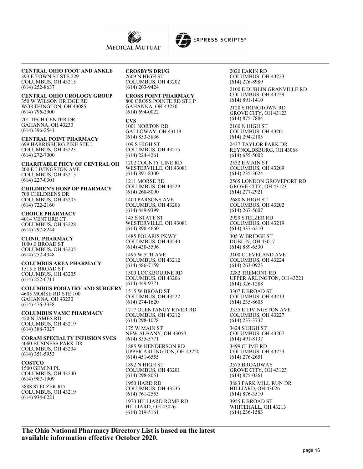



#### **CENTRAL OHIO FOOT AND ANKLE** 393 E TOWN ST STE 229 COLUMBUS, OH 43215 (614) 252-8637

**CENTRAL OHIO UROLOGY GROUP** 350 W WILSON BRIDGE RD WORTHINGTON, OH 43085 (614) 796-2900

701 TECH CENTER DR GAHANNA, OH 43230 (614) 396-2541

**CENTRAL POINT PHARMACY** 699 HARRISBURG PIKE STE L COLUMBUS, OH 43223 (614) 272-7000

**CHARITABLE PHCY OF CENTRAL OH** 200 E LIVINGSTON AVE COLUMBUS, OH 43215 (614) 227-0301

**CHILDREN'S HOSP OP PHARMACY** 700 CHILDRENS DR COLUMBUS, OH 43205 (614) 722-2160

**CHOICE PHARMACY** 4014 VENTURE CT COLUMBUS, OH 43228 (614) 297-8244

**CLINIC PHARMACY** 1000 E BROAD ST COLUMBUS, OH 43205 (614) 252-4348

**COLUMBUS AREA PHARMACY** 1515 E BROAD ST COLUMBUS, OH 43205 (614) 252-0711

**COLUMBUS PODIATRY AND SURGERY** 4605 MORSE RD STE 100 GAHANNA, OH 43230 (614) 476-3338

**COLUMBUS VAMC PHARMACY** 420 N JAMES RD COLUMBUS, OH 43219 (614) 388-7027

**CORAM SPECIALTY INFUSION SVCS** 4060 BUSINESS PARK DR COLUMBUS, OH 43204 (614) 351-5953

**COSTCO** 1500 GEMINI PL COLUMBUS, OH 43240 (614) 987-1909

3888 STELZER RD COLUMBUS, OH 43219 (614) 934-6221

**CROSBY'S DRUG** 2609 N HIGH ST COLUMBUS, OH 43202 (614) 263-9424

#### **CROSS POINT PHARMACY** 800 CROSS POINTE RD STE P GAHANNA, OH 43230

(614) 694-0022 **CVS** 1001 NORTON RD GALLOWAY, OH 43119 (614) 853-3836 109 S HIGH ST COLUMBUS, OH 43215

(614) 224-4261 1202 COUNTY LINE RD WESTERVILLE, OH 43081 (614) 891-8300

1211 MORSE RD COLUMBUS, OH 43229 (614) 268-8090

1400 PARSONS AVE COLUMBUS, OH 43206 (614) 449-9399

145 S STATE ST WESTERVILLE, OH 43081 (614) 890-4660

1485 POLARIS PKWY COLUMBUS, OH 43240 (614) 430-5596 1495 W 5TH AVE

COLUMBUS, OH 43212 (614) 486-7159

1500 LOCKBOURNE RD COLUMBUS, OH 43206 (614) 449-9771

1515 W BROAD ST COLUMBUS, OH 43222 (614) 274-1620

1717 OLENTANGY RIVER RD COLUMBUS, OH 43212 (614) 298-1078

175 W MAIN ST NEW ALBANY, OH 43054 (614) 855-5771

1885 W HENDERSON RD UPPER ARLINGTON, OH 43220 (614) 451-6555 1892 N HIGH ST COLUMBUS, OH 43201 (614) 298-8051

1950 HARD RD COLUMBUS, OH 43235 (614) 761-2553 1970 HILLIARD ROME RD HILLIARD, OH 43026 (614) 219-5161

2020 EAKIN RD COLUMBUS, OH 43223 (614) 276-8989

2100 E DUBLIN GRANVILLE RD COLUMBUS, OH 43229 (614) 891-1410

2120 STRINGTOWN RD GROVE CITY, OH 43123 (614) 875-7884

2160 N HIGH ST COLUMBUS, OH 43201 (614) 294-2105

2437 TAYLOR PARK DR REYNOLDSBURG, OH 43068 (614) 655-5002

2532 E MAIN ST COLUMBUS, OH 43209 (614) 235-3024

2565 LONDON GROVEPORT RD GROVE CITY, OH 43123 (614) 277-2921

2680 N HIGH ST COLUMBUS, OH 43202 (614) 267-5607

2929 STELZER RD COLUMBUS, OH 43219 (614) 337-6210

305 W BRIDGE ST DUBLIN, OH 43017 (614) 889-6530

3100 CLEVELAND AVE COLUMBUS, OH 43224 (614) 263-0923

3282 TREMONT RD UPPER ARLINGTON, OH 43221 (614) 326-1288

3307 E BROAD ST COLUMBUS, OH 43213 (614) 235-8605

3355 E LIVINGSTON AVE COLUMBUS, OH 43227 (614) 237-3737

3424 S HIGH ST COLUMBUS, OH 43207 (614) 491-8137

3499 CLIME RD COLUMBUS, OH 43223 (614) 276-2651 3575 BROADWAY GROVE CITY, OH 43123 (614) 875-0261

3883 PARK MILL RUN DR HILLIARD, OH 43026 (614) 876-3510 3955 E BROAD ST WHITEHALL, OH 43213 (614) 236-1583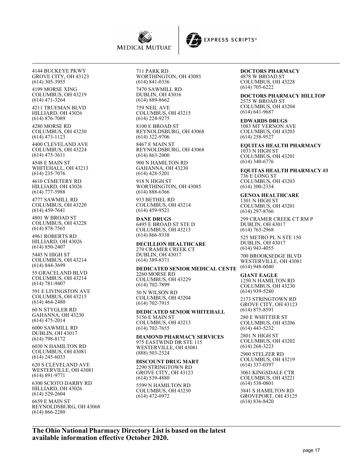



4144 BUCKEYE PKWY GROVE CITY, OH 43123 (614) 305-3955 4199 MORSE XING COLUMBUS, OH 43219 (614) 471-3264 4211 TRUEMAN BLVD HILLIARD, OH 43026 (614) 876-7089 4280 MORSE RD COLUMBUS, OH 43230 (614) 473-1123 4400 CLEVELAND AVE COLUMBUS, OH 43224 (614) 475-3611 4548 E MAIN ST WHITEHALL, OH 43213 (614) 235-7076 4610 CEMETERY RD HILLIARD, OH 43026 (614) 777-5988 4777 SAWMILL RD COLUMBUS, OH 43220 (614) 459-7641 4801 W BROAD ST COLUMBUS, OH 43228 (614) 878-7565 4961 ROBERTS RD HILLIARD, OH 43026 (614) 850-2407 5445 N HIGH ST COLUMBUS, OH 43214 (614) 844-3699 55 GRACELAND BLVD COLUMBUS, OH 43214 (614) 781-9407 591 E LIVINGSTON AVE COLUMBUS, OH 43215 (614) 464-2480 60 N STYGLER RD GAHANNA, OH 43230 (614) 475-2014 6000 SAWMILL RD DUBLIN, OH 43017 (614) 798-8172 6030 N HAMILTON RD COLUMBUS, OH 43081 (614) 245-6033 620 S CLEVELAND AVE WESTERVILLE, OH 43081 (614) 891-9771 6300 SCIOTO DARBY RD HILLIARD, OH 43026 (614) 529-2604

6659 E MAIN ST REYNOLDSBURG, OH 43068 (614) 866-2280

711 PARK RD WORTHINGTON, OH 43085 (614) 841-0336 7470 SAWMILL RD

DUBLIN, OH 43016 (614) 889-8662

759 NEIL AVE COLUMBUS, OH 43215 (614) 224-9275

8100 E BROAD ST REYNOLDSBURG, OH 43068 (614) 322-9706

8467 E MAIN ST REYNOLDSBURG, OH 43068 (614) 863-2000

900 N HAMILTON RD GAHANNA, OH 43230 (614) 428-5201

918 N HIGH ST WORTHINGTON, OH 43085 (614) 888-6366

933 BETHEL RD COLUMBUS, OH 43214 (614) 459-9521

**DANE DRUGS** 6495 E BROAD ST STE D COLUMBUS, OH 43213 (614) 866-9338

**DECILLION HEALTHCARE** 270 CRAMER CREEK CT DUBLIN, OH 43017 (614) 389-8371

**DEDICATED SENIOR MEDICAL CENTE**

2260 MORSE RD COLUMBUS, OH 43229 (614) 702-7899

50 N WILSON RD COLUMBUS, OH 43204 (614) 702-7915

**DEDICATED SENIOR WHITEHALL** 5156 E MAIN ST COLUMBUS, OH 43213 (614) 702-7655

**DIAMOND PHARMACY SERVICES** 975 EASTWIND DR STE 115 WESTERVILLE, OH 43081 (888) 503-2524

#### **DISCOUNT DRUG MART** 2290 STRINGTOWN RD

GROVE CITY, OH 43123 (614) 539-4880

5599 N HAMILTON RD COLUMBUS, OH 43230 (614) 472-0972

# **DOCTORS PHARMACY**

4878 W BROAD ST COLUMBUS, OH 43228 (614) 705-6222

**DOCTORS PHARMACY HILLTOP** 2575 W BROAD ST COLUMBUS, OH 43204 (614) 641-9687

**EDWARDS DRUGS** 1083 MT VERNON AVE COLUMBUS, OH 43203 (614) 258-9527

**EQUITAS HEALTH PHARMACY** 1033 N HIGH ST COLUMBUS, OH 43201 (614) 340-6776

**EQUITAS HEALTH PHARMACY #3** 736 E LONG ST COLUMBUS, OH 43203 (614) 300-2334

**GENOA HEALTHCARE** 1301 N HIGH ST COLUMBUS, OH 43201 (614) 297-8766

299 CRAMER CREEK CT RM P DUBLIN, OH 43017 (614) 763-2968

525 METRO PL N STE 150 DUBLIN, OH 43017 (614) 943-4055

700 BROOKSEDGE BLVD WESTERVILLE, OH 43081 (614) 948-6040

**GIANT EAGLE** 1250 N HAMILTON RD COLUMBUS, OH 43230 (614) 939-5280

2173 STRINGTOWN RD GROVE CITY, OH 43123 (614) 875-8591

280 E WHITTIER ST COLUMBUS, OH 43206 (614) 443-5232

2801 N HIGH ST COLUMBUS, OH 43202 (614) 268-3223

2900 STELZER RD COLUMBUS, OH 43219 (614) 337-0397

3061 KINGSDALE CTR COLUMBUS, OH 43221 (614) 538-0801

3841 S HAMILTON RD GROVEPORT, OH 43125 (614) 836-8420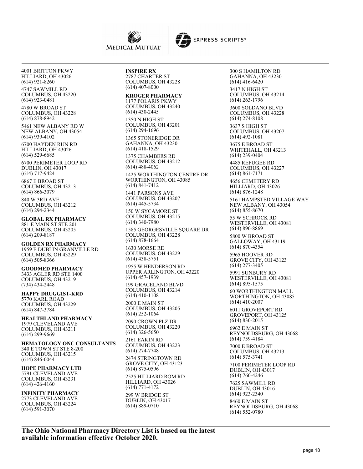



4747 SAWMILL RD COLUMBUS, OH 43220 (614) 923-0481

4780 W BROAD ST COLUMBUS, OH 43228 (614) 878-8942

5461 NEW ALBANY RD W NEW ALBANY, OH 43054 (614) 939-4102

6700 HAYDEN RUN RD HILLIARD, OH 43026 (614) 529-6685

6700 PERIMETER LOOP RD DUBLIN, OH 43017 (614) 717-9424

6867 E BROAD ST COLUMBUS, OH 43213 (614) 866-3079

840 W 3RD AVE COLUMBUS, OH 43212 (614) 294-2344

**GLOBAL RX PHARMACY** 881 E MAIN ST STE 201 COLUMBUS, OH 43205 (614) 209-8187

**GOLDEN RX PHARMACY** 1959 E DUBLIN GRANVILLE RD COLUMBUS, OH 43229 (614) 505-8366

**GOODMED PHARMACY** 3433 AGLER RD STE 1400 COLUMBUS, OH 43219 (734) 434-2448

**HAPPY DRUGGIST-KRD** 5770 KARL ROAD COLUMBUS, OH 43229 (614) 847-3784

**HEALTHLAND PHARMACY** 1979 CLEVELAND AVE COLUMBUS, OH 43211 (614) 299-9669

**HEMATOLOGY ONC CONSULTANTS** 340 E TOWN ST STE 8-200 COLUMBUS, OH 43215 (614) 846-0044

**HOPE PHARMACY LTD** 5791 CLEVELAND AVE COLUMBUS, OH 43231 (614) 426-4160

**INFINITY PHARMACY** 2773 CLEVELAND AVE COLUMBUS, OH 43224 (614) 591-3070

**INSPIRE RX** 2787 CHARTER ST COLUMBUS, OH 43228 (614) 407-8000

**KROGER PHARMACY** 1177 POLARIS PKWY COLUMBUS, OH 43240 (614) 430-2445

1350 N HIGH ST COLUMBUS, OH 43201 (614) 294-1696

1365 STONERIDGE DR GAHANNA, OH 43230 (614) 418-1529

1375 CHAMBERS RD COLUMBUS, OH 43212 (614) 488-4062

1425 WORTHINGTON CENTRE DR WORTHINGTON, OH 43085 (614) 841-7412

1441 PARSONS AVE COLUMBUS, OH 43207 (614) 445-5734

150 W SYCAMORE ST COLUMBUS, OH 43215 (614) 340-7980

1585 GEORGESVILLE SQUARE DR COLUMBUS, OH 43228 (614) 878-1664

1630 MORSE RD COLUMBUS, OH 43229 (614) 438-5751

1955 W HENDERSON RD UPPER ARLINGTON, OH 43220 (614) 457-1939 199 GRACELAND BLVD

COLUMBUS, OH 43214  $(614)$  410-1108

2000 E MAIN ST COLUMBUS, OH 43205 (614) 252-1064 2090 CROWN PLZ DR

COLUMBUS, OH 43220 (614) 326-5650 2161 EAKIN RD

COLUMBUS, OH 43223 (614) 274-7748

2474 STRINGTOWN RD GROVE CITY, OH 43123 (614) 875-0596

2525 HILLIARD ROM RD HILLIARD, OH 43026 (614) 771-4172

299 W BRIDGE ST DUBLIN, OH 43017 (614) 889-0710

300 S HAMILTON RD GAHANNA, OH 43230 (614) 416-6420 3417 N HIGH ST COLUMBUS, OH 43214 (614) 263-1796 3600 SOLDANO BLVD COLUMBUS, OH 43228 (614) 274-8108

3637 S HIGH ST COLUMBUS, OH 43207 (614) 492-1081

3675 E BROAD ST WHITEHALL, OH 43213 (614) 239-0404

4485 REFUGEE RD COLUMBUS, OH 43227 (614) 861-7171

4656 CEMETERY RD HILLIARD, OH 43026 (614) 876-1248

5161 HAMPSTED VILLAGE WAY NEW ALBANY, OH 43054 (614) 855-8670

55 W SCHROCK RD WESTERVILLE, OH 43081 (614) 890-8869

5800 W BROAD ST GALLOWAY, OH 43119 (614) 870-4354

5965 HOOVER RD GROVE CITY, OH 43123 (614) 277-3405

5991 SUNBURY RD WESTERVILLE, OH 43081 (614) 895-1575

60 WORTHINGTON MALL WORTHINGTON, OH 43085 (614) 410-2007

6011 GROVEPORT RD GROVEPORT, OH 43125 (614) 830-2015

6962 E MAIN ST REYNOLDSBURG, OH 43068 (614) 759-4184

7000 E BROAD ST COLUMBUS, OH 43213 (614) 575-3741

7100 PERIMETER LOOP RD DUBLIN, OH 43017 (614) 760-4246

7625 SAWMILL RD DUBLIN, OH 43016 (614) 923-2340

8460 E MAIN ST REYNOLDSBURG, OH 43068 (614) 552-0780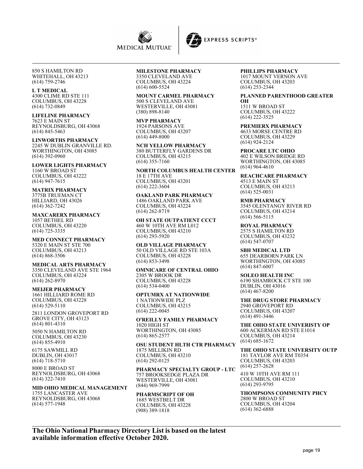



850 S HAMILTON RD WHITEHALL, OH 43213 (614) 759-2746

## **L T MEDICAL**

4300 CLIME RD STE 111 COLUMBUS, OH 43228 (614) 732-0849

#### **LIFELINE PHARMACY** 7623 E MAIN ST

REYNOLDSBURG, OH 43068 (614) 845-5463

**LINWORTHS PHARMACY** 2245 W DUBLIN GRANVILLE RD. WORTHINGTON, OH 43085 (614) 392-0960

**LOWER LIGHTS PHARMACY** 1160 W BROAD ST COLUMBUS, OH 43222 (614) 947-7615

#### **MATRIX PHARMACY** 3775B TRUEMAN CT HILLIARD, OH 43026 (614) 362-7242

**MAXCARERX PHARMACY** 1057 BETHEL RD COLUMBUS, OH 43220 (614) 725-3335

**MED CONNECT PHARMACY** 5320 E MAIN ST STE 700 COLUMBUS, OH 43213 (614) 868-3506

#### **MEDICAL ARTS PHARMACY** 3350 CLEVELAND AVE STE 1964 COLUMBUS, OH 43224 (614) 262-8970

**MEIJER PHARMACY**

1661 HILLIARD ROME RD COLUMBUS, OH 43228 (614) 529-5110

2811 LONDON GROVEPORT RD GROVE CITY, OH 43123 (614) 801-4310

5050 N HAMILTON RD COLUMBUS, OH 43230 (614) 855-4910

6175 SAWMILL RD DUBLIN, OH 43017 (614) 718-5710

8000 E BROAD ST REYNOLDSBURG, OH 43068 (614) 322-7410

#### **MID OHIO MEDICAL MANAGEMENT** 1755 LANCASTER AVE REYNOLDSBURG, OH 43068 (614) 577-1948

## **MILESTONE PHARMACY**

3350 CLEVELAND AVE COLUMBUS, OH 43224 (614) 600-5524

**MOUNT CARMEL PHARMACY** 500 S CLEVELAND AVE WESTERVILLE, OH 43081 (380) 898-8140

**MVP PHARMACY** 1924 PARSONS AVE COLUMBUS, OH 43207  $(614)$  449-8000

**NCH YELLOW PHARMACY** 380 BUTTERFLY GARDENS DR COLUMBUS, OH 43215 (614) 355-7160

**NORTH COLUMBUS HEALTH CENTER** 18 E 17TH AVE COLUMBUS, OH 43201 (614) 222-3604

**OAKLAND PARK PHARMACY** 1486 OAKLAND PARK AVE COLUMBUS, OH 43224 (614) 262-8719

**OH STATE OUTPATIENT CCCT** 460 W 10TH AVE RM L012 COLUMBUS, OH 43210 (614) 293-5920

**OLD VILLAGE PHARMACY** 50 OLD VILLAGE RD STE 103A COLUMBUS, OH 43228 (614) 853-3498

**OMNICARE OF CENTRAL OHIO** 2305 W BROOK DR COLUMBUS, OH 43228 (614) 534-0400

**OPTUMRX AT NATIONWIDE** 1 NATIONWIDE PLZ COLUMBUS, OH 43215 (614) 222-0045

**O'REILLY FAMILY PHARMACY** 1020 HIGH ST WORTHINGTON, OH 43085 (614) 865-2577

**OSU STUDENT HLTH CTR PHARMACY** 1875 MILLIKIN RD COLUMBUS, OH 43210 (614) 292-0125

**PHARMACY SPECIALTY GROUP - LTC** 757 BROOKSEDGE PLAZA DR WESTERVILLE, OH 43081 (844) 969-7999

**PHARMSCRIPT OF OH** 1685 WESTBELT DR COLUMBUS, OH 43228 (908) 389-1818

#### **PHILLIPS PHARMACY** 1017 MOUNT VERNON AVE COLUMBUS, OH 43203 (614) 253-2344

#### **PLANNED PARENTHOOD GREATER**

**OH** 1511 W BROAD ST COLUMBUS, OH 43222 (614) 222-3525

**PREMIERX PHARMACY** 4633 MORSE CENTRE RD COLUMBUS, OH 43229 (614) 924-2124

**PROCARE LTC OHIO** 402 E WILSON BRIDGE RD WORTHINGTON, OH 43085 (614) 964-4610

**REACHCARE PHARMACY** 4513 E MAIN ST COLUMBUS, OH 43213 (614) 525-0031

**RMB PHARMACY** 3545 OLENTANGY RIVER RD COLUMBUS, OH 43214 (614) 566-5115

**ROYAL PHARMACY** 2575 S HAMILTON RD COLUMBUS, OH 43232 (614) 547-0707

**SBH MEDICAL LTD** 655 DEARBORN PARK LN WORTHINGTON, OH 43085 (614) 847-6007

**SOLEO HEALTH INC** 6190 SHAMROCK CT STE 100 DUBLIN, OH 43016 (614) 467-8200

**THE DRUG STORE PHARMACY** 2940 GROVEPORT RD COLUMBUS, OH 43207 (614) 491-3446

**THE OHIO STATE UNIVERISTY OP** 600 ACKERMAN RD STE E1014 COLUMBUS, OH 43214 (614) 685-1672

**THE OHIO STATE UNIVERSITY OUTP** 181 TAYLOR AVE RM T0354 COLUMBUS, OH 43203 (614) 257-2628

410 W 10TH AVE RM 111 COLUMBUS, OH 43210 (614) 293-9795

**THOMPSONS COMMUNITY PHCY** 2800 W BROAD ST COLUMBUS, OH 43204 (614) 362-6888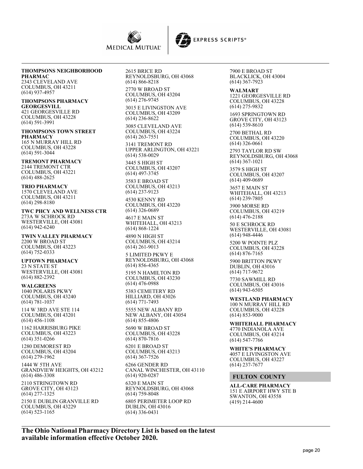



#### **THOMPSONS NEIGHBORHOOD PHARMAC**

2343 CLEVELAND AVE COLUMBUS, OH 43211 (614) 937-4957

#### **THOMPSONS PHARMACY GEORGESVILL** 421 GEORGESVILLE RD COLUMBUS, OH 43228 (614) 591-3991

**THOMPSONS TOWN STREET PHARMACY** 165 N MURRAY HILL RD COLUMBUS, OH 43228 (614) 591-3044

**TREMONT PHARMACY** 2144 TREMONT CTR COLUMBUS, OH 43221 (614) 488-2625

**TRIO PHARMACY** 1570 CLEVELAND AVE COLUMBUS, OH 43211 (614) 298-8180

**TWC PHCY AND WELLNESS CTR** 273A W SCHROCK RD WESTERVILLE, OH 43081 (614) 942-6240

**TWIN VALLEY PHARMACY** 2200 W BROAD ST COLUMBUS, OH 43223 (614) 752-0333

**UPTOWN PHARMACY** 23 N STATE ST WESTERVILLE, OH 43081 (614) 882-2392

**WALGREENS** 1040 POLARIS PKWY COLUMBUS, OH 43240 (614) 781-1037

114 W 3RD AVE STE 114 COLUMBUS, OH 43201 (614) 456-1108

1162 HARRISBURG PIKE COLUMBUS, OH 43223 (614) 351-0266

1280 DEMOREST RD COLUMBUS, OH 43204 (614) 279-1962

1444 W 5TH AVE GRANDVIEW HEIGHTS, OH 43212 (614) 486-3308

2110 STRINGTOWN RD GROVE CITY, OH 43123 (614) 277-1325 2150 E DUBLIN GRANVILLE RD COLUMBUS, OH 43229 (614) 523-1165

2615 BRICE RD REYNOLDSBURG, OH 43068 (614) 866-8218 2770 W BROAD ST COLUMBUS, OH 43204

(614) 276-9745 3015 E LIVINGSTON AVE

COLUMBUS, OH 43209 (614) 236-8622

3085 CLEVELAND AVE COLUMBUS, OH 43224 (614) 263-7551 3141 TREMONT RD

UPPER ARLINGTON, OH 43221 (614) 538-0029

3445 S HIGH ST COLUMBUS, OH 43207 (614) 497-3745

3583 E BROAD ST COLUMBUS, OH 43213 (614) 237-9123 4530 KENNY RD

COLUMBUS, OH 43220 (614) 326-0689

4617 E MAIN ST WHITEHALL, OH 43213 (614) 868-1224

4890 N HIGH ST COLUMBUS, OH 43214 (614) 261-9013

5 LIMITED PKWY E REYNOLDSBURG, OH 43068 (614) 856-4365

5195 N HAMILTON RD COLUMBUS, OH 43230 (614) 476-0988

5383 CEMETERY RD HILLIARD, OH 43026 (614) 771-7493

5555 NEW ALBANY RD NEW ALBANY, OH 43054 (614) 855-4806

5690 W BROAD ST COLUMBUS, OH 43228 (614) 870-7816

6201 E BROAD ST COLUMBUS, OH 43213 (614) 367-7526

6266 GENDER RD CANAL WINCHESTER, OH 43110 (614) 920-0287

6320 E MAIN ST REYNOLDSBURG, OH 43068 (614) 759-8048 6805 PERIMETER LOOP RD DUBLIN, OH 43016 (614) 336-0431

7900 E BROAD ST BLACKLICK, OH 43004 (614) 367-7923

**WALMART** 1221 GEORGESVILLE RD COLUMBUS, OH 43228 (614) 275-9832

1693 SPRINGTOWN RD GROVE CITY, OH 43123 (614) 539-8610

2700 BETHAL RD COLUMBUS, OH 43220 (614) 326-0661

2793 TAYLOR RD SW REYNOLDSBURG, OH 43068 (614) 367-1021

3579 S HIGH ST COLUMBUS, OH 43207 (614) 409-0689

3657 E MAIN ST WHITEHALL, OH 43213 (614) 239-7805

3900 MORSE RD COLUMBUS, OH 43219 (614) 476-2188

50 E SCHROCK RD WESTERVILLE, OH 43081 (614) 948-4446

5200 W POINTE PLZ COLUMBUS, OH 43228 (614) 876-7165

5900 BRITTON PKWY DUBLIN, OH 43016 (614) 717-9672

7730 SAWMILL RD COLUMBUS, OH 43016 (614) 943-6505

**WESTLAND PHARMACY** 100 N MURRAY HILL RD COLUMBUS, OH 43228 (614) 853-9000

**WHITEHALL PHARMACY** 4770 INDIANOLA AVE COLUMBUS, OH 43214 (614) 547-7766

**WHITE'S PHARMACY** 4057 E LIVINGSTON AVE COLUMBUS, OH 43227 (614) 237-7677

## **FULTON COUNTY**

**ALL-CARE PHARMACY** 151 E AIRPORT HWY STE B SWANTON, OH 43558 (419) 214-4600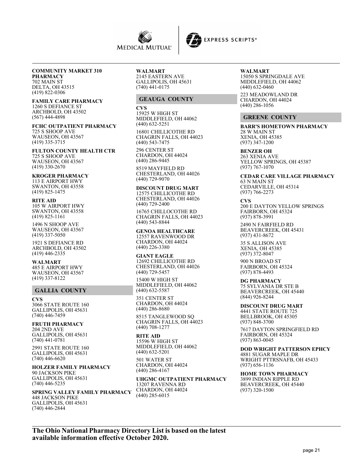



#### **COMMUNITY MARKET 310 PHARMACY**

702 MAIN ST DELTA, OH 43515 (419) 822-0306

#### **FAMILY CARE PHARMACY** 1260 S DEFIANCE ST

ARCHBOLD, OH 43502 (567) 444-4898

#### **FCHC OUTPATIENT PHARMACY** 725 S SHOOP AVE WAUSEON, OH 43567 (419) 335-3715

#### **FULTON COUNTY HEALTH CTR**

725 S SHOOP AVE WAUSEON, OH 43567 (419) 330-2670

## **KROGER PHARMACY**

113 E AIRPORT HWY SWANTON, OH 43558 (419) 825-1475

## **RITE AID**

105 W AIRPORT HWY SWANTON, OH 43558 (419) 825-1161

1496 N SHOOP AVE WAUSEON, OH 43567  $(419)$  337-5050

1921 S DEFIANCE RD ARCHBOLD, OH 43502 (419) 446-2335

#### **WALMART** 485 E AIRPORT HWY

WAUSEON, OH 43567 (419) 337-8122

## **GALLIA COUNTY**

**CVS** 3066 STATE ROUTE 160 GALLIPOLIS, OH 45631 (740) 446-7459

## **FRUTH PHARMACY**

204 2ND AVE GALLIPOLIS, OH 45631 (740) 441-0781 2991 STATE ROUTE 160 GALLIPOLIS, OH 45631 (740) 446-6620

#### **HOLZER FAMILY PHARMACY** 90 JACKSON PIKE GALLIPOLIS, OH 45631 (740) 446-5235

#### **SPRING VALLEY FAMILY PHARMACY** 448 JACKSON PIKE GALLIPOLIS, OH 45631 (740) 446-2844

**WALMART** 2145 EASTERN AVE GALLIPOLIS, OH 45631 (740) 441-0175

## **GEAUGA COUNTY**

**CVS** 15925 W HIGH ST MIDDLEFIELD, OH 44062 (440) 632-5251

16801 CHILLICOTHE RD CHAGRIN FALLS, OH 44023 (440) 543-7475

296 CENTER ST CHARDON, OH 44024 (440) 286-9445

8519 MAYFIELD RD CHESTERLAND, OH 44026 (440) 729-9070

**DISCOUNT DRUG MART** 12575 CHILLICOTHE RD CHESTERLAND, OH 44026 (440) 729-2400

16765 CHILLOCOTHE RD CHAGRIN FALLS, OH 44023 (440) 543-8844

**GENOA HEALTHCARE** 12557 RAVENWOOD DR CHARDON, OH 44024 (440) 226-3380

**GIANT EAGLE** 12692 CHILLICOTHE RD CHESTERLAND, OH 44026 (440) 729-5457

15400 W HIGH ST MIDDLEFIELD, OH 44062 (440) 632-5587

351 CENTER ST CHARDON, OH 44024 (440) 286-8680

8515 TANGLEWOOD SQ CHAGRIN FALLS, OH 44023 (440) 708-1277

**RITE AID** 15596 W HIGH ST MIDDLEFIELD, OH 44062 (440) 632-5201 501 WATER ST

CHARDON, OH 44024 (440) 286-4167

**UHGMC OUTPATIENT PHARMACY** 13207 RAVENNA RD CHARDON, OH 44024 (440) 285-6015

**WALMART** 15050 S SPRINGDALE AVE MIDDLEFIELD, OH 44062 (440) 632-0460

223 MEADOWLAND DR CHARDON, OH 44024  $(440)$  286-1056

## **GREENE COUNTY**

**BARR'S HOMETOWN PHARMACY** 28 W MAIN ST XENIA, OH 45385 (937) 347-1200

#### **BENZER OH**

263 XENIA AVE YELLOW SPRINGS, OH 45387 (937) 767-1070

**CEDAR CARE VILLAGE PHARMACY** 63 N MAIN ST CEDARVILLE, OH 45314

(937) 766-2273

**CVS** 200 E DAYTON YELLOW SPRINGS FAIRBORN, OH 45324 (937) 878-3991

2490 N FAIRFIELD RD BEAVERCREEK, OH 45431 (937) 431-8672

35 S ALLISON AVE XENIA, OH 45385 (937) 372-8047

900 N BROAD ST FAIRBORN, OH 45324 (937) 878-4493

**DG PHARMACY** 75 SYLVANIA DR STE B BEAVERCREEK, OH 45440 (844) 926-8244

**DISCOUNT DRUG MART** 4441 STATE ROUTE 725 BELLBROOK, OH 45305 (937) 848-3700

7617 DAYTON SPRINGFIELD RD FAIRBORN, OH 45324 (937) 863-0045

**DOD WRIGHT PATTERSON EPHCY** 4881 SUGAR MAPLE DR WRIGHT PTTRSNAFB, OH 45433 (937) 656-1136

**HOME TOWN PHARMACY** 3899 INDIAN RIPPLE RD BEAVERCREEK, OH 45440 (937) 320-1500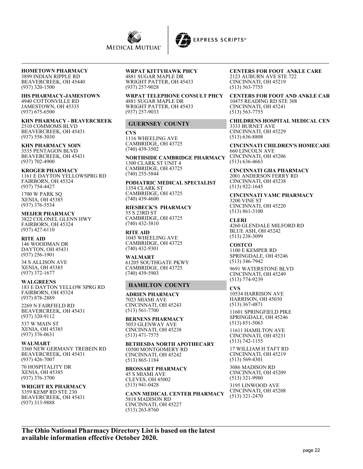

**HOMETOWN PHARMACY** 3899 INDIAN RIPPLE RD BEAVERCREEK, OH 45440 (937) 320-1500

**IHS PHARMACY-JAMESTOWN** 4940 COTTONVILLE RD JAMESTOWN, OH 45335 (937) 675-6500

**KHN PHARMACY - BEAVERCREEK** 2510 COMMOMS BLVD BEAVERCREEK, OH 45431 (937) 558-3030

**KHN PHARMACY SOIN** 3535 PENTAGON BLVD BEAVERCREEK, OH 45431 (937) 702-4900

**KROGER PHARMACY** 1161 E DAYTON YELLOWSPRG RD FAIRBORN, OH 45324 (937) 754-4427

1700 W PARK SQ XENIA, OH 45385 (937) 376-5534

**MEIJER PHARMACY** 3822 COLONEL GLENN HWY FAIRBORN, OH 45324 (937) 427-6110

**RITE AID** 146 WOODMAN DR DAYTON, OH 45431 (937) 256-1901

34 S ALLISON AVE XENIA, OH 45385 (937) 372-1677

**WALGREENS** 183 E DAYTON YELLOW SPRG RD FAIRBORN, OH 45324 (937) 878-2889

2269 N FAIRFIELD RD BEAVERCREEK, OH 45431 (937) 320-9112

537 W MAIN ST XENIA, OH 45385 (937) 376-0631

**WALMART** 3360 NEW GERMANY TREBEIN RD BEAVERCREEK, OH 45431 (937) 426-7007

70 HOSPITALITY DR XENIA, OH 45385 (937) 376-3700

**WRIGHT RX PHARMACY** 3359 KEMP RD STE 230 BEAVERCREEK, OH 45431 (937) 313-9888

**WRPAT KITTYHAWK PHCY** 4881 SUGAR MAPLE DR WRIGHT PATTER, OH 45433 (937) 257-9028

**WRPAT TELEPHONE CONSULT PHCY** 4881 SUGAR MAPLE DR WRIGHT PATTER, OH 45433 (937) 257-9033

## **GUERNSEY COUNTY**

**CVS** 1116 WHEELING AVE CAMBRIDGE, OH 43725 (740) 439-3502

**NORTHSIDE CAMBRIDGE PHARMACY** 1300 CLARK ST UNIT 4 CAMBRIDGE, OH 43725 (740) 255-5844

**PODIATRIC MEDICAL SPECIALIST** 1354 CLARK ST CAMBRIDGE, OH 43725 (740) 439-4600

**RIESBECK'S PHARMACY** 55 S 23RD ST CAMBRIDGE, OH 43725 (740) 432-3810

**RITE AID** 1045 WHEELING AVE CAMBRIDGE, OH 43725 (740) 432-9301

**WALMART** 61205 SOUTHGATE PKWY CAMBRIDGE, OH 43725 (740) 439-5903

#### **HAMILTON COUNTY**

**ADRIEN PHARMACY** 7023 MIAMI AVE CINCINNATI, OH 45243 (513) 561-7700

**BERNENS PHARMACY** 5053 GLENWAY AVE CINCINNATI, OH 45238 (513) 471-7575

**BETHESDA NORTH APOTHECARY** 10500 MONTGOMERY RD CINCINNATI, OH 45242 (513) 865-1184

**BROSSART PHARMACY**

45 S MIAMI AVE CLEVES, OH 45002 (513) 941-0428

**CANN MEDICAL CENTER PHARMACY** 5818 MADISON RD CINCINNATI, OH 45227

(513) 263-8760

**CENTERS FOR FOOT ANKLE CARE** 2123 AUBURN AVE STE 722 CINCINNATI, OH 45219 (513) 563-7755

**CENTERS FOR FOOT AND ANKLE CAR** 10475 READING RD STE 308 CINCINNATI, OH 45241 (513) 563-7755

**CHILDRENS HOSPITAL MEDICAL CEN** 3333 BURNET AVE CINCINNATI, OH 45229 (513) 636-8808

**CINCINNATI CHILDREN'S HOMECARE** 660 LINCOLN AVE CINCINNATI, OH 45206 (513) 636-4663

**CINCINNATI GHA PHARMACY** 2001 ANDERSON FERRY RD CINCINNATI, OH 45238 (513) 922-1645

**CINCINNATI VAMC PHARMACY** 3200 VINE ST CINCINNATI, OH 45220 (513) 861-3100

**CLERI** 4260 GLENDALE MILFORD RD BLUE ASH, OH 45242 (513) 238-3099

**COSTCO** 1100 E KEMPER RD SPRINGDALE, OH 45246 (513) 346-7942

9691 WATERSTONE BLVD CINCINNATI, OH 45249 (513) 774-9239

**CVS**

10534 HARRISON AVE HARRISON, OH 45030 (513) 367-4871

11601 SPRINGFIELD PIKE SPRINGDALE, OH 45246 (513) 851-5063

11611 HAMILTON AVE CINCINNATI, OH 45231 (513) 742-1155

17 WILLIAM H TAFT RD CINCINNATI, OH 45219 (513) 569-4301

3086 MADISON RD CINCINNATI, OH 45209 (513) 321-9980

3195 LINWOOD AVE CINCINNATI, OH 45208 (513) 321-2470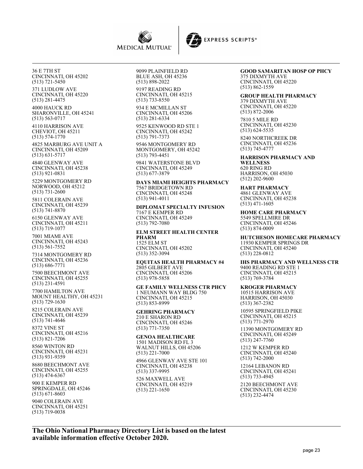



36 E 7TH ST CINCINNATI, OH 45202 (513) 721-5450 371 LUDLOW AVE CINCINNATI, OH 45220 (513) 281-4475 4000 HAUCK RD SHARONVILLE, OH 45241 (513) 563-0717 4110 HARRISON AVE CHEVIOT, OH 45211 (513) 574-1770 4825 MARBURG AVE UNIT A CINCINNATI, OH 45209 (513) 631-5717 4840 GLENWAY AVE CINCINNATI, OH 45238 (513) 921-0831 5229 MONTGOMERY RD NORWOOD, OH 45212 (513) 731-2600 5811 COLERAIN AVE CINCINNATI, OH 45239 (513) 741-8870 6150 GLENWAY AVE CINCINNATI, OH 45211 (513) 719-1077 7001 MIAMI AVE CINCINNATI, OH 45243 (513) 561-7552 7314 MONTGOMERY RD CINCINNATI, OH 45236 (513) 686-7771 7500 BEECHMONT AVE CINCINNATI, OH 45255 (513) 231-4591 7700 HAMILTON AVE MOUNT HEALTHY, OH 45231 (513) 729-1630 8215 COLERAIN AVE CINCINNATI, OH 45239 (513) 741-4646 8372 VINE ST CINCINNATI, OH 45216 (513) 821-7206 8560 WINTON RD CINCINNATI, OH 45231 (513) 931-9359 8680 BEECHMONT AVE CINCINNATI, OH 45255 (513) 474-6367

900 E KEMPER RD SPRINGDALE, OH 45246 (513) 671-8603 9040 COLERAIN AVE CINCINNATI, OH 45251 (513) 719-0038

9099 PLAINFIELD RD BLUE ASH, OH 45236 (513) 898-2022

9197 READING RD CINCINNATI, OH 45215 (513) 733-8550

934 E MCMILLAN ST CINCINNATI, OH 45206 (513) 281-6334

9525 KENWOOD RD STE 1 CINCINNATI, OH 45242 (513) 791-7373

9546 MONTGOMERY RD MONTGOMERY, OH 45242 (513) 793-4451

9841 WATERSTONE BLVD CINCINNATI, OH 45249 (513) 677-3879

**DAYS MIAMI HEIGHTS PHARMACY** 7567 BRIDGETOWN RD CINCINNATI, OH 45248 (513) 941-4011

**DIPLOMAT SPECIALTY INFUSION** 7167 E KEMPER RD CINCINNATI, OH 45249 (513) 792-7080

**ELM STREET HEALTH CENTER PHARM** 1525 ELM ST CINCINNATI, OH 45202 (513) 352-3094

**EQUITAS HEALTH PHARMACY #4** 2805 GILBERT AVE CINCINNATI, OH 45206 (513) 978-5858

**GE FAMILY WELLNESS CTR PHCY** 1 NEUMANN WAY BLDG 750 CINCINNATI, OH 45215 (513) 853-8999

**GEHRING PHARMACY** 210 E SHARON RD CINCINNATI, OH 45246 (513) 771-7350

**GENOA HEALTHCARE** 1501 MADISON RD FL 3 WALNUT HILLS, OH 45206 (513) 221-7000

4966 GLENWAY AVE STE 101 CINCINNATI, OH 45238 (513) 337-9995

526 MAXWELL AVE CINCINNATI, OH 45219 (513) 221-1650

## **GOOD SAMARITAN HOSP OP PHCY**

375 DIXMYTH AVE CINCINNATI, OH 45220 (513) 862-1559

**GROUP HEALTH PHARMACY**

379 DIXMYTH AVE CINCINNATI, OH 45220 (513) 872-2006 7810 5 MILE RD

CINCINNATI, OH 45230 (513) 624-5535

8240 NORTHCREEK DR CINCINNATI, OH 45236 (513) 745-4777

**HARRISON PHARMACY AND WELLNESS** 620 RING RD HARRISON, OH 45030 (512) 202-9600

**HART PHARMACY** 4861 GLENWAY AVE CINCINNATI, OH 45238 (513) 471-1605

**HOME CARE PHARMACY** 5549 SPELLMIRE DR CINCINNATI, OH 45246 (513) 874-0009

**HUTCHESON HOMECARE PHARMACY** 11930 KEMPER SPRINGS DR CINCINNATI, OH 45240 (513) 228-0812

**IHS PHARMACY AND WELLNESS CTR** 9400 READING RD STE 1 CINCINNATI, OH 45215 (513) 769-3784

**KROGER PHARMACY** 10515 HARRISON AVE HARRISON, OH 45030 (513) 367-2382

10595 SPRINGFIELD PIKE CINCINNATI, OH 45215 (513) 771-2970

11390 MONTGOMERY RD CINCINNATI, OH 45249 (513) 247-7760

1212 W KEMPER RD CINCINNATI, OH 45240 (513) 742-2000

12164 LEBANON RD CINCINNATI, OH 45241 (513) 733-4945

2120 BEECHMONT AVE CINCINNATI, OH 45230 (513) 232-4474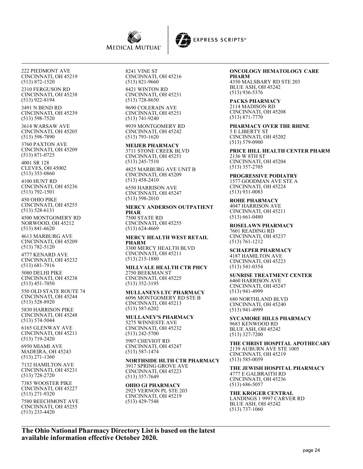



222 PIEDMONT AVE CINCINNATI, OH 45219 (513) 872-1520

2310 FERGUSON RD CINCINNATI, OH 45238 (513) 922-8194

3491 N BEND RD CINCINNATI, OH 45239 (513) 598-7520

3614 WARSAW AVE CINCINNATI, OH 45205 (513) 598-7890

3760 PAXTON AVE CINCINNATI, OH 45209 (513) 871-0725

4001 SR 128 CLEVES, OH 45002 (513) 353-0860

4100 HUNT RD CINCINNATI, OH 45236 (513) 792-1501

450 OHIO PIKE CINCINNATI, OH 45255 (513) 528-6131

4500 MONTGOMERY RD NORWOOD, OH 45212 (513) 841-6620

4613 MARBURG AVE CINCINNATI, OH 45209 (513) 782-5120

4777 KENARD AVE CINCINNATI, OH 45232 (513) 681-7916

5080 DELHI PIKE CINCINNATI, OH 45238 (513) 451-7050

550 OLD STATE ROUTE 74 CINCINNATI, OH 45244 (513) 528-8920

5830 HARRISON PIKE CINCINNATI, OH 45248 (513) 574-5044

6165 GLENWAY AVE CINCINNATI, OH 45211 (513) 719-2420

6950 MIAMI AVE MADEIRA, OH 45243 (513) 271-1360

7132 HAMILTON AVE CINCINNATI, OH 45231 (513) 728-2720

7385 WOOSTER PIKE CINCINNATI, OH 45227 (513) 271-9320

7580 BEECHMONT AVE CINCINNATI, OH 45255 (513) 233-4420

8241 VINE ST CINCINNATI, OH 45216 (513) 821-9660 8421 WINTON RD CINCINNATI, OH 45231

(513) 728-8650 9690 COLERAIN AVE CINCINNATI, OH 45251 (513) 741-9240 9939 MONTGOMERY RD

CINCINNATI, OH 45242 (513) 793-1620

**MEIJER PHARMACY** 3711 STONE CREEK BLVD CINCINNATI, OH 45251 (513) 245-7510 4825 MARBURG AVE UNIT B

CINCINNATI, OH 45209 (513) 458-2410

6550 HARRISON AVE CINCINNATI, OH 45247 (513) 598-2010

**MERCY ANDERSON OUTPATIENT PHAR** 7500 STATE RD CINCINNATI, OH 45255 (513) 624-4669

**MERCY HEALTH WEST RETAIL PHARM** 3300 MERCY HEALTH BLVD CINCINNATI, OH 45211 (513) 215-1880

**MILLVALE HEALTH CTR PHCY** 2750 BEEKMAN ST CINCINNATI, OH 45225 (513) 352-3195

**MULLANEYS LTC PHARMACY** 6096 MONTGOMERY RD STE B CINCINNATI, OH 45213 (513) 587-6202

**MULLANEY'S PHARMACY** 5275 WINNESTE AVE CINCINNATI, OH 45232 (513) 242-5700 5907 CHEVIOT RD

CINCINNATI, OH 45247 (513) 587-1474

**NORTHSIDE HLTH CTR PHARMACY** 3917 SPRING GROVE AVE CINCINNATI, OH 45223 (513) 357-7649

**OHIO GI PHARMACY** 2925 VERNON PL STE 203 CINCINNATI, OH 45219 (513) 429-7548

## **ONCOLOGY HEMATOLOGY CARE**

**PHARM** 4350 MALSBARY RD STE 203 BLUE ASH, OH 45242 (513) 936-5376

**PACKS PHARMACY** 2114 MADISON RD CINCINNATI, OH 45208 (513) 871-7770

**PHARMACY OVER THE RHINE** 5 E LIBERTY ST CINCINNATI, OH 45202 (513) 579-0900

**PRICE HILL HEALTH CENTER PHARM** 2136 W 8TH ST CINCINNATI, OH 45204 (513) 357-2705

**PROGRESSIVE PODIATRY** 1577 GOODMAN AVE STE A CINCINNATI, OH 45224 (513) 931-0083

**ROHE PHARMACY** 4047 HARRISON AVE CINCINNATI, OH 45211 (513) 661-0480

**ROSELAWN PHARMACY** 7601 READING RD CINCINNATI, OH 45237 (513) 761-1212

**SCHAEPER PHARMACY** 4187 HAMILTON AVE CINCINNATI, OH 45223 (513) 541-0354

**SUNRISE TREATMENT CENTER** 6460 HARRISON AVE CINCINNATI, OH 45247 (513) 941-4999

680 NORTHLAND BLVD CINCINNATI, OH 45240 (513) 941-4999

**SYCAMORE HILLS PHARMACY** 9683 KENWOOD RD BLUE ASH, OH 45242 (513) 327-7200

**THE CHRIST HOSPITAL APOTHECARY** 2139 AUBURN AVE STE 1005 CINCINNATI, OH 45219 (513) 585-0059

**THE JEWISH HOSPITAL PHARMACY** 4777 E GALBRAITH RD CINCINNATI, OH 45236 (513) 686-5057

**THE KROGER CENTRAL** LANDINGS 1 9997 CARVER RD BLUE ASH, OH 45242 (513) 737-1060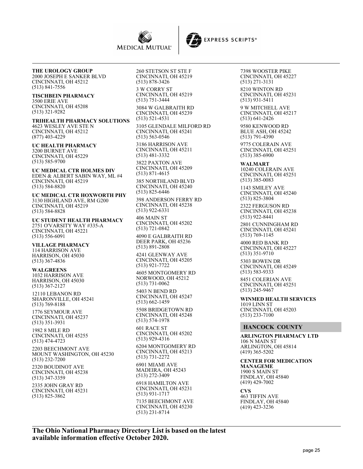



## **THE UROLOGY GROUP**

2000 JOSEPH E SANKER BLVD CINCINNATI, OH 45212 (513) 841-7556

#### **TISCHBEIN PHARMACY** 3500 ERIE AVE

CINCINNATI, OH 45208 (513) 321-9282

**TRIHEALTH PHARMACY SOLUTIONS** 4623 WESLEY AVE STE N CINCINNATI, OH 45212 (877) 403-4229

#### **UC HEALTH PHARMACY** 3200 BURNET AVE CINCINNATI, OH 45229 (513) 585-9700

**UC MEDICAL CTR HOLMES DIV** EDEN & ALBERT SABIN WAY, ML #4 CINCINNATI, OH 45219 (513) 584-8820

**UC MEDICAL CTR HOXWORTH PHY** 3130 HIGHLAND AVE, RM G200 CINCINNATI, OH 45219 (513) 584-8828

**UC STUDENT HEALTH PHARMACY** 2751 O'VARSITY WAY #335-A CINCINNATI, OH 45221 (513) 556-6091

**VILLAGE PHARMACY** 114 HARRISON AVE HARRISON, OH 45030 (513) 367-4836

#### **WALGREENS** 1032 HARRISON AVE HARRISON, OH 45030 (513) 367-2127

12110 LEBANON RD SHARONVILLE, OH 45241 (513) 769-8188

1776 SEYMOUR AVE CINCINNATI, OH 45237 (513) 351-3931

1982 8 MILE RD CINCINNATI, OH 45255 (513) 474-4723

2203 BEECHMONT AVE MOUNT WASHINGTON, OH 45230 (513) 232-7200

2320 BOUDINOT AVE CINCINNATI, OH 45238 (513) 347-3359

2335 JOHN GRAY RD CINCINNATI, OH 45231 (513) 825-3862

260 STETSON ST STE F CINCINNATI, OH 45219 (513) 878-3426

3 W CORRY ST CINCINNATI, OH 45219 (513) 751-3444

3084 W GALBRAITH RD CINCINNATI, OH 45239 (513) 521-4531

3105 GLENDALE MILFORD RD CINCINNATI, OH 45241 (513) 563-0546

3186 HARRISON AVE CINCINNATI, OH 45211 (513) 481-3332

3822 PAXTON AVE CINCINNATI, OH 45209 (513) 871-4615

385 NORTHLAND BLVD CINCINNATI, OH 45240 (513) 825-6446

398 ANDERSON FERRY RD CINCINNATI, OH 45238 (513) 922-6331

406 MAIN ST CINCINNATI, OH 45202 (513) 721-0842

4090 E GALBRAITH RD DEER PARK, OH 45236 (513) 891-2808

4241 GLENWAY AVE CINCINNATI, OH 45205 (513) 921-7722

4605 MONTGOMERY RD NORWOOD, OH 45212 (513) 731-0062

5403 N BEND RD CINCINNATI, OH 45247 (513) 662-1459

5508 BRIDGETOWN RD CINCINNATI, OH 45248 (513) 574-1978

601 RACE ST CINCINNATI, OH 45202 (513) 929-4316

6204 MONTGOMERY RD CINCINNATI, OH 45213 (513) 731-2272 6901 MIAMI AVE

MADEIRA, OH 45243 (513) 272-3409

6918 HAMILTON AVE CINCINNATI, OH 45231 (513) 931-1717 7135 BEECHMONT AVE CINCINNATI, OH 45230 (513) 231-8714

7398 WOOSTER PIKE CINCINNATI, OH 45227 (513) 271-3131 8210 WINTON RD CINCINNATI, OH 45231

(513) 931-5411 9 W MITCHELL AVE CINCINNATI, OH 45217 (513) 641-2426

9580 KENWOOD RD BLUE ASH, OH 45242 (513) 791-4390

9775 COLERAIN AVE CINCINNATI, OH 45251 (513) 385-6900

**WALMART** 10240 COLERAIN AVE CINCINNATI, OH 45251 (513) 385-0083

1143 SMILEY AVE CINCINNATI, OH 45240 (513) 825-3804

2322 FERGUSON RD CINCINNATI, OH 45238 (513) 922-8441

2801 CUNNINGHAM RD CINCINNATI, OH 45241 (513) 769-1145

4000 RED BANK RD CINCINNATI, OH 45227 (513) 351-9710

5303 BOWEN DR CINCINNATI, OH 45249 (513) 583-9333

8451 COLERIAN AVE CINCINNATI, OH 45251 (513) 245-9467

**WINMED HEALTH SERVICES** 1019 LINN ST CINCINNATI, OH 45203 (513) 233-7100

## **HANCOCK COUNTY**

**ARLINGTON PHARMACY LTD** 106 N MAIN ST ARLINGTON, OH 45814 (419) 365-5202

**CENTER FOR MEDICATION MANAGEME** 1900 S MAIN ST FINDLAY, OH 45840 (419) 429-7002

**CVS**

463 TIFFIN AVE FINDLAY, OH 45840 (419) 423-3236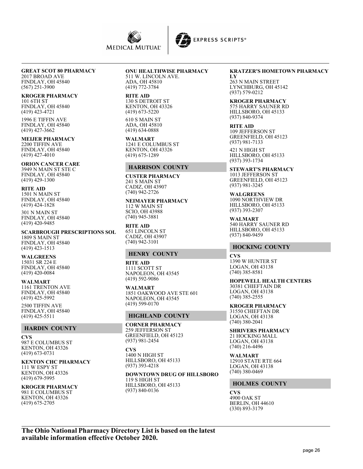



#### **GREAT SCOT 80 PHARMACY** 2017 BROAD AVE

FINDLAY, OH 45840 (567) 251-3900

# **KROGER PHARMACY**

101 6TH ST FINDLAY, OH 45840 (419) 423-4721 1996 E TIFFIN AVE

FINDLAY, OH 45840 (419) 427-3662

**MEIJER PHARMACY** 2200 TIFFIN AVE FINDLAY, OH 45840 (419) 427-4010

**ORION CANCER CARE** 3949 N MAIN ST STE C FINDLAY, OH 45840  $(419)$  429-1300

**RITE AID** 1501 N MAIN ST FINDLAY, OH 45840 (419) 424-1828

301 N MAIN ST FINDLAY, OH 45840 (419) 420-9485

**SCARBROUGH PRESCRIPTIONS SOL** 1809 S MAIN ST FINDLAY, OH 45840 (419) 423-1513

**WALGREENS** 15031 SR 224 E FINDLAY, OH 45840 (419) 420-0084

**WALMART** 1161 TRENTON AVE FINDLAY, OH 45840 (419) 425-5992

2500 TIFFIN AVE FINDLAY, OH 45840 (419) 425-5511

## **HARDIN COUNTY**

**CVS** 987 E COLUMBUS ST KENTON, OH 43326 (419) 673-0731

**KENTON CHC PHARMACY** 111 W ESPY ST KENTON, OH 43326 (419) 679-5995

**KROGER PHARMACY** 981 E COLUMBUS ST KENTON, OH 43326 (419) 675-2705

# **ONU HEALTHWISE PHARMACY**

511 W. LINCOLN AVE. ADA, OH 45810 (419) 772-3784

**RITE AID** 130 S DETROIT ST

KENTON, OH 43326 (419) 673-5220 610 S MAIN ST ADA, OH 45810 (419) 634-0888

**WALMART** 1241 E COLUMBUS ST KENTON, OH 43326 (419) 675-1289

## **HARRISON COUNTY**

**CUSTER PHARMACY** 241 S MAIN ST CADIZ, OH 43907 (740) 942-2726

**NEIMAYER PHARMACY** 112 W MAIN ST SCIO, OH 43988 (740) 945-3881

**RITE AID** 651 LINCOLN ST CADIZ, OH 43907 (740) 942-3101

## **HENRY COUNTY**

**RITE AID** 1111 SCOTT ST NAPOLEON, OH 43545 (419) 592-9086

**WALMART** 1851 OAKWOOD AVE STE 601 NAPOLEON, OH 43545 (419) 599-0170

## **HIGHLAND COUNTY**

**CORNER PHARMACY** 259 JEFFERSON ST GREENFIELD, OH 45123 (937) 981-2454

**CVS** 1400 N HIGH ST HILLSBORO, OH 45133 (937) 393-4218

**DOWNTOWN DRUG OF HILLSBORO**

119 S HIGH ST HILLSBORO, OH 45133 (937) 840-0136

#### **KRATZER'S HOMETOWN PHARMACY**

**LY** 263 N MAIN STREET LYNCHBURG, OH 45142 (937) 579-0212

**KROGER PHARMACY** 575 HARRY SAUNER RD HILLSBORO, OH 45133 (937) 840-9374

**RITE AID** 109 JEFFERSON ST GREENFIELD, OH 45123 (937) 981-7133

421 N HIGH ST HILLSBORO, OH 45133 (937) 393-1734

**STEWART'S PHARMACY** 1013 JEFFERSON ST GREENFIELD, OH 45123 (937) 981-3245

**WALGREENS** 1090 NORTHVIEW DR HILLSBORO, OH 45133 (937) 393-2307

**WALMART** 540 HARRY SAUNER RD HILLSBORO, OH 45133 (937) 840-9459

## **HOCKING COUNTY**

**CVS** 1390 W HUNTER ST LOGAN, OH 43138 (740) 385-8581

**HOPEWELL HEALTH CENTERS** 30381 CHIEFTAIN DR LOGAN, OH 43138 (740) 385-2555

**KROGER PHARMACY** 31550 CHIEFTAN DR LOGAN, OH 43138 (740) 380-2041

**SHRIVERS PHARMACY** 21 HOCKING MALL LOGAN, OH 43138 (740) 216-4496

**WALMART** 12910 STATE RTE 664 LOGAN, OH 43138 (740) 380-0469

## **HOLMES COUNTY**

**CVS** 4900 OAK ST BERLIN, OH 44610 (330) 893-3179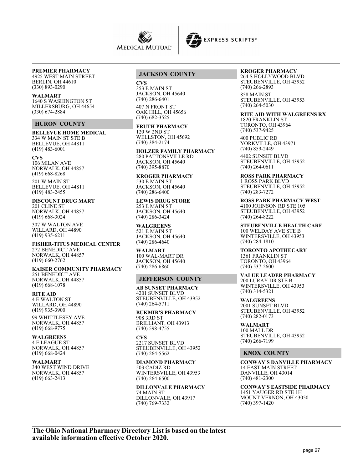



# **PREMIER PHARMACY**

4925 WEST MAIN STREET BERLIN, OH 44610 (330) 893-0290

#### **WALMART**

1640 S WASHINGTON ST MILLERSBURG, OH 44654 (330) 674-2884

#### **HURON COUNTY**

**BELLEVUE HOME MEDICAL** 334 W MAIN ST STE B BELLEVUE, OH 44811  $(419)$  483-6001

#### **CVS**

106 MILAN AVE NORWALK, OH 44857 (419) 668-8268

201 W MAIN ST BELLEVUE, OH 44811 (419) 483-2455

**DISCOUNT DRUG MART** 201 CLINE ST NORWALK, OH 44857 (419) 668-3024

307 W WALTON AVE WILLARD, OH 44890 (419) 935-6211

# **FISHER-TITUS MEDICAL CENTER**

272 BENEDICT AVE NORWALK, OH 44857 (419) 660-2762

# **KAISER COMMUNITY PHARMACY**

251 BENEDICT AVE NORWALK, OH 44857 (419) 668-1078

#### **RITE AID**

4 E WALTON ST WILLARD, OH 44890 (419) 935-3900

99 WHITTLESEY AVE NORWALK, OH 44857 (419) 668-9775

#### **WALGREENS**

4 E LEAGUE ST NORWALK, OH 44857 (419) 668-0424

## **WALMART**

340 WEST WIND DRIVE NORWALK, OH 44857 (419) 663-2413

## **JACKSON COUNTY**

#### **CVS**

353 E MAIN ST JACKSON, OH 45640 (740) 286-6401

407 N FRONT ST OAK HILL, OH 45656 (740) 682-3525

**FRUTH PHARMACY** 120 W 2ND ST WELLSTON, OH 45692 (740) 384-2174

**HOLZER FAMILY PHARMACY** 280 PATTONSVILLE RD JACKSON, OH 45640 (740) 395-8870

**KROGER PHARMACY** 530 E MAIN ST JACKSON, OH 45640 (740) 286-6400

**LEWIS DRUG STORE** 253 E MAIN ST JACKSON, OH 45640 (740) 286-3424

## **WALGREENS**

521 E MAIN ST JACKSON, OH 45640 (740) 286-4640

#### **WALMART**

100 WAL-MART DR JACKSON, OH 45640 (740) 286-6860

## **JEFFERSON COUNTY**

**AB SUNSET PHARMACY** 4201 SUNSET BLVD STEUBENVILLE, OH 43952 (740) 264-5711

**BUKMIR'S PHARMACY** 908 3RD ST BRILLIANT, OH 43913 (740) 598-4755

**CVS** 2217 SUNSET BLVD STEUBENVILLE, OH 43952 (740) 264-5562

**DIAMOND PHARMACY** 503 CADIZ RD WINTERSVILLE, OH 43953

(740) 264-6500 **DILLONVALE PHARMACY** 74 MAIN ST DILLONVALE, OH 43917 (740) 769-7332

#### **KROGER PHARMACY** 264 S HOLLYWOOD BLVD

STEUBENVILLE, OH 43952 (740) 266-2893

858 MAIN ST STEUBENVILLE, OH 43953 (740) 264-5030

# **RITE AID WITH WALGREENS RX**

1820 FRANKLIN ST TORONTO, OH 43964 (740) 537-9425

400 PUBLIC RD YORKVILLE, OH 43971 (740) 859-2449

4402 SUNSET BLVD STEUBENVILLE, OH 43952 (740) 264-0611

**ROSS PARK PHARMACY** 1 ROSS PARK BLVD STEUBENVILLE, OH 43952 (740) 283-7272

**ROSS PARK PHARMACY WEST** 4100 JOHNSON RD STE 105 STEUBENVILLE, OH 43952 (740) 264-8222

**STEUBENVILLE HEALTH CARE** 100 WELDAY AVE STE B WINTERSVILLE, OH 43953 (740) 284-1810

**TORONTO APOTHECARY** 1361 FRANKLIN ST TORONTO, OH 43964 (740) 537-2600

## **VALUE LEADER PHARMACY**

200 LURAY DR STE B WINTERSVILLE, OH 43953 (740) 314-5321

**WALGREENS** 2001 SUNSET BLVD STEUBENVILLE, OH 43952 (740) 282-0173

**WALMART** 100 MALL DR STEUBENVILLE, OH 43952 (740) 266-7199

#### **KNOX COUNTY**

**CONWAY'S DANVILLE PHARMACY** 14 EAST MAIN STREET DANVILLE, OH 43014 (740) 481-2300

**CONWAY'S EASTSIDE PHARMACY** 1451 YAUGER RD STE 1H MOUNT VERNON, OH 43050 (740) 397-1420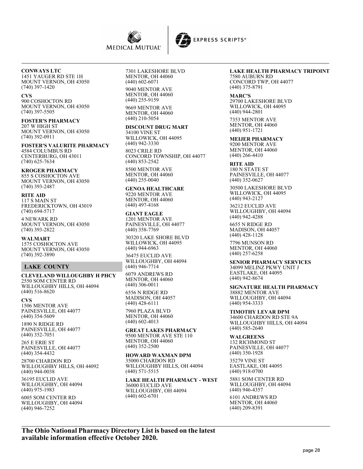



## **CONWAYS LTC**

1451 YAUGER RD STE 1H MOUNT VERNON, OH 43050 (740) 397-1420

#### **CVS**

900 COSHOCTON RD MOUNT VERNON, OH 43050 (740) 397-5505

# **FOSTER'S PHARMACY**

207 W HIGH ST MOUNT VERNON, OH 43050 (740) 392-0911

**FOSTER'S VALURITE PHARMACY** 4584 COLUMBUS RD CENTERBURG, OH 43011 (740) 625-7634

**KROGER PHARMACY** 855 S COSHOCTON AVE MOUNT VERNON, OH 43050 (740) 393-2487

**RITE AID** 117 S MAIN ST FREDERICKTOWN, OH 43019 (740) 694-5717

4 NEWARK RD MOUNT VERNON, OH 43050 (740) 393-2822

**WALMART** 1575 COSHOCTON AVE MOUNT VERNON, OH 43050 (740) 392-3890

## **LAKE COUNTY**

**CLEVELAND WILLOUGHBY H PHCY** 2550 SOM CENTER RD WILLOUGHBY HILLS, OH 44094 (440) 516-8620

**CVS** 1506 MENTOR AVE PAINESVILLE, OH 44077 (440) 354-5609

1890 N RIDGE RD PAINESVILLE, OH 44077 (440) 352-7051

265 E ERIE ST PAINESVILLE, OH 44077 (440) 354-4432

28700 CHARDON RD WILLOUGHBY HILLS, OH 44092 (440) 944-0038

36195 EUCLID AVE WILLOUGHBY, OH 44094 (440) 975-1983

6005 SOM CENTER RD WILLOUGHBY, OH 44094 (440) 946-7252

7301 LAKESHORE BLVD MENTOR, OH 44060 (440) 602-6071

9040 MENTOR AVE MENTOR, OH 44060 (440) 255-9159

9669 MENTOR AVE MENTOR, OH 44060 (440) 210-5054

## **DISCOUNT DRUG MART**

34100 VINE ST WILLOWICK, OH 44095 (440) 942-3330

8023 CRILE RD CONCORD TOWNSHIP, OH 44077 (440) 853-2542

8500 MENTOR AVE MENTOR, OH 44060 (440) 255-0040

#### **GENOA HEALTHCARE**

9220 MENTOR AVE MENTOR, OH 44060 (440) 497-4168

## **GIANT EAGLE**

1201 MENTOR AVE PAINESVILLE, OH 44077 (440) 358-7769

30320 LAKE SHORE BLVD WILLOWICK, OH 44095 (440) 944-6963

36475 EUCLID AVE WILLOUGHBY, OH 44094 (440) 946-7714

6079 ANDREWS RD MENTOR, OH 44060 (440) 306-0011

6556 N RIDGE RD MADISON, OH 44057 (440) 428-6111

7960 PLAZA BLVD MENTOR, OH 44060 (440) 602-4013

**GREAT LAKES PHARMACY** 9500 MENTOR AVE STE 110 MENTOR, OH 44060 (440) 352-2500

#### **HOWARD WAXMAN DPM** 35000 CHARDON RD WILLOUGHBY HILLS, OH 44094

(440) 571-5515

**LAKE HEALTH PHARMACY - WEST** 36000 EUCLID AVE WILLOUGHBY, OH 44094 (440) 602-6701

## **LAKE HEALTH PHARMACY TRIPOINT**

7580 AUBURN RD CONCORD TWP, OH 44077 (440) 375-8791

#### **MARC'S**

29700 LAKESHORE BLVD WILLOWICK, OH 44095 (440) 944-2801

7353 MENTOR AVE MENTOR, OH 44060 (440) 951-1721

**MEIJER PHARMACY** 9200 MENTOR AVE MENTOR, OH 44060 (440) 266-4410

**RITE AID** 180 N STATE ST PAINESVILLE, OH 44077 (440) 352-0627

30500 LAKESHORE BLVD WILLOWICK, OH 44095 (440) 943-2127

36212 EUCLID AVE WILLOUGHBY, OH 44094 (440) 942-4288

6655 N RIDGE RD MADISON, OH 44057 (440) 428-1128

7796 MUNSON RD MENTOR, OH 44060 (440) 257-6258

#### **SENIOR PHARMACY SERVICES**

34099 MELINZ PKWY UNIT J EASTLAKE, OH 44095 (440) 942-8674

#### **SIGNATURE HEALTH PHARMACY** 38882 MENTOR AVE WILLOUGHBY, OH 44094 (440) 954-3333

**TIMOTHY LEVAR DPM** 34600 CHARDON RD STE 9A WILLOUGHBY HILLS, OH 44094 (440) 585-2640

#### **WALGREENS**

132 RICHMOND ST PAINESVILLE, OH 44077 (440) 350-1928

35279 VINE ST EASTLAKE, OH 44095 (440) 918-0700

5881 SOM CENTER RD WILLOUGHBY, OH 44094 (440) 946-4357

6101 ANDREWS RD MENTOR, OH 44060 (440) 209-8391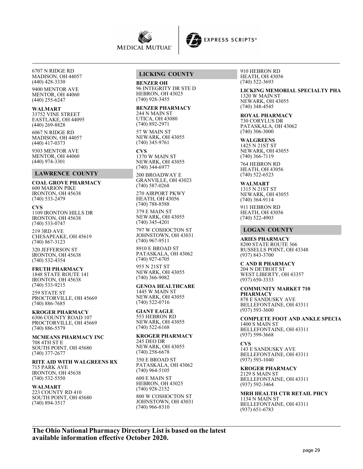



6707 N RIDGE RD MADISON, OH 44057 (440) 428-3330

9400 MENTOR AVE MENTOR, OH 44060 (440) 255-6247

#### **WALMART**

33752 VINE STREET EASTLAKE, OH 44095 (440) 269-8828

6067 N RIDGE RD MADISON, OH 44057 (440) 417-0373

9303 MENTOR AVE MENTOR, OH 44060 (440) 974-3301

## **LAWRENCE COUNTY**

**COAL GROVE PHARMACY** 600 MARION PIKE IRONTON, OH 45638  $(740)$  533-2479

**CVS** 1109 IRONTON HILLS DR

IRONTON, OH 45638 (740) 533-0747

219 3RD AVE CHESAPEAKE, OH 45619 (740) 867-3123

320 JEFFERSON ST IRONTON, OH 45638 (740) 532-4354

**FRUTH PHARMACY** 1848 STATE ROUTE 141 IRONTON, OH 45638

(740) 533-9215

259 STATE ST PROCTORVILLE, OH 45669 (740) 886-7685

**KROGER PHARMACY** 6306 COUNTY ROAD 107 PROCTORVILLE, OH 45669 (740) 886-5579

**MCMEANS PHARMACY INC** 708 4TH ST E SOUTH POINT, OH 45680 (740) 377-2677

**RITE AID WITH WALGREENS RX** 715 PARK AVE IRONTON, OH 45638 (740) 532-5550

**WALMART** 223 COUNTY RD 410 SOUTH POINT, OH 45680 (740) 894-3517

#### **LICKING COUNTY**

**BENZER OH** 96 INTEGRITY DR STE D HEBRON, OH 43025 (740) 928-3455

#### **BENZER PHARMACY**

244 N MAIN ST UTICA, OH 43080  $(740) 892 - 2971$ 

57 W MAIN ST NEWARK, OH 43055 (740) 345-9761

## **CVS**

1370 W MAIN ST NEWARK, OH 43055 (740) 344-6977

200 BROADWAY E GRANVILLE, OH 43023 (740) 587-0268

270 AIRPORT PKWY HEATH, OH 43056 (740) 788-8588

379 E MAIN ST NEWARK, OH 43055 (740) 345-4201

797 W COSHOCTON ST JOHNSTOWN, OH 43031 (740) 967-9511

8910 E BROAD ST PATASKALA, OH 43062 (740) 927-6705

955 N 21ST ST NEWARK, OH 43055 (740) 366-9082

**GENOA HEALTHCARE** 1445 W MAIN ST NEWARK, OH 43055 (740) 522-0716

**GIANT EAGLE** 553 HEBRON RD NEWARK, OH 43055 (740) 522-6168

**KROGER PHARMACY** 245 DEO DR NEWARK, OH 43055 (740) 258-6678

350 E BROAD ST PATASKALA, OH 43062 (740) 964-5105

600 E MAIN ST HEBRON, OH 43025 (740) 928-2152

800 W COSHOCTON ST JOHNSTOWN, OH 43031 (740) 966-8310

910 HEBRON RD HEATH, OH 43056 (740) 522-3693

**LICKING MEMORIAL SPECIALTY PHA** 1320 W MAIN ST NEWARK, OH 43055 (740) 348-4545

**ROYAL PHARMACY** 730 CORYLUS DR PATASKALA, OH 43062 (740) 306-3000

**WALGREENS** 1425 N 21ST ST NEWARK, OH 43055 (740) 366-7119

764 HEBRON RD HEATH, OH 43056 (740) 522-6523

**WALMART** 1315 N 21ST ST NEWARK, OH 43055 (740) 364-9114

911 HEBRON RD HEATH, OH 43056 (740) 522-4903

#### **LOGAN COUNTY**

**ARIES PHARMACY** 8200 STATE ROUTE 366 RUSSELLS POINT, OH 43348 (937) 843-3700

**C AND R PHARMACY** 204 N DETROIT ST WEST LIBERTY, OH 43357 (937) 650-3333

**COMMUNITY MARKET 710 PHARMACY** 878 E SANDUSKY AVE BELLEFONTAINE, OH 43311 (937) 593-3600

**COMPLETE FOOT AND ANKLE SPECIA** 1400 S MAIN ST BELLEFONTAINE, OH 43311 (937) 599-3668

**CVS** 143 E SANDUSKY AVE BELLEFONTAINE, OH 43311 (937) 593-1040

**KROGER PHARMACY** 2129 S MAIN ST BELLEFONTAINE, OH 43311 (937) 592-3464

**MRH HEALTH CTR RETAIL PHCY** 1134 N MAIN ST BELLEFONTAINE, OH 43311 (937) 651-6783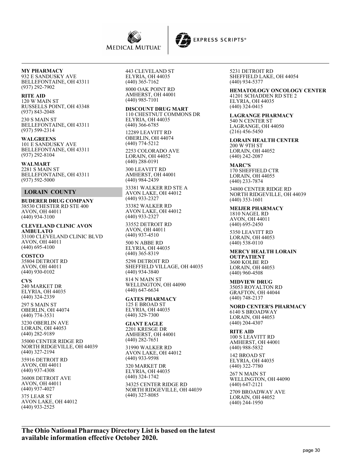



#### **RITE AID**

120 W MAIN ST RUSSELLS POINT, OH 43348 (937) 843-2048 230 S MAIN ST

BELLEFONTAINE, OH 43311 (937) 599-2314

**WALGREENS** 101 E SANDUSKY AVE BELLEFONTAINE, OH 43311 (937) 292-8104

**WALMART** 2281 S MAIN ST BELLEFONTAINE, OH 43311 (937) 592-5000

## **LORAIN COUNTY**

**BUDERER DRUG COMPANY** 38530 CHESTER RD STE 400 AVON, OH 44011 (440) 934-3100

**CLEVELAND CLINIC AVON AMBULATO** 33100 CLEVELAND CLINIC BLVD AVON, OH 44011 (440) 695-4100

**COSTCO** 35804 DETROIT RD AVON, OH 44011 (440) 930-0102

#### **CVS**

240 MARKET DR ELYRIA, OH 44035 (440) 324-2339

297 S MAIN ST OBERLIN, OH 44074 (440) 774-3531

3230 OBERLIN AVE LORAIN, OH 44053 (440) 282-9189

35000 CENTER RIDGE RD NORTH RIDGEVILLE, OH 44039 (440) 327-2194

35916 DETROIT RD AVON, OH 44011 (440) 937-4308

36008 DETROIT AVE AVON, OH 44011 (440) 937-4027

375 LEAR ST AVON LAKE, OH 44012 (440) 933-2525

443 CLEVELAND ST ELYRIA, OH 44035 (440) 365-7162 8000 OAK POINT RD

AMHERST, OH 44001 (440) 985-7101

#### **DISCOUNT DRUG MART**

110 CHESTNUT COMMONS DR ELYRIA, OH 44035 (440) 366-6785

12289 LEAVITT RD OBERLIN, OH 44074 (440) 774-5212

2253 COLORADO AVE LORAIN, OH 44052 (440) 288-0191

300 LEAVITT RD AMHERST, OH 44001 (440) 984-2439

33381 WALKER RD STE A AVON LAKE, OH 44012 (440) 933-2327 33382 WALKER RD AVON LAKE, OH 44012

(440) 933-2327 33552 DETROIT RD

AVON, OH 44011 (440) 937-4510 500 N ABBE RD

ELYRIA, OH 44035 (440) 365-8319

5298 DETROIT RD SHEFFIELD VILLAGE, OH 44035 (440) 934-3840 814 N MAIN ST WELLINGTON, OH 44090

(440) 647-6634 **GATES PHARMACY** 125 E BROAD ST

ELYRIA, OH 44035 (440) 329-7300

**GIANT EAGLE** 2201 KRESGE DR AMHERST, OH 44001 (440) 282-7651

31990 WALKER RD AVON LAKE, OH 44012 (440) 933-9598

320 MARKET DR ELYRIA, OH 44035 (440) 324-1742 34325 CENTER RIDGE RD

NORTH RIDGEVILLE, OH 44039 (440) 327-8085

5231 DETROIT RD SHEFFIELD LAKE, OH 44054 (440) 934-5377

**HEMATOLOGY ONCOLOGY CENTER** 41201 SCHADDEN RD STE 2 ELYRIA, OH 44035 (440) 324-0415

**LAGRANGE PHARMACY** 540 N CENTER ST LAGRANGE, OH 44050 (216) 456-5450

**LORAIN HEALTH CENTER** 200 W 9TH ST LORAIN, OH 44052 (440) 242-2087

**MARC'S** 170 SHEFFIELD CTR LORAIN, OH 44055

(440) 233-7874 34800 CENTER RIDGE RD NORTH RIDGEVILLE, OH 44039 (440) 353-1601

**MEIJER PHARMACY** 1810 NAGEL RD AVON, OH 44011 (440) 695-2450

5350 LEAVITT RD LORAIN, OH 44053 (440) 538-0110

**MERCY HEALTH LORAIN OUTPATIENT** 3600 KOLBE RD LORAIN, OH 44053 (440) 960-4508

**MIDVIEW DRUG** 35053 ROYALTON RD GRAFTON, OH 44044 (440) 748-2137

**NORD CENTER'S PHARMACY** 6140 S BROADWAY LORAIN, OH 44053 (440) 204-4307

**RITE AID**

100 S LEAVITT RD AMHERST, OH 44001 (440) 988-5832

142 BROAD ST ELYRIA, OH 44035 (440) 322-7780

267 N MAIN ST WELLINGTON, OH 44090 (440) 647-2121

2709 BROADWAY AVE LORAIN, OH 44052 (440) 244-1950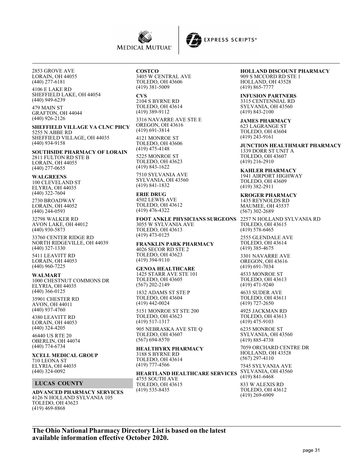



2853 GROVE AVE LORAIN, OH 44055 (440) 277-6181

4106 E LAKE RD SHEFFIELD LAKE, OH 44054 (440) 949-6239

479 MAIN ST GRAFTON, OH 44044 (440) 926-2126

**SHEFFIELD VILLAGE VA CLNC PHCY** 5255 N ABBE RD SHEFFIELD VILLAGE, OH 44035 (440) 934-9158

#### **SOUTHSIDE PHARMACY OF LORAIN**

2811 FULTON RD STE B LORAIN, OH 44055 (440) 277-0655

#### **WALGREENS**

100 CLEVELAND ST ELYRIA, OH 44035 (440) 322-7604

2730 BROADWAY LORAIN, OH 44052 (440) 244-0593

32798 WALKER RD AVON LAKE, OH 44012 (440) 930-5873

33760 CENTER RIDGE RD NORTH RIDGEVILLE, OH 44039 (440) 327-1330

5411 LEAVITT RD LORAIN, OH 44053 (440) 960-7225

#### **WALMART**

1000 CHESTNUT COMMONS DR ELYRIA, OH 44035 (440) 366-0125 35901 CHESTER RD AVON, OH 44011

(440) 937-4760 4380 LEAVITT RD LORAIN, OH 44053

(440) 324-4205 46440 US RTE 20 OBERLIN, OH 44074

(440) 774-6734

**XCELL MEDICAL GROUP** 710 LEONA ST ELYRIA, OH 44035 (440) 324-0092

#### **LUCAS COUNTY**

**ADVANCED PHARMACY SERVICES** 4126 N HOLLAND SYLVANIA 105 TOLEDO, OH 43623 (419) 469-8868

#### **COSTCO**

3405 W CENTRAL AVE TOLEDO, OH 43606 (419) 381-5009

**CVS** 2104 S BYRNE RD TOLEDO, OH 43614 (419) 389-9112

3316 NAVARRE AVE STE E OREGON, OH 43616 (419) 691-3814

4121 MONROE ST TOLEDO, OH 43606 (419) 475-4148

5225 MONROE ST TOLEDO, OH 43623 (419) 843-1622

7510 SYLVANIA AVE SYLVANIA, OH 43560 (419) 841-1832

## **ERIE DRUG**

4502 LEWIS AVE TOLEDO, OH 43612 (419) 476-4322

**FOOT ANKLE PHYSICIANS SURGEONS** 3055 W SYLVANIA AVE TOLEDO, OH 43613 (419) 473-0125

**FRANKLIN PARK PHARMACY** 4026 SECOR RD STE 2 TOLEDO, OH 43623 (419) 394-9110

## **GENOA HEALTHCARE**

1425 STARR AVE STE 101 TOLEDO, OH 43605 (567) 202-2149

1832 ADAMS ST STE P TOLEDO, OH 43604 (419) 442-0024

5151 MONROE ST STE 200 TOLEDO, OH 43623 (419) 517-1317

905 NEBRASKA AVE STE Q TOLEDO, OH 43607 (567) 694-8570

#### **HEALTHYRX PHARMACY**

3188 S BYRNE RD TOLEDO, OH 43614 (419) 777-4566

#### **HEARTLAND HEALTHCARE SERVICES** 4755 SOUTH AVE

TOLEDO, OH 43615 (419) 535-8435

## **HOLLAND DISCOUNT PHARMACY**

909 S MCCORD RD STE 1 HOLLAND, OH 43528 (419) 865-7777

**INFUSION PARTNERS**

3315 CENTENNIAL RD SYLVANIA, OH 43560 (419) 843-2100

**JAMES PHARMACY** 623 LAGRANGE ST TOLEDO, OH 43604 (419) 243-9161

**JUNCTION HEALTHMART PHARMACY** 1339 DORR ST UNIT A TOLEDO, OH 43607 (419) 216-2910

**KAHLER PHARMACY** 1941 AIRPORT HIGHWAY TOLEDO, OH 43609 (419) 382-2911

**KROGER PHARMACY** 1435 REYNOLDS RD MAUMEE, OH 43537 (567) 302-2689

2257 N HOLLAND SYLVANIA RD TOLEDO, OH 43615 (419) 578-6465

2555 GLENDALE AVE TOLEDO, OH 43614 (419) 385-4675

3301 NAVARRE AVE OREGON, OH 43616 (419) 691-7034

4533 MONROE ST TOLEDO, OH 43613 (419) 471-9240

4633 SUDER AVE TOLEDO, OH 43611 (419) 727-2650

4925 JACKMAN RD TOLEDO, OH 43613 (419) 475-9103

6235 MONROE ST SYLVANIA, OH 43560 (419) 885-4738

7059 ORCHARD CENTRE DR HOLLAND, OH 43528  $(567)$  297-4110

7545 SYLVANIA AVE SYLVANIA, OH 43560 (419) 841-6468

833 W ALEXIS RD TOLEDO, OH 43612 (419) 269-6909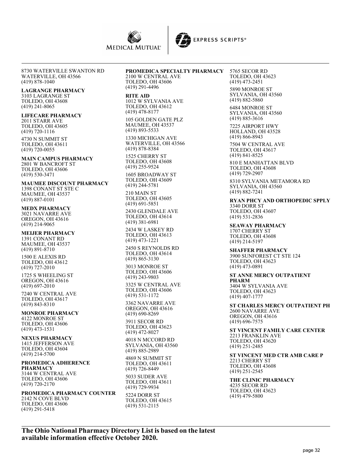



#### **LAGRANGE PHARMACY** 3103 LAGRANGE ST

TOLEDO, OH 43608 (419) 241-8065

## **LIFECARE PHARMACY**

2011 STARR AVE TOLEDO, OH 43605 (419) 720-1116

4730 N SUMMIT ST TOLEDO, OH 43611 (419) 720-0055

**MAIN CAMPUS PHARMACY** 2801 W BANCROFT ST TOLEDO, OH 43606 (419) 530-3471

**MAUMEE DISCOUNT PHARMACY** 1398 CONANT ST STE C MAUMEE, OH 43537 (419) 887-0101

**MEDX PHARMACY** 3021 NAVARRE AVE OREGON, OH 43616 (419) 214-9065

**MEIJER PHARMACY** 1391 CONANT RD MAUMEE, OH 43537 (419) 891-8710

1500 E ALEXIS RD TOLEDO, OH 43612 (419) 727-2010

1725 S WHEELING ST OREGON, OH 43616 (419) 697-2010

7240 W CENTRAL AVE TOLEDO, OH 43617 (419) 843-8310

#### **MONROE PHARMACY** 4122 MONROE ST TOLEDO, OH 43606 (419) 473-1531

**NEXUS PHARMACY** 1415 JEFFERSON AVE TOLEDO, OH 43604 (419) 214-5700

(419) 291-5418

#### **PROMEDICA ADHERENCE PHARMACY** 3144 W CENTRAL AVE TOLEDO, OH 43606

(419) 720-2170 **PROMEDICA PHARMACY COUNTER** 2142 N COVE BLVD TOLEDO, OH 43606

# **PROMEDICA SPECIALTY PHARMACY**

2100 W CENTRAL AVE TOLEDO, OH 43606 (419) 291-4496

#### **RITE AID**

1012 W SYLVANIA AVE TOLEDO, OH 43612 (419) 478-8177 105 GOLDEN GATE PLZ

MAUMEE, OH 43537 (419) 893-5533

1330 MICHIGAN AVE WATERVILLE, OH 43566 (419) 878-8384

1525 CHERRY ST TOLEDO, OH 43608 (419) 255-9524

1605 BROADWAY ST TOLEDO, OH 43609 (419) 244-5781

210 MAIN ST TOLEDO, OH 43605 (419) 691-5851

2430 GLENDALE AVE TOLEDO, OH 43614 (419) 381-6981

2434 W LASKEY RD TOLEDO, OH 43613 (419) 473-1221

2450 S REYNOLDS RD TOLEDO, OH 43614 (419) 865-3130 3013 MONROE ST TOLEDO, OH 43606 (419) 243-9803

3325 W CENTRAL AVE TOLEDO, OH 43606 (419) 531-1172

3362 NAVARRE AVE OREGON, OH 43616 (419) 690-8269

3911 SECOR RD TOLEDO, OH 43623 (419) 472-8027

4018 N MCCORD RD SYLVANIA, OH 43560 (419) 885-2989

4869 N SUMMIT ST TOLEDO, OH 43611 (419) 726-8449

5033 SUDER AVE TOLEDO, OH 43611 (419) 729-9934

5224 DORR ST TOLEDO, OH 43615 (419) 531-2115

5765 SECOR RD TOLEDO, OH 43623 (419) 473-2451 5890 MONROE ST SYLVANIA, OH 43560 (419) 882-5860

**EXPRESS SCRIPTS®** 

6484 MONROE ST SYLVANIA, OH 43560 (419) 885-3616

7225 AIRPORT HWY HOLLAND, OH 43528 (419) 866-8943

7504 W CENTRAL AVE TOLEDO, OH 43617 (419) 841-8525

810 E MANHATTAN BLVD TOLEDO, OH 43608 (419) 729-2907 8310 SYLVANIA METAMORA RD

SYLVANIA, OH 43560 (419) 882-7241

**RYAN PHCY AND ORTHOPEDIC SPPLY** 3340 DORR ST TOLEDO, OH 43607 (419) 531-2836

**SEAWAY PHARMACY** 1707 CHERRY ST TOLEDO, OH 43608 (419) 214-5197

**SHAFFER PHARMACY** 3900 SUNFOREST CT STE 124 TOLEDO, OH 43623 (419) 473-0891

**ST ANNE MERCY OUTPATIENT PHARM** 3404 W SYLVANIA AVE TOLEDO, OH 43623 (419) 407-1777

**ST CHARLES MERCY OUTPATIENT PH** 2600 NAVARRE AVE OREGON, OH 43616 (419) 696-7575

**ST VINCENT FAMILY CARE CENTER** 2213 FRANKLIN AVE TOLEDO, OH 43620 (419) 251-2485

**ST VINCENT MED CTR AMB CARE P** 2213 CHERRY ST TOLEDO, OH 43608 (419) 251-2545

**THE CLINIC PHARMACY** 4235 SECOR RD TOLEDO, OH 43623 (419) 479-5800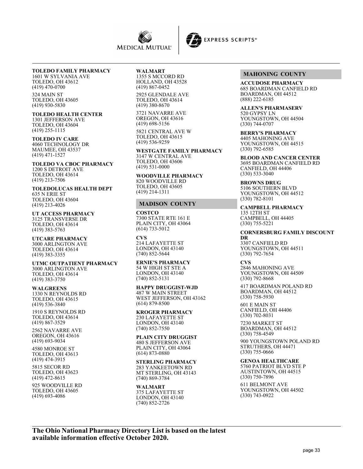



# **TOLEDO FAMILY PHARMACY**

1601 W SYLVANIA AVE TOLEDO, OH 43612 (419) 470-0700

324 MAIN ST TOLEDO, OH 43605 (419) 930-5830

# **TOLEDO HEALTH CENTER**

1301 JEFFERSON AVE TOLEDO, OH 43604 (419) 255-1115

#### **TOLEDO IV CARE**

4060 TECHNOLOGY DR MAUMEE, OH 43537 (419) 471-1527

**TOLEDO VA CBOC PHARMACY** 1200 S DETROIT AVE TOLEDO, OH 43614 (419) 213-7506

**TOLEDOLUCAS HEALTH DEPT** 635 N ERIE ST TOLEDO, OH 43604 (419) 213-4026

**UT ACCESS PHARMACY** 3125 TRANSVERSE DR TOLEDO, OH 43614 (419) 383-5763

**UTCARE PHARMACY** 3000 ARLINGTON AVE TOLEDO, OH 43614 (419) 383-3355

**UTMC OUTPATIENT PHARMACY** 3000 ARLINGTON AVE TOLEDO, OH 43614 (419) 383-3750

#### **WALGREENS**

1330 N REYNOLDS RD TOLEDO, OH 43615 (419) 536-3840

1910 S REYNOLDS RD TOLEDO, OH 43614 (419) 867-3529

2562 NAVARRE AVE OREGON, OH 43616 (419) 693-9034

4580 MONROE ST TOLEDO, OH 43613 (419) 474-3915

5815 SECOR RD TOLEDO, OH 43623 (419) 472-8615

925 WOODVILLE RD TOLEDO, OH 43605 (419) 693-4086

#### **WALMART**

1355 S MCCORD RD HOLLAND, OH 43528 (419) 867-0452

2925 GLENDALE AVE TOLEDO, OH 43614 (419) 380-8670

3721 NAVARRE AVE OREGON, OH 43616 (419) 698-5156

5821 CENTRAL AVE W TOLEDO, OH 43615 (419) 536-9259

**WESTGATE FAMILY PHARMACY** 3147 W CENTRAL AVE TOLEDO, OH 43606 (419) 531-0000

**WOODVILLE PHARMACY** 820 WOODVILLE RD TOLEDO, OH 43605 (419) 214-1311

## **MADISON COUNTY**

#### **COSTCO**

7300 STATE RTE 161 E PLAIN CITY, OH 43064 (614) 733-5012

#### **CVS**

214 LAFAYETTE ST LONDON, OH 43140 (740) 852-5644

**ERNIE'S PHARMACY** 54 W HIGH ST STE A LONDON, OH 43140 (740) 852-5131

**HAPPY DRUGGIST-WJD** 487 W MAIN STREET WEST JEFFERSON, OH 43162 (614) 879-8500

**KROGER PHARMACY** 230 LAFAYETTE ST LONDON, OH 43140 (740) 852-7550

**PLAIN CITY DRUGGIST** 480 S JEFFERSON AVE PLAIN CITY, OH 43064 (614) 873-0880

**STERLING PHARMACY** 283 YANKEETOWN RD MT STERLING, OH 43143 (740) 869-3784

#### **WALMART** 375 LAFAYETTE ST

LONDON, OH 43140 (740) 852-2726

## **MAHONING COUNTY**

**ACCUDOSE PHARMACY** 685 BOARDMAN CANFIELD RD BOARDMAN, OH 44512 (888) 222-6185

**ALLEN'S PHARMASERV** 520 GYPSY LN YOUNGSTOWN, OH 44504 (330) 744-0707

**BERRY'S PHARMACY** 4405 MAHONING AVE YOUNGSTOWN, OH 44515 (330) 792-6585

**BLOOD AND CANCER CENTER** 3695 BOARDMAN CANFIELD RD CANFIELD, OH 44406  $(330) 533 - 3040$ 

**BROWNS DRUG** 5106 SOUTHERN BLVD YOUNGSTOWN, OH 44512 (330) 782-8101

**CAMPBELL PHARMACY** 135 12TH ST CAMPBELL, OH 44405 (330) 755-5221

#### **CORNERSBURG FAMILY DISCOUNT**

**DR** 3307 CANFIELD RD YOUNGSTOWN, OH 44511 (330) 792-7654

**CVS** 2846 MAHONING AVE YOUNGSTOWN, OH 44509 (330) 792-8668

417 BOARDMAN POLAND RD BOARDMAN, OH 44512 (330) 758-5930

601 E MAIN ST CANFIELD, OH 44406 (330) 702-8031

7230 MARKET ST BOARDMAN, OH 44512 (330) 758-4549

900 YOUNGSTOWN POLAND RD STRUTHERS, OH 44471 (330) 755-0666

**GENOA HEALTHCARE**

5760 PATRIOT BLVD STE P AUSTINTOWN, OH 44515 (330) 750-7896

611 BELMONT AVE YOUNGSTOWN, OH 44502 (330) 743-0922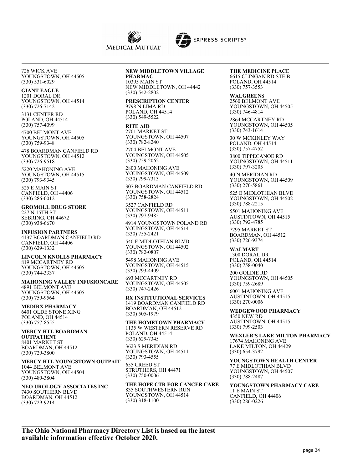



## **GIANT EAGLE**

1201 DORAL DR YOUNGSTOWN, OH 44514 (330) 726-7142

3131 CENTER RD POLAND, OH 44514 (330) 757-4099

4700 BELMONT AVE YOUNGSTOWN, OH 44505 (330) 759-9348

478 BOARDMAN CANFIELD RD YOUNGSTOWN, OH 44512 (330) 726-9518

5220 MAHONING AVE YOUNGSTOWN, OH 44515 (330) 793-9345

525 E MAIN ST CANFIELD, OH 44406 (330) 286-0012

**GROMOLL DRUG STORE** 227 N 15TH ST SEBRING, OH 44672 (330) 938-6670

**INFUSION PARTNERS** 4137 BOARDMAN CANFIELD RD CANFIELD, OH 44406 (330) 629-1332

**LINCOLN KNOLLS PHARMACY** 819 MCCARTNEY RD YOUNGSTOWN, OH 44505 (330) 744-3337

**MAHONING VALLEY INFUSIONCARE** 4891 BELMONT AVE YOUNGSTOWN, OH 44505 (330) 759-9564

**MEDIRX PHARMACY** 6401 OLDE STONE XING POLAND, OH 44514 (330) 757-8555

**MERCY HTL BOARDMAN OUTPATIENT** 8401 MARKET ST BOARDMAN, OH 44512 (330) 729-3800

**MERCY HTL YOUNGSTOWN OUTPAIT** 1044 BELMONT AVE YOUNGSTOWN, OH 44504 (330) 480-3804

**NEO UROLOGY ASSOCIATES INC** 7430 SOUTHERN BLVD BOARDMAN, OH 44512 (330) 729-9214

#### **NEW MIDDLETOWN VILLAGE**

**PHARMAC** 10395 MAIN ST NEW MIDDLETOWN, OH 44442 (330) 542-2802

#### **PRESCRIPTION CENTER** 9798 N LIMA RD

POLAND, OH 44514 (330) 549-5522

#### **RITE AID**

2701 MARKET ST YOUNGSTOWN, OH 44507 (330) 782-8240

2704 BELMONT AVE YOUNGSTOWN, OH 44505 (330) 759-2062

2800 MAHONING AVE YOUNGSTOWN, OH 44509 (330) 799-7313

307 BOARDMAN CANFIELD RD YOUNGSTOWN, OH 44512 (330) 758-2824

3527 CANFIELD RD YOUNGSTOWN, OH 44511 (330) 797-9485

4914 YOUNGSTOWN POLAND RD YOUNGSTOWN, OH 44514 (330) 755-2421

540 E MIDLOTHIAN BLVD YOUNGSTOWN, OH 44502 (330) 782-0807

5498 MAHONING AVE YOUNGSTOWN, OH 44515 (330) 793-4409

693 MCCARTNEY RD YOUNGSTOWN, OH 44505 (330) 747-2426

**RX INSTITUTIONAL SERVICES** 1419 BOARDMAN CANFIELD RD BOARDMAN, OH 44512 (330) 505-1979

**THE HOMETOWN PHARMACY** 1135 W WESTERN RESERVE RD POLAND, OH 44514 (330) 629-7345

3623 S MERIDIAN RD YOUNGSTOWN, OH 44511 (330) 793-4555

655 CREED ST STRUTHERS, OH 44471 (330) 750-0006

**THE HOPE CTR FOR CANCER CARE** 835 SOUTHWESTERN RUN YOUNGSTOWN, OH 44514 (330) 318-1100

#### **THE MEDICINE PLACE** 6615 CLINGAN RD STE B POLAND, OH 44514 (330) 757-3553

**WALGREENS** 2560 BELMONT AVE YOUNGSTOWN, OH 44505 (330) 746-4814

2864 MCCARTNEY RD YOUNGSTOWN, OH 44505 (330) 743-1614

30 W MCKINLEY WAY POLAND, OH 44514 (330) 757-4752

3800 TIPPECANOE RD YOUNGSTOWN, OH 44511 (330) 797-3205

40 N MERIDIAN RD YOUNGSTOWN, OH 44509 (330) 270-5861

525 E MIDLOTHIAN BLVD YOUNGSTOWN, OH 44502 (330) 788-2215

5501 MAHONING AVE AUSTINTOWN, OH 44515 (330) 792-4785

7295 MARKET ST BOARDMAN, OH 44512 (330) 726-9374

**WALMART** 1300 DORAL DR POLAND, OH 44514 (330) 758-0040

200 GOLDIE RD YOUNGSTOWN, OH 44505 (330) 759-2689

6001 MAHONING AVE AUSTINTOWN, OH 44515 (330) 270-0006

**WEDGEWOOD PHARMACY** 4350 NEW RD AUSTINTOWN, OH 44515

(330) 799-2503

**WEXLER'S LAKE MILTON PHARMACY** 17674 MAHONING AVE LAKE MILTON, OH 44429 (330) 654-3792

**YOUNGSTOWN HEALTH CENTER** 77 E MIDLOTHIAN BLVD YOUNGSTOWN, OH 44507 (330) 788-2487

**YOUNGSTOWN PHARMACY CARE** 11 E MAIN ST CANFIELD, OH 44406 (330) 286-0226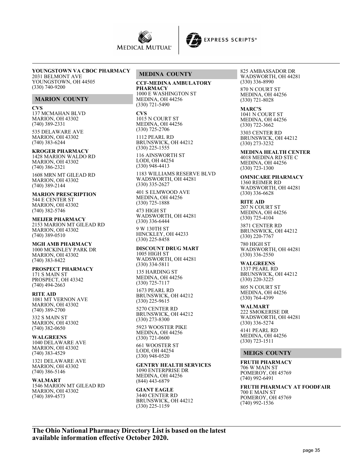



## **YOUNGSTOWN VA CBOC PHARMACY**

2031 BELMONT AVE YOUNGSTOWN, OH 44505 (330) 740-9200

## **MARION COUNTY**

**CVS**

137 MCMAHAN BLVD MARION, OH 43302 (740) 389-2331

535 DELAWARE AVE MARION, OH 43302 (740) 383-6244

#### **KROGER PHARMACY**

1428 MARION WALDO RD MARION, OH 43302 (740) 386-2321

1608 MRN MT GILEAD RD MARION, OH 43302 (740) 389-2144

**MARION PRESCRIPTION** 544 E CENTER ST MARION, OH 43302 (740) 382-5746

**MEIJER PHARMACY** 2153 MARION MT GILEAD RD MARION, OH 43302 (740) 389-0510

**MGH AMB PHARMACY** 1000 MCKINLEY PARK DR MARION, OH 43302 (740) 383-8422

**PROSPECT PHARMACY** 171 S MAIN ST PROSPECT, OH 43342 (740) 494-2663

**RITE AID** 1081 MT VERNON AVE MARION, OH 43302 (740) 389-2700

332 S MAIN ST MARION, OH 43302 (740) 382-0650

**WALGREENS** 1040 DELAWARE AVE MARION, OH 43302 (740) 383-4529

1321 DELAWARE AVE MARION, OH 43302 (740) 386-5146

**WALMART** 1546 MARION MT GILEAD RD MARION, OH 43302 (740) 389-4573

## **MEDINA COUNTY**

**CCF-MEDINA AMBULATORY PHARMACY** 1000 E WASHINGTON ST MEDINA, OH 44256 (330) 721-5490

**CVS** 1015 N COURT ST MEDINA, OH 44256 (330) 725-2706

1112 PEARL RD BRUNSWICK, OH 44212 (330) 225-1555

116 AINSWORTH ST LODI, OH 44254 (330) 948-4413

1183 WILLIAMS RESERVE BLVD WADSWORTH, OH 44281 (330) 335-2627

401 S ELMWOOD AVE MEDINA, OH 44256 (330) 725-1888 473 HIGH ST

WADSWORTH, OH 44281 (330) 336-6444

9 W 130TH ST HINCKLEY, OH 44233 (330) 225-8458

**DISCOUNT DRUG MART** 1005 HIGH ST WADSWORTH, OH 44281 (330) 334-5811

135 HARDING ST MEDINA, OH 44256 (330) 725-7117

1673 PEARL RD BRUNSWICK, OH 44212 (330) 225-9615

5270 CENTER RD BRUNSWICK, OH 44212 (330) 273-8300

5923 WOOSTER PIKE MEDINA, OH 44256 (330) 721-0600

661 WOOSTER ST LODI, OH 44254 (330) 948-0520

**GENTRY HEALTH SERVICES** 1090 ENTERPRISE DR MEDINA, OH 44256 (844) 443-6879

**GIANT EAGLE** 3440 CENTER RD BRUNSWICK, OH 44212 (330) 225-1159

825 AMBASSADOR DR WADSWORTH, OH 44281 (330) 336-8990 870 N COURT ST MEDINA, OH 44256 (330) 721-8028

**MARC'S** 1041 N COURT ST MEDINA, OH 44256 (330) 722-3662

3303 CENTER RD BRUNSWICK, OH 44212 (330) 273-3232

**MEDINA HEALTH CENTER** 4018 MEDINA RD STE C MEDINA, OH 44256 (330) 723-1300

**OMNICARE PHARMACY** 1360 REIMER RD WADSWORTH, OH 44281 (330) 336-6628

**RITE AID**

207 N COURT ST MEDINA, OH 44256 (330) 725-4104

3871 CENTER RD BRUNSWICK, OH 44212 (330) 220-7767

780 HIGH ST WADSWORTH, OH 44281 (330) 336-2550

**WALGREENS** 1337 PEARL RD BRUNSWICK, OH 44212 (330) 220-3225

805 N COURT ST MEDINA, OH 44256 (330) 764-4399

**WALMART** 222 SMOKERISE DR WADSWORTH, OH 44281 (330) 336-5274

4141 PEARL RD MEDINA, OH 44256 (330) 723-1511

## **MEIGS COUNTY**

**FRUTH PHARMACY** 706 W MAIN ST POMEROY, OH 45769 (740) 992-6491

**FRUTH PHARMACY AT FOODFAIR** 700 E MAIN ST POMEROY, OH 45769 (740) 992-1536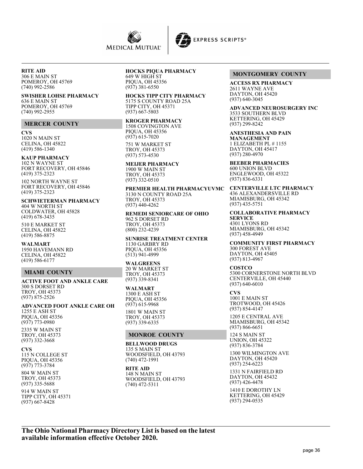

#### **RITE AID** 306 E MAIN ST POMEROY, OH 45769 (740) 992-2586

#### **SWISHER LOHSE PHARMACY**

636 E MAIN ST POMEROY, OH 45769 (740) 992-2955

#### **MERCER COUNTY**

**CVS** 1020 N MAIN ST CELINA, OH 45822 (419) 586-1340

## **KAUP PHARMACY**

102 N WAYNE ST FORT RECOVERY, OH 45846 (419) 375-2323

102 NORTH WAYNE ST FORT RECOVERY, OH 45846 (419) 375-2323

**SCHWIETERMAN PHARMACY** 404 W NORTH ST COLDWATER, OH 45828 (419) 678-3435

510 E MARKET ST CELINA, OH 45822 (419) 586-8875

**WALMART** 1950 HAVEMANN RD CELINA, OH 45822 (419) 586-6177

## **MIAMI COUNTY**

**ACTIVE FOOT AND ANKLE CARE** 300 S DORSET RD TROY, OH 45373 (937) 875-2526

**ADVANCED FOOT ANKLE CARE OH** 1255 E ASH ST PIQUA, OH 45356 (937) 773-0980

2335 W MAIN ST TROY, OH 45373 (937) 332-3668

**CVS** 115 N COLLEGE ST PIQUA, OH 45356 (937) 773-3784

804 W MAIN ST TROY, OH 45373 (937) 335-5688

914 W MAIN ST TIPP CITY, OH 45371 (937) 667-8428

# **HOCKS PIQUA PHARMACY**

649 W HIGH ST PIQUA, OH 45356 (937) 381-6550

**HOCKS TIPP CITY PHARMACY** 5175 S COUNTY ROAD 25A TIPP CITY, OH 45371 (937) 667-5803

#### **KROGER PHARMACY**

1508 COVINGTON AVE PIQUA, OH 45356 (937) 615-7020 751 W MARKET ST TROY, OH 45373 (937) 573-4530

**MEIJER PHARMACY** 1900 W MAIN ST TROY, OH 45373 (937) 332-0510

**PREMIER HEALTH PHARMACYUVMC** 3130 N COUNTY ROAD 25A TROY, OH 45373 (937) 440-4262

**REMEDI SENIORCARE OF OHIO** 962 S DORSET RD TROY, OH 45373 (800) 232-4239

**SUNRISE TREATMENT CENTER** 1130 GARBRY RD PIQUA, OH 45356 (513) 941-4999

**WALGREENS** 20 W MARKET ST TROY, OH 45373 (937) 339-8341

**WALMART** 1300 E ASH ST PIQUA, OH 45356 (937) 615-9968

1801 W MAIN ST TROY, OH 45373 (937) 339-6335

## **MONROE COUNTY**

**BELLWOOD DRUGS** 135 S MAIN ST WOODSFIELD, OH 43793 (740) 472-1991

**RITE AID** 148 N MAIN ST WOODSFIELD, OH 43793 (740) 472-5311

## **MONTGOMERY COUNTY**

**ACCESS RX PHARMACY** 2611 WAYNE AVE DAYTON, OH 45420 (937) 640-3045

**ADVANCED NEUROSURGERY INC** 3533 SOUTHERN BLVD KETTERING, OH 45429 (937) 299-8242

**ANESTHESIA AND PAIN MANAGEMENT** 1 ELIZABETH PL # 1155 DAYTON, OH 45417 (937) 280-4970

**BEEBER PHARMACIES** 600 UNION BLVD ENGLEWOOD, OH 45322 (937) 836-6331

**CENTERVILLE LTC PHARMACY** 436 ALEXANDERSVILLE RD MIAMISBURG, OH 45342 (937) 435-5751

**COLLABORATIVE PHARMACY SERVICE** 4301 LYONS RD MIAMISBURG, OH 45342 (937) 458-4949

**COMMUNITY FIRST PHARMACY** 300 FOREST AVE DAYTON, OH 45405 (937) 813-4967

**COSTCO** 5300 CORNERSTONE NORTH BLVD CENTERVILLE, OH 45440 (937) 640-6010

**CVS** 1001 E MAIN ST TROTWOOD, OH 45426 (937) 854-4147

1205 E CENTRAL AVE MIAMISBURG, OH 45342 (937) 866-6651

124 S MAIN ST UNION, OH 45322 (937) 836-3784

1300 WILMINGTON AVE DAYTON, OH 45420 (937) 254-6223

1331 N FAIRFIELD RD DAYTON, OH 45432 (937) 426-4478

1410 E DOROTHY LN KETTERING, OH 45429 (937) 294-0535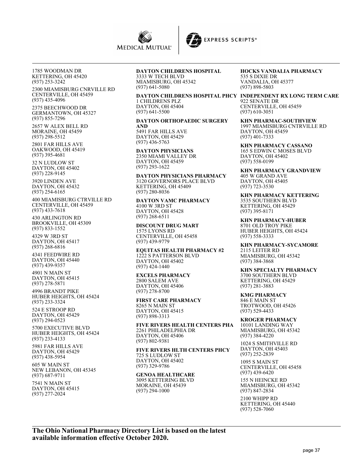



1785 WOODMAN DR KETTERING, OH 45420 (937) 253-3242

2300 MIAMISBURG CNRVILLE RD CENTERVILLE, OH 45459 (937) 435-4096

2375 BEECHWOOD DR GERMANTOWN, OH 45327 (937) 855-7296

2657 W ALEX BELL RD MORAINE, OH 45459 (937) 298-5512

2801 FAR HILLS AVE OAKWOOD, OH 45419 (937) 395-4681

32 N LUDLOW ST DAYTON, OH 45402 (937) 228-9145

3920 LINDEN AVE DAYTON, OH 45432 (937) 254-6165

400 MIAMISBURG CTRVILLE RD CENTERVILLE, OH 45459 (937) 433-7618

430 ARLINGTON RD BROOKVILLE, OH 45309 (937) 833-1552

4329 W 3RD ST DAYTON, OH 45417 (937) 268-6816

4341 FEEDWIRE RD DAYTON, OH 45440 (937) 439-9357

4901 N MAIN ST DAYTON, OH 45415 (937) 278-5871

4996 BRANDT PIKE HUBER HEIGHTS, OH 45424 (937) 233-3324

524 E STROOP RD DAYTON, OH 45429 (937) 294-0523

5700 EXECUTIVE BLVD HUBER HEIGHTS, OH 45424 (937) 233-4133

5981 FAR HILLS AVE DAYTON, OH 45429 (937) 438-5954

605 W MAIN ST NEW LEBANON, OH 45345 (937) 687-9711

7541 N MAIN ST DAYTON, OH 45415 (937) 277-2024

#### **DAYTON CHILDRENS HOSPITAL** 3333 W TECH BLVD

MIAMISBURG, OH 45342 (937) 641-5080

## 1 CHILDRENS PLZ DAYTON, OH 45404 (937) 641-5500

**DAYTON ORTHOPAEDIC SURGERY AND** 5491 FAR HILLS AVE DAYTON, OH 45429 (937) 436-5763

**DAYTON PHYSICIANS** 2350 MIAMI VALLEY DR DAYTON, OH 45459 (937) 293-1622

**DAYTON PHYSICIANS PHARMACY** 3120 GOVERNORS PLACE BLVD KETTERING, OH 45409 (937) 280-8036

**DAYTON VAMC PHARMACY** 4100 W 3RD ST DAYTON, OH 45428 (937) 268-6511

**DISCOUNT DRUG MART** 1575 LYONS RD CENTERVILLE, OH 45458 (937) 439-9779

**EQUITAS HEALTH PHARMACY #2** 1222 S PATTERSON BLVD DAYTON, OH 45402 (937) 424-1440

**EXCELS PHARMACY** 2800 SALEM AVE DAYTON, OH 45406 (937) 278-8700

**FIRST CARE PHARMACY** 8265 N MAIN ST DAYTON, OH 45415 (937) 898-3313

**FIVE RIVERS HEALTH CENTERS PHA** 2261 PHILADELPHIA DR DAYTON, OH 45406 (937) 802-9381

**FIVE RIVERS HLTH CENTERS PHCY** 725 S LUDLOW ST DAYTON, OH 45402 (937) 329-9786

**GENOA HEALTHCARE** 3095 KETTERING BLVD MORAINE, OH 45439 (937) 294-1000

**HOCKS VANDALIA PHARMACY** 535 S DIXIE DR VANDALIA, OH 45377 (937) 898-5803

**DAYTON CHILDRENS HOSPITAL PHCY INDEPENDENT RX LONG TERM CARE** 922 SENATE DR CENTERVILLE, OH 45459 (937) 610-3051

> **KHN PHARMAC-SOUTHVIEW** 1997 MIAMISBURG CNTRVILLE RD DAYTON, OH 45459 (937) 401-7333

**KHN PHARMACY CASSANO** 165 S EDWIN C MOSES BLVD DAYTON, OH 45402 (937) 558-0199

**KHN PHARMACY GRANDVIEW** 405 W GRAND AVE DAYTON, OH 45405 (937) 723-3530

**KHN PHARMACY KETTERING** 3535 SOUTHERN BLVD KETTERING, OH 45429 (937) 395-8171

**KHN PHARMACY-HUBER** 8701 OLD TROY PIKE HUBER HEIGHTS, OH 45424 (937) 558-3333

**KHN PHARMACY-SYCAMORE** 2115 LEITER RD MIAMISBURG, OH 45342 (937) 384-3868

**KHN SPECIALTY PHARMACY** 3700 SOUTHERN BLVD KETTERING, OH 45429 (937) 281-3883

**KMG PHARMACY** 846 E MAIN ST TROTWOOD, OH 45426 (937) 529-4433

**KROGER PHARMACY** 10101 LANDING WAY MIAMISBURG, OH 45342 (937) 384-4220

1024 S SMITHVILLE RD DAYTON, OH 45403 (937) 252-2839

1095 S MAIN ST CENTERVILLE, OH 45458 (937) 439-6420

155 N HEINCKE RD MIAMISBURG, OH 45342 (937) 847-2834

2100 WHIPP RD KETTERING, OH 45440 (937) 528-7060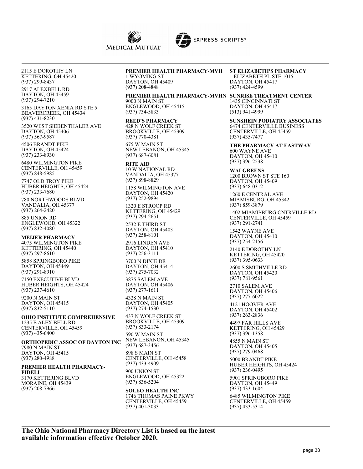

2115 E DOROTHY LN KETTERING, OH 45420 (937) 299-8437

2917 ALEXBELL RD DAYTON, OH 45459 (937) 294-7210

3165 DAYTON XENIA RD STE 5 BEAVERCREEK, OH 45434 (937) 431-8230

3520 WEST SIEBENTHALER AVE DAYTON, OH 45406 (937) 567-9587

4506 BRANDT PIKE DAYTON, OH 45424 (937) 233-8930

6480 WILMINGTON PIKE CENTERVILLE, OH 45459 (937) 848-5985

7747 OLD TROY PIKE HUBER HEIGHTS, OH 45424 (937) 233-7680

780 NORTHWOODS BLVD VANDALIA, OH 45377 (937) 264-2420

885 UNION RD ENGLEWOOD, OH 45322 (937) 832-4080

**MEIJER PHARMACY** 4075 WILMINGTON PIKE KETTERING, OH 45440 (937) 297-8610

5858 SPRINGBORO PIKE DAYTON, OH 45449 (937) 291-8910

7150 EXECUTIVE BLVD HUBER HEIGHTS, OH 45424 (937) 237-4610

9200 N MAIN ST DAYTON, OH 45415 (937) 832-5110

**OHIO INSTITUTE COMPREHENSIVE** 1235 E ALEX BELL RD CENTERVILLE, OH 45459 (937) 435-6400

**ORTHOPEDIC ASSOC OF DAYTON INC** 7980 N MAIN ST DAYTON, OH 45415 (937) 280-4988

## **PREMIER HEALTH PHARMACY-FIDELI**

3170 KETTERING BLVD MORAINE, OH 45439 (937) 208-7966

# **PREMIER HEALTH PHARMACY-MVH**

1 WYOMING ST DAYTON, OH 45409 (937) 208-4848

**PREMIER HEALTH PHARMACY-MVHN SUNRISE TREATMENT CENTER**

9000 N MAIN ST ENGLEWOOD, OH 45415 (937) 734-5833

**REED'S PHARMACY**

428 N WOLF CREEK ST BROOKVILLE, OH 45309 (937) 770-4381 675 W MAIN ST

NEW LEBANON, OH 45345 (937) 687-6081

**RITE AID** 10 W NATIONAL RD VANDALIA, OH 45377 (937) 898-8829

1158 WILMINGTON AVE DAYTON, OH 45420 (937) 252-9894

1320 E STROOP RD KETTERING, OH 45429 (937) 294-2651

2532 E THIRD ST DAYTON, OH 45403 (937) 258-8101

2916 LINDEN AVE DAYTON, OH 45410 (937) 256-3111

3700 N DIXIE DR DAYTON, OH 45414 (937) 275-7032 3875 SALEM AVE DAYTON, OH 45406

(937) 277-1611 4328 N MAIN ST

DAYTON, OH 45405 (937) 274-1530

437 N WOLF CREEK ST BROOKVILLE, OH 45309 (937) 833-2174 590 W MAIN ST

NEW LEBANON, OH 45345 (937) 687-3456

898 S MAIN ST CENTERVILLE, OH 45458 (937) 433-4909 900 UNION ST ENGLEWOOD, OH 45322 (937) 836-5204

**SOLEO HEALTH INC** 1746 THOMAS PAINE PKWY CENTERVILLE, OH 45459 (937) 401-3033

**ST ELIZABETH'S PHARMACY** 1 ELIZABETH PL STE 1015 DAYTON, OH 45417 (937) 424-4599

1435 CINCINNATI ST DAYTON, OH 45417 (513) 941-4999

**SUNSHEIN PODIATRY ASSOCIATES** 6474 CENTERVILLE BUSINESS CENTERVILLE, OH 45459 (937) 435-7477

**THE PHARMACY AT EASTWAY** 600 WAYNE AVE DAYTON, OH 45410 (937) 396-2538

**WALGREENS** 1200 BROWN ST STE 160 DAYTON, OH 45409 (937) 648-0312

1260 E CENTRAL AVE MIAMISBURG, OH 45342 (937) 859-3879

1402 MIAMISBURG CNTRVILLE RD CENTERVILLE, OH 45459 (937) 291-2741

1542 WAYNE AVE DAYTON, OH 45410 (937) 254-2156

2140 E DOROTHY LN KETTERING, OH 45420 (937) 395-0633

2600 S SMITHVILLE RD DAYTON, OH 45420 (937) 781-9561

2710 SALEM AVE DAYTON, OH 45406 (937) 277-6022

4121 HOOVER AVE DAYTON, OH 45402 (937) 263-2836

4497 FAR HILLS AVE KETTERING, OH 45429 (937) 396-1358

4855 N MAIN ST DAYTON, OH 45405 (937) 279-0468

5000 BRANDT PIKE HUBER HEIGHTS, OH 45424 (937) 236-0495

5901 SPRINGBORO PIKE DAYTON, OH 45449 (937) 433-1604

6485 WILMINGTON PIKE CENTERVILLE, OH 45459 (937) 433-5314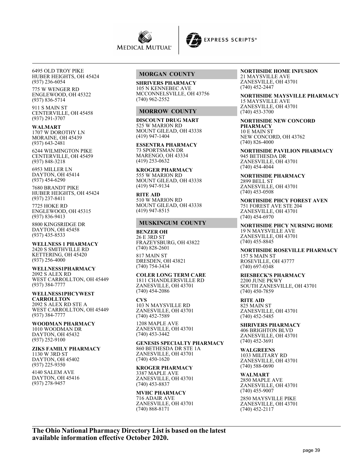



6495 OLD TROY PIKE HUBER HEIGHTS, OH 45424 (937) 236-6054

775 W WENGER RD ENGLEWOOD, OH 45322 (937) 836-5714

911 S MAIN ST CENTERVILLE, OH 45458 (937) 291-3707

**WALMART** 1707 W DOROTHY LN MORAINE, OH 45439 (937) 643-2481

6244 WILMINGTON PIKE CENTERVILLE, OH 45459 (937) 848-3218

6953 MILLER LN DAYTON, OH 45414 (937) 454-6290

7680 BRANDT PIKE HUBER HEIGHTS, OH 45424 (937) 237-8411 7725 HOKE RD

ENGLEWOOD, OH 45315 (937) 836-9413

8800 KINGSRIDGE DR DAYTON, OH 45458 (937) 435-8533

**WELLNESS 1 PHARMACY** 2420 S SMITHVILLE RD KETTERING, OH 45420 (937) 256-4000

**WELLNESS1PHARMACY** 2092 S ALEX RD WEST CARROLLTON, OH 45449 (937) 384-7777

**WELLNESS1PHCYWEST CARROLLTON** 2092 S ALEX RD STE A WEST CARROLLTON, OH 45449 (937) 384-7777

**WOODMAN PHARMACY** 1010 WOODMAN DR DAYTON, OH 45432 (937) 252-9100

**ZIKS FAMILY PHARMACY** 1130 W 3RD ST DAYTON, OH 45402 (937) 225-9350

4140 SALEM AVE DAYTON, OH 45416 (937) 278-9457

## **MORGAN COUNTY**

**SHRIVERS PHARMACY** 105 N KENNEBEC AVE MCCONNELSVILLE, OH 43756 (740) 962-2552

## **MORROW COUNTY**

**DISCOUNT DRUG MART** 525 W MARION RD MOUNT GILEAD, OH 43338 (419) 947-1404

**ESSENTRA PHARMACY** 73 SPORTSMAN DR MARENGO, OH 43334 (419) 253-0632

**KROGER PHARMACY** 555 W MARION RD MOUNT GILEAD, OH 43338 (419) 947-9134

**RITE AID** 510 W MARION RD MOUNT GILEAD, OH 43338 (419) 947-8515

#### **MUSKINGUM COUNTY**

**BENZER OH** 26 E 3RD ST FRAZEYSBURG, OH 43822 (740) 828-2601

817 MAIN ST DRESDEN, OH 43821 (740) 754-3434

**COLER LONG TERM CARE** 1811 CHANDLERSVILLE RD ZANESVILLE, OH 43701 (740) 454-2086

**CVS** 103 N MAYSVILLE RD ZANESVILLE, OH 43701 (740) 452-7589

1208 MAPLE AVE ZANESVILLE, OH 43701 (740) 453-3442

**GENESIS SPECIALTY PHARMACY** 860 BETHESDA DR STE 1A ZANESVILLE, OH 43701 (740) 450-1620

**KROGER PHARMACY**

3387 MAPLE AVE ZANESVILLE, OH 43701 (740) 453-8837

## **MVHC PHARMACY**

716 ADAIR AVE ZANESVILLE, OH 43701 (740) 868-8171

**NORTHSIDE HOME INFUSION** 21 MAYSVILLE AVE ZANESVILLE, OH 43701 (740) 452-2447

**NORTHSIDE MAYSVILLE PHARMACY** 15 MAYSVILLE AVE ZANESVILLE, OH 43701 (740) 453-3700

**NORTHSIDE NEW CONCORD PHARMACY** 10 E MAIN ST NEW CONCORD, OH 43762 (740) 826-4000

**NORTHSIDE PAVILION PHARMACY** 945 BETHESDA DR ZANESVILLE, OH 43701 (740) 454-4044

**NORTHSIDE PHARMACY** 2899 BELL ST ZANESVILLE, OH 43701 (740) 453-0508

**NORTHSIDE PHCY FOREST AVEN** 751 FOREST AVE STE 204 ZANESVILLE, OH 43701 (740) 454-6970

**NORTHSIDE PHCY NURSING HOME** 19 N MAYSVILLE AVE ZANESVILLE, OH 43701 (740) 455-8845

**NORTHSIDE ROSEVILLE PHARMACY** 157 S MAIN ST ROSEVILLE, OH 43777 (740) 697-0348

## **RIESBECK'S PHARMACY**

2200 JUNE PKWY SOUTH ZANESVILLE, OH 43701 (740) 450-7859

**RITE AID** 825 MAIN ST ZANESVILLE, OH 43701 (740) 452-5485

**SHRIVERS PHARMACY**

406 BRIGHTON BLVD ZANESVILLE, OH 43701 (740) 452-3691

**WALGREENS** 1033 MILITARY RD ZANESVILLE, OH 43701 (740) 588-0690

**WALMART** 2850 MAPLE AVE ZANESVILLE, OH 43701 (740) 455-9007

2850 MAYSVILLE PIKE ZANESVILLE, OH 43701 (740) 452-2117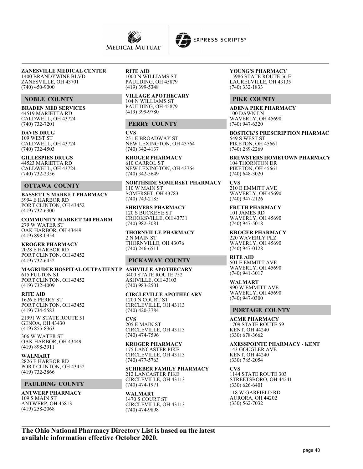



**ZANESVILLE MEDICAL CENTER** 1400 BRANDYWINE BLVD ZANESVILLE, OH 43701 (740) 450-9000

## **NOBLE COUNTY**

**BRADEN MED SERVICES** 44519 MARIETTA RD CALDWELL, OH 43724 (740) 732-7201

**DAVIS DRUG** 109 WEST ST CALDWELL, OH 43724 (740) 732-4503

**GILLESPIES DRUGS** 44523 MARIETTA RD CALDWELL, OH 43724 (740) 732-2356

#### **OTTAWA COUNTY**

**BASSETT'S MARKET PHARMACY** 3994 E HARBOR RD PORT CLINTON, OH 43452 (419) 732-6300

**COMMUNITY MARKET 240 PHARM** 279 W WATER ST OAK HARBOR, OH 43449 (419) 898-0954

**KROGER PHARMACY** 2028 E HARBOR RD PORT CLINTON, OH 43452 (419) 732-6452

**MAGRUDER HOSPITAL OUTPATIENT P ASHVILLE APOTHECARY** 615 FULTON ST PORT CLINTON, OH 43452 (419) 732-4009

**RITE AID** 1626 E PERRY ST PORT CLINTON, OH 43452 (419) 734-5583

21991 W STATE ROUTE 51 GENOA, OH 43430 (419) 855-8363

306 W WATER ST OAK HARBOR, OH 43449 (419) 898-3911

**WALMART** 2826 E HARBOR RD PORT CLINTON, OH 43452 (419) 732-3866

## **PAULDING COUNTY**

**ANTWERP PHARMACY** 109 S MAIN ST ANTWERP, OH 45813 (419) 258-2068

#### **RITE AID**

1000 N WILLIAMS ST PAULDING, OH 45879 (419) 399-5348

**VILLAGE APOTHECARY** 104 N WILLIAMS ST PAULDING, OH 45879 (419) 399-9780

#### **PERRY COUNTY**

**CVS** 251 E BROADWAY ST NEW LEXINGTON, OH 43764 (740) 342-4137

**KROGER PHARMACY** 610 CARROL ST NEW LEXINGTON, OH 43764 (740) 342-5649

**NORTHSIDE SOMERSET PHARMACY** 110 W MAIN ST SOMERSET, OH 43783 (740) 743-2185

**SHRIVERS PHARMACY** 120 S BUCKEYE ST CROOKSVILLE, OH 43731 (740) 982-3081

**THORNVILLE PHARMACY** 2 N MAIN ST THORNVILLE, OH 43076 (740) 246-6511

## **PICKAWAY COUNTY**

3400 STATE ROUTE 752 ASHVILLE, OH 43103 (740) 983-2501

**CIRCLEVILLE APOTHECARY** 1200 N COURT ST CIRCLEVILLE, OH 43113 (740) 420-3784

**CVS** 205 E MAIN ST CIRCLEVILLE, OH 43113 (740) 474-7596

**KROGER PHARMACY** 175 LANCASTER PIKE CIRCLEVILLE, OH 43113 (740) 477-5763

**SCHIEBER FAMILY PHARMACY** 212 LANCASTER PIKE CIRCLEVILLE, OH 43113 (740) 474-1971

**WALMART** 1470 S COURT ST CIRCLEVILLE, OH 43113 (740) 474-9898

**YOUNG'S PHARMACY** 15986 STATE ROUTE 56 E LAURELVILLE, OH 43135 (740) 332-1833

## **PIKE COUNTY**

**ADENA PIKE PHARMACY** 100 DAWN LN WAVERLY, OH 45690 (740) 947-6320

**BOSTICK'S PRESCRIPTION PHARMAC** 549 S WEST ST PIKETON, OH 45661  $(740)$  289-2269

**BREWSTERS HOMETOWN PHARMACY** 104 THORNTON DR PIKETON, OH 45661 (740) 648-3020

**CVS** 210 E EMMITT AVE WAVERLY, OH 45690 (740) 947-2126

**FRUTH PHARMACY** 101 JAMES RD WAVERLY, OH 45690 (740) 947-5018

**KROGER PHARMACY** 220 WAVERLY PLZ WAVERLY, OH 45690 (740) 947-0128

**RITE AID** 501 E EMMITT AVE WAVERLY, OH 45690 (740) 941-3017

**WALMART** 990 W EMMITT AVE WAVERLY, OH 45690 (740) 947-0300

#### **PORTAGE COUNTY**

**ACME PHARMACY** 1709 STATE ROUTE 59 KENT, OH 44240 (330) 678-3662

**AXESSPOINTE PHARMACY - KENT** 143 GOUGLER AVE KENT, OH 44240 (330) 785-2054

**CVS** 1144 STATE ROUTE 303 STREETSBORO, OH 44241 (330) 626-6401

118 W GARFIELD RD AURORA, OH 44202 (330) 562-7032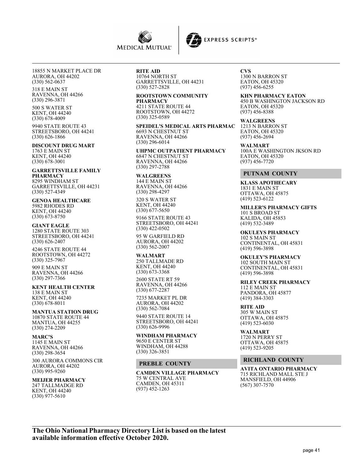



18855 N MARKET PLACE DR AURORA, OH 44202 (330) 562-0637

318 E MAIN ST RAVENNA, OH 44266 (330) 296-3871

500 S WATER ST KENT, OH 44240 (330) 678-4009

9940 STATE ROUTE 43 STREETSBORO, OH 44241 (330) 626-1866

## **DISCOUNT DRUG MART**

1763 E MAIN ST KENT, OH 44240 (330) 678-3001

**GARRETTSVILLE FAMILY PHARMACY** 8295 WINDHAM ST GARRETTSVILLE, OH 44231 (330) 527-4349

**GENOA HEALTHCARE** 5982 RHODES RD KENT, OH 44240 (330) 673-8750

#### **GIANT EAGLE**

1280 STATE ROUTE 303 STREETSBORO, OH 44241 (330) 626-2407

4246 STATE ROUTE 44 ROOTSTOWN, OH 44272 (330) 325-7967

909 E MAIN ST RAVENNA, OH 44266 (330) 297-7366

## **KENT HEALTH CENTER**

138 E MAIN ST KENT, OH 44240 (330) 678-8011

## **MANTUA STATION DRUG** 10870 STATE ROUTE 44

MANTUA, OH 44255 (330) 274-2209

#### **MARC'S**

1145 E MAIN ST RAVENNA, OH 44266 (330) 298-3654

300 AURORA COMMONS CIR AURORA, OH 44202 (330) 995-9260

#### **MEIJER PHARMACY** 247 TALLMADGE RD

KENT, OH 44240 (330) 977-5610

# **RITE AID** 10764 NORTH ST

GARRETTSVILLE, OH 44231 (330) 527-2828

## **ROOTSTOWN COMMUNITY PHARMACY**

4211 STATE ROUTE 44 ROOTSTOWN, OH 44272 (330) 325-0589

**SPEIDEL'S MEDICAL ARTS PHARMAC** 6693 N CHESTNUT ST RAVENNA, OH 44266 (330) 296-6014

**UHPMC OUTPATIENT PHARMACY** 6847 N CHESTNUT ST RAVENNA, OH 44266 (330) 297-2788

#### **WALGREENS** 144 E MAIN ST RAVENNA, OH 44266 (330) 298-4297

320 S WATER ST KENT, OH 44240 (330) 677-5650

9166 STATE ROUTE 43 STREETSBORO, OH 44241 (330) 422-0502

95 W GARFIELD RD AURORA, OH 44202 (330) 562-2007

#### **WALMART**

250 TALLMADE RD KENT, OH 44240 (330) 673-3368 2600 STATE RT 59

RAVENNA, OH 44266 (330) 677-2287

7235 MARKET PL DR AURORA, OH 44202 (330) 562-7084

9440 STATE ROUTE 14 STREETSBORO, OH 44241 (330) 626-9996

# **WINDHAM PHARMACY**

9650 E CENTER ST WINDHAM, OH 44288 (330) 326-3851

#### **PREBLE COUNTY**

**CAMDEN VILLAGE PHARMACY** 75 W CENTRAL AVE CAMDEN, OH 45311 (937) 452-1263

**CVS** 1300 N BARRON ST EATON, OH 45320 (937) 456-6255

**KHN PHARMACY EATON** 450 B WASHINGTON JACKSON RD EATON, OH 45320 (937) 456-8388

**WALGREENS** 1213 N BARRON ST EATON, OH 45320 (937) 456-2694

**WALMART** 100A E WASHINGTON JKSON RD EATON, OH 45320 (937) 456-7720

#### **PUTNAM COUNTY**

**KLASS APOTHECARY** 1831 E MAIN ST OTTAWA, OH 45875 (419) 523-6122

**MILLER'S PHARMACY GIFTS** 101 S BROAD ST KALIDA, OH 45853 (419) 532-3489

**OKULEYS PHARMACY** 102 S MAIN ST CONTINENTAL, OH 45831 (419) 596-3898

# **OKULEY'S PHARMACY**

102 SOUTH MAIN ST CONTINENTAL, OH 45831 (419) 596-3898

**RILEY CREEK PHARMACY** 112 E MAIN ST PANDORA, OH 45877 (419) 384-3303

**RITE AID** 305 W MAIN ST OTTAWA, OH 45875 (419) 523-6030

**WALMART** 1720 N PERRY ST OTTAWA, OH 45875 (419) 523-9205

## **RICHLAND COUNTY**

**AVITA ONTARIO PHARMACY** 715 RICHLAND MALL STE J MANSFIELD, OH 44906 (567) 307-7570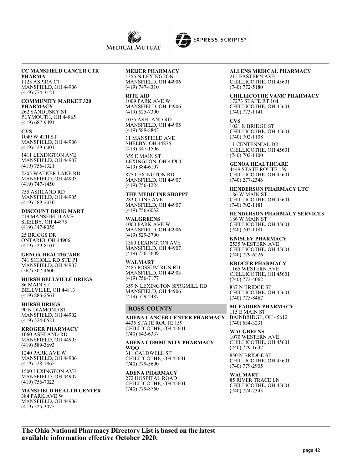



# **CC MANSFIELD CANCER CTR**

**PHARMA** 1125 ASPIRA CT MANSFIELD, OH 44906 (419) 774-3121

**COMMUNITY MARKET 320 PHARMACY** 262 SANDUSKY ST PLYMOUTH, OH 44865 (419) 687-9491

**CVS** 1049 W 4TH ST MANSFIELD, OH 44906 (419) 529-6001

1411 LEXINGTON AVE MANSFIELD, OH 44907 (419) 756-1321

2205 WALKER LAKE RD MANSFIELD, OH 44903 (419) 747-1450

755 ASHLAND RD MANSFIELD, OH 44905 (419) 589-2030

**DISCOUNT DRUG MART** 219 MANSFIELD AVE SHELBY, OH 44875 (419) 347-8055

25 BRIGGS DR ONTARIO, OH 44906 (419) 529-8101

**GENOA HEALTHCARE** 741 SCHOLL RD STE P1 MANSFIELD, OH 44907  $(567)$  307-4600

**HURSH BELLVILLE DRUGS** 86 MAIN ST BELLVILLE, OH 44813 (419) 886-2561

**HURSH DRUGS** 90 N DIAMOND ST MANSFIELD, OH 44902 (419) 524-0521

**KROGER PHARMACY** 1060 ASHLAND RD MANSFIELD, OH 44905 (419) 589-3693

1240 PARK AVE W MANSFIELD, OH 44906 (419) 528-1862

1500 LEXINGTON AVE MANSFIELD, OH 44907 (419) 756-7023

**MANSFIELD HEALTH CENTER** 384 PARK AVE W MANSFIELD, OH 44906 (419) 525-3075

## **MEIJER PHARMACY**

1355 N LEXINGTON MANSFIELD, OH 44906 (419) 747-8310

**RITE AID** 1009 PARK AVE W MANSFIELD, OH 44906 (419) 525-7300

1075 ASHLAND RD MANSFIELD, OH 44905 (419) 589-8843

11 MANSFIELD AVE SHELBY, OH 44875 (419) 347-1506

355 E MAIN ST LEXINGTON, OH 44904 (419) 884-6107

875 LEXINGTON RD MANSFIELD, OH 44907 (419) 756-1224

**THE MEDICINE SHOPPE** 283 CLINE AVE MANSFIELD, OH 44907 (419) 756-6032

**WALGREENS** 1000 PARK AVE W MANSFIELD, OH 44906 (419) 529-3790

1380 LEXINGTON AVE MANSFIELD, OH 44907 (419) 756-2609

**WALMART** 2485 POSSUM RUN RD MANSFIELD, OH 44903 (419) 756-7177 359 N LEXINGTON SPRGMILL RD MANSFIELD, OH 44906 (419) 529-2487

## **ROSS COUNTY**

**ADENA CANCER CENTER PHARMACY** 4435 STATE ROUTE 159 CHILLICOTHE, OH 45601 (740) 542-6337

**ADENA COMMUNITY PHARMACY - WOO** 311 CALDWELL ST CHILLICOTHE, OH 45601 (740) 779-5600

**ADENA PHARMACY** 272 HOSPITAL ROAD CHILLICOTHE, OH 45601 (740) 779-8760

#### **ALLENS MEDICAL PHARMACY**

215 EASTERN AVE CHILLICOTHE, OH 45601 (740) 772-5180

**CHILLICOTHE VAMC PHARMACY**

17273 STATE RT 104 CHILLICOTHE, OH 45601 (740) 773-1141

**CVS** 1021 N BRIDGE ST CHILLICOTHE, OH 45601 (740) 702-1108

11 CENTENNIAL DR CHILLICOTHE, OH 45601 (740) 702-1100

**GENOA HEALTHCARE** 4449 STATE ROUTE 159 CHILLICOTHE, OH 45601 (740) 277-2346

**HENDERSON PHARMACY LTC** 186 W MAIN ST CHILLICOTHE, OH 45601 (740) 702-1181

**HENDERSON PHARMACY SERVICES** 186 W MAIN ST CHILLICOTHE, OH 45601 (740) 702-1181

**KNISLEY PHARMACY** 2535 WESTERN AVE CHILLICOTHE, OH 45601 (740) 779-6226

**KROGER PHARMACY** 1165 WESTERN AVE CHILLICOTHE, OH 45601 (740) 772-4062

887 N BRIDGE ST CHILLICOTHE, OH 45601 (740) 775-8467

**MCFADDEN PHARMACY** 115 E MAIN ST BAINBRIDGE, OH 45612 (740) 634-3231

**WALGREENS** 1070 WESTERN AVE CHILLICOTHE, OH 45601 (740) 779-1637

850 N BRIDGE ST CHILLICOTHE, OH 45601 (740) 779-2905

**WALMART** 85 RIVER TRACE LN CHILLICOTHE, OH 45601 (740) 774-2343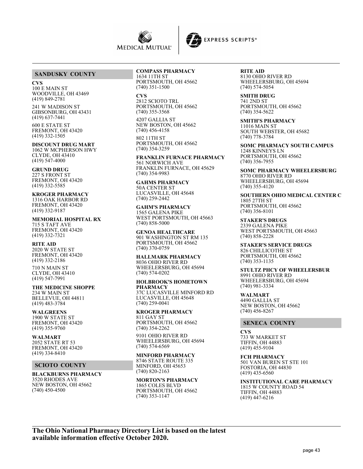



## **SANDUSKY COUNTY**

#### **CVS**

100 E MAIN ST WOODVILLE, OH 43469 (419) 849-2781

241 W MADISON ST GIBSONBURG, OH 43431 (419) 637-7441

600 E STATE ST FREMONT, OH 43420 (419) 332-1505

**DISCOUNT DRUG MART** 1062 W MCPHERSON HWY CLYDE, OH 43410 (419) 547-4000

#### **GRUND DRUG**

227 S FRONT ST FREMONT, OH 43420 (419) 332-5585

# **KROGER PHARMACY**

1316 OAK HARBOR RD FREMONT, OH 43420 (419) 332-9187

**MEMORIAL HOSPITAL RX** 715 S TAFT AVE FREMONT, OH 43420 (419) 332-7321

#### **RITE AID**

2020 W STATE ST FREMONT, OH 43420 (419) 332-2186

710 N MAIN ST CLYDE, OH 43410 (419) 547-7991

**THE MEDICINE SHOPPE** 234 W MAIN ST BELLEVUE, OH 44811 (419) 483-3784

**WALGREENS** 1900 W STATE ST FREMONT, OH 43420 (419) 355-9760

**WALMART** 2052 STATE RT 53 FREMONT, OH 43420 (419) 334-8410

## **SCIOTO COUNTY**

**BLACKBURNS PHARMACY** 3520 RHODES AVE NEW BOSTON, OH 45662 (740) 450-4500

## **COMPASS PHARMACY**

1634 11TH ST PORTSMOUTH, OH 45662 (740) 351-1500

**CVS** 2812 SCIOTO TRL PORTSMOUTH, OH 45662 (740) 355-3568

4207 GALLIA ST NEW BOSTON, OH 45662 (740) 456-4158

802 11TH ST PORTSMOUTH, OH 45662 (740) 354-3259

**FRANKLIN FURNACE PHARMACY** 561 NORWICH AVE FRANKLIN FURNACE, OH 45629 (740) 354-9983

**GAHMS PHARMACY** 50A CENTER ST LUCASVILLE, OH 45648 (740) 259-2442

**GAHM'S PHARMACY** 1565 GALENA PIKE WEST PORTSMOUTH, OH 45663 (740) 858-5000

**GENOA HEALTHCARE** 901 WASHINGTON ST RM 135 PORTSMOUTH, OH 45662 (740) 370-0759

# **HALLMARK PHARMACY**

8036 OHIO RIVER RD WHEELERSBURG, OH 45694 (740) 574-0202

#### **HOLBROOK'S HOMETOWN PHARMACY** 37C LUCASVILLE MINFORD RD LUCASVILLE, OH 45648 (740) 259-0041

**KROGER PHARMACY** 811 GAY ST PORTSMOUTH, OH 45662

(740) 354-2262 9101 OHIO RIVER RD WHEELERSBURG, OH 45694 (740) 574-6569

## **MINFORD PHARMACY**

8746 STATE ROUTE 335 MINFORD, OH 45653 (740) 820-2163

**MORTON'S PHARMACY** 1865 COLES BLVD PORTSMOUTH, OH 45662 (740) 353-1147

**RITE AID** 8130 OHIO RIVER RD WHEELERSBURG, OH 45694 (740) 574-5054

**SMITH DRUG** 741 2ND ST PORTSMOUTH, OH 45662 (740) 354-5622

**SMITH'S PHARMACY** 11016 MAIN ST SOUTH WEBSTER, OH 45682 (740) 778-3784

**SOMC PHARMACY SOUTH CAMPUS** 1248 KINNEYS LN PORTSMOUTH, OH 45662 (740) 356-7955

**SOMC PHARMACY WHEELERSBURG** 8770 OHIO RIVER RD WHEELERSBURG, OH 45694 (740) 355-4120

**SOUTHERN OHIO MEDICAL CENTER C** 1805 27TH ST PORTSMOUTH, OH 45662 (740) 356-8101

**STAKER'S DRUGS** 2339 GALENA PIKE WEST PORTSMOUTH, OH 45663 (740) 858-2228

**STAKER'S SERVICE DRUGS** 826 CHILLICOTHE ST PORTSMOUTH, OH 45662 (740) 353-1135

**STULTZ PHCY OF WHEELERSBUR** 8991 OHIO RIVER RD WHEELERSBURG, OH 45694 (740) 981-3334

**WALMART** 4490 GALLIA ST NEW BOSTON, OH 45662 (740) 456-8267

#### **SENECA COUNTY**

**CVS** 733 W MARKET ST TIFFIN, OH 44883 (419) 455-9104

**FCH PHARMACY** 501 VAN BUREN ST STE 101 FOSTORIA, OH 44830 (419) 435-6560

**INSTITUTIONAL CARE PHARMACY** 1815 W COUNTY ROAD 54 TIFFIN, OH 44883 (419) 447-6216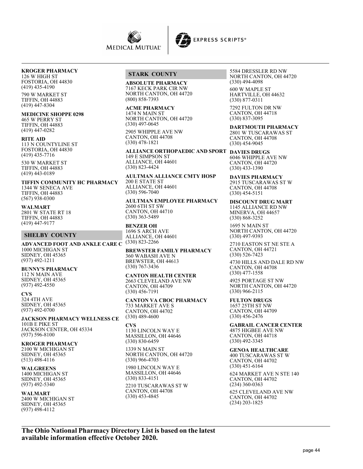

#### **KROGER PHARMACY**

126 W HIGH ST FOSTORIA, OH 44830 (419) 435-4190

790 W MARKET ST TIFFIN, OH 44883 (419) 447-8304

**MEDICINE SHOPPE 0298**

465 W PERRY ST TIFFIN, OH 44883 (419) 447-0282

#### **RITE AID**

113 N COUNTYLINE ST FOSTORIA, OH 44830 (419) 435-7716

530 W MARKET ST TIFFIN, OH 44883 (419) 443-0189

**TIFFIN COMMUNITY HC PHARMACY** 1344 W SENECA AVE TIFFIN, OH 44883 (567) 938-0300

## **WALMART**

2801 W STATE RT 18 TIFFIN, OH 44883 (419) 447-9177

#### **SHELBY COUNTY**

**ADVANCED FOOT AND ANKLE CARE C** 1000 MICHIGAN ST SIDNEY, OH 45365 (937) 492-1211

**BUNNY'S PHARMACY** 112 N MAIN AVE SIDNEY, OH 45365 (937) 492-4550

**CVS** 324 4TH AVE SIDNEY, OH 45365 (937) 492-0700

**JACKSON PHARMACY WELLNESS CE** 101B E PIKE ST JACKSON CENTER, OH 45334 (937) 596-8100

**KROGER PHARMACY** 2100 W MICHIGAN ST SIDNEY, OH 45365 (513) 498-4116

**WALGREENS** 1400 MICHIGAN ST SIDNEY, OH 45365 (937) 492-5340

#### **WALMART**

2400 W MICHIGAN ST SIDNEY, OH 45365 (937) 498-4112

#### **STARK COUNTY**

**ABSOLUTE PHARMACY** 7167 KECK PARK CIR NW NORTH CANTON, OH 44720 (800) 858-7393

**ACME PHARMACY** 1474 N MAIN ST NORTH CANTON, OH 44720 (330) 497-0645

2905 WHIPPLE AVE NW CANTON, OH 44708 (330) 478-1821

**ALLIANCE ORTHOPAEDIC AND SPORT DAVIES DRUGS** 149 E SIMPSON ST ALLIANCE, OH 44601 (330) 823-4424

**AULTMAN ALLIANCE CMTY HOSP** 200 E STATE ST ALLIANCE, OH 44601 (330) 596-7040

**AULTMAN EMPLOYEE PHARMACY** 2600 6TH ST SW CANTON, OH 44710 (330) 363-5489

#### **BENZER OH**

1696 S ARCH AVE ALLIANCE, OH 44601 (330) 823-2266

**BREWSTER FAMILY PHARMACY** 360 WABASH AVE N BREWSTER, OH 44613 (330) 767-3436

**CANTON HEALTH CENTER** 2663 CLEVELAND AVE NW CANTON, OH 44709 (330) 456-7191

**CANTON VA CBOC PHARMACY** 733 MARKET AVE S CANTON, OH 44702 (330) 489-4600

**CVS** 1130 LINCOLN WAY E MASSILLON, OH 44646 (330) 830-6459

1339 N MAIN ST NORTH CANTON, OH 44720 (330) 966-4703

1980 LINCOLN WAY E MASSILLON, OH 44646 (330) 833-4151

2210 TUSCARAWAS ST W CANTON, OH 44708 (330) 453-4845

5584 DRESSLER RD NW NORTH CANTON, OH 44720 (330) 494-4098

600 W MAPLE ST HARTVILLE, OH 44632 (330) 877-0311

7292 FULTON DR NW CANTON, OH 44718 (330) 837-3095

**DARTMOUTH PHARMACY** 2801 W TUSCARAWAS ST CANTON, OH 44708 (330) 454-9045

6046 WHIPPLE AVE NW CANTON, OH 44720 (330) 433-1390

**DAVIES PHARMACY** 2915 TUSCARAWAS ST W CANTON, OH 44708 (330) 454-5151

**DISCOUNT DRUG MART** 1145 ALLIANCE RD NW MINERVA, OH 44657 (330) 868-3252

1695 N MAIN ST NORTH CANTON, OH 44720 (330) 497-9393

2710 EASTON ST NE STE A CANTON, OH 44721 (330) 526-7423

4730 HILLS AND DALE RD NW CANTON, OH 44708 (330) 477-1558

4925 PORTAGE ST NW NORTH CANTON, OH 44720 (330) 966-2115

**FULTON DRUGS** 1657 25TH ST NW CANTON, OH 44709 (330) 456-2476

**GABRAIL CANCER CENTER** 4875 HIGBEE AVE NW CANTON, OH 44718 (330) 492-3345

**GENOA HEALTHCARE** 400 TUSCARAWAS ST W CANTON, OH 44702 (330) 451-6164

624 MARKET AVE N STE 140 CANTON, OH 44702 (234) 360-0363

625 CLEVELAND AVE NW CANTON, OH 44702 (234) 203-1825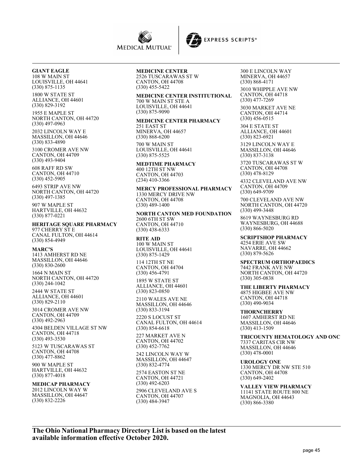



**GIANT EAGLE** 108 W MAIN ST LOUISVILLE, OH 44641 (330) 875-1135

1800 W STATE ST ALLIANCE, OH 44601 (330) 829-3192

1955 E MAPLE ST NORTH CANTON, OH 44720 (330) 497-0963

2032 LINCOLN WAY E MASSILLON, OH 44646 (330) 833-4890

3100 CROMER AVE NW CANTON, OH 44709 (330) 493-9404

608 RAFF RD SW CANTON, OH 44710 (330) 452-5905

6493 STRIP AVE NW NORTH CANTON, OH 44720 (330) 497-1385

907 W MAPLE ST HARTVILLE, OH 44632 (330) 877-0221

**HERITAGE SQUARE PHARMACY** 977 CHERRY ST E CANAL FULTON, OH 44614 (330) 854-4949

**MARC'S** 1413 AMHERST RD NE MASSILLON, OH 44646 (330) 830-2600

1664 N MAIN ST NORTH CANTON, OH 44720 (330) 244-1042

2444 W STATE ST ALLIANCE, OH 44601 (330) 829-2110

3014 CROMER AVE NW CANTON, OH 44709 (330) 492-2963

4304 BELDEN VILLAGE ST NW CANTON, OH 44718 (330) 493-3530

5123 W TUSCARAWAS ST CANTON, OH 44708 (330) 477-8862

900 W MAPLE ST HARTVILLE, OH 44632 (330) 877-4018

#### **MEDICAP PHARMACY** 2012 LINCOLN WAY W

MASSILLON, OH 44647 (330) 832-2226

## **MEDICINE CENTER**

2526 TUSCARAWAS ST W CANTON, OH 44708 (330) 455-5422

# **MEDICINE CENTER INSTITUTIONAL**

700 W MAIN ST STE A LOUISVILLE, OH 44641 (330) 875-9090

#### **MEDICINE CENTER PHARMACY**

251 EAST ST MINERVA, OH 44657 (330) 868-6200 700 W MAIN ST LOUISVILLE, OH 44641 (330) 875-5525

**MEDTIME PHARMACY** 400 12TH ST NW

CANTON, OH 44703 (234) 410-3366

#### **MERCY PROFESSIONAL PHARMACY** 1330 MERCY DRIVE NW CANTON, OH 44708 (330) 489-1400

**NORTH CANTON MED FOUNDATION** 2600 6TH ST SW CANTON, OH 44710 (330) 438-6333

**RITE AID** 100 W MAIN ST LOUISVILLE, OH 44641 (330) 875-1429

114 12TH ST NE CANTON, OH 44704 (330) 456-4791

1895 W STATE ST ALLIANCE, OH 44601 (330) 823-0850

2110 WALES AVE NE MASSILLON, OH 44646 (330) 833-3194

2220 S LOCUST ST CANAL FULTON, OH 44614 (330) 854-6618

227 MARKET AVE N CANTON, OH 44702 (330) 452-7762

242 LINCOLN WAY W MASSILLON, OH 44647 (330) 832-4774

2574 EASTON ST NE CANTON, OH 44721 (330) 492-6203

2906 CLEVELAND AVE S CANTON, OH 44707 (330) 484-3947

300 E LINCOLN WAY MINERVA, OH 44657 (330) 868-4171

3010 WHIPPLE AVE NW CANTON, OH 44718 (330) 477-7269

3030 MARKET AVE NE CANTON, OH 44714 (330) 456-0515

304 E STATE ST ALLIANCE, OH 44601 (330) 823-6921

3129 LINCOLN WAY E MASSILLON, OH 44646 (330) 837-3138

3720 TUSCARAWAS ST W CANTON, OH 44708 (330) 478-8129

4332 CLEVELAND AVE NW CANTON, OH 44709 (330) 649-9709

700 CLEVELAND AVE NW NORTH CANTON, OH 44720 (330) 499-3448

8619 WAYNESBURG RD WAYNESBURG, OH 44688 (330) 866-5020

**SCRIPTSHOP PHARMACY** 4254 ERIE AVE SW NAVARRE, OH 44662 (330) 879-5626

**SPECTRUM ORTHOPAEDICS** 7442 FRANK AVE NW NORTH CANTON, OH 44720 (330) 305-0838

**THE LIBERTY PHARMACY** 4875 HIGBEE AVE NW CANTON, OH 44718 (330) 490-9034

**THORNCHERRY** 1607 AMHERST RD NE MASSILLON, OH 44646 (330) 413-1509

**TRICOUNTY HEMATOLOGY AND ONC** 7337 CARITAS CIR NW MASSILLON, OH 44646 (330) 478-0001

**UROLOGY ONE** 1330 MERCY DR NW STE 510 CANTON, OH 44708 (330) 649-2402

**VALLEY VIEW PHARMACY** 11141 STATE ROUTE 800 NE MAGNOLIA, OH 44643 (330) 866-3380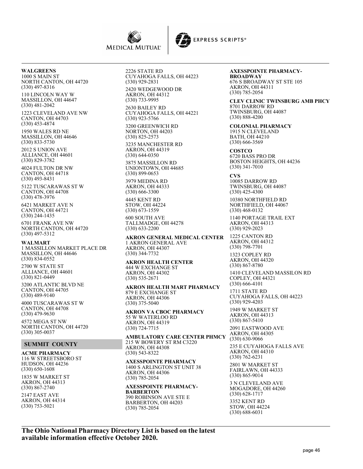



**WALGREENS** 1000 S MAIN ST

NORTH CANTON, OH 44720 (330) 497-8316

110 LINCOLN WAY W MASSILLON, OH 44647 (330) 481-2042

1223 CLEVELAND AVE NW CANTON, OH 44703 (330) 453-4874

1950 WALES RD NE MASSILLON, OH 44646 (330) 833-5730

2012 S UNION AVE ALLIANCE, OH 44601 (330) 829-3782

4024 FULTON DR NW CANTON, OH 44718 (330) 493-8431

5122 TUSCARAWAS ST W CANTON, OH 44708 (330) 478-3976

6421 MARKET AVE N CANTON, OH 44721 (330) 244-1435

6701 FRANK AVE NW NORTH CANTON, OH 44720 (330) 497-5312

#### **WALMART**

1 MASSILLON MARKET PLACE DR MASSILLON, OH 44646 (330) 834-0552

2700 W STATE ST ALLIANCE, OH 44601 (330) 821-0449

3200 ATLANTIC BLVD NE CANTON, OH 44705 (330) 489-9140

4000 TUSCARAWAS ST W CANTON, OH 44708 (330) 479-9630

4572 MEGA ST NW NORTH CANTON, OH 44720 (330) 305-0037

#### **SUMMIT COUNTY**

**ACME PHARMACY** 116 W STREETSBORO ST HUDSON, OH 44236 (330) 650-1608

1835 W MARKET ST AKRON, OH 44313 (330) 867-2740

2147 EAST AVE AKRON, OH 44314 (330) 753-5021

2226 STATE RD CUYAHOGA FALLS, OH 44223 (330) 929-2831 2420 WEDGEWOOD DR AKRON, OH 44312

(330) 733-9995 2630 BAILEY RD CUYAHOGA FALLS, OH 44221 (330) 923-5766 3200 GREENWICH RD NORTON, OH 44203 (330) 825-2573 3235 MANCHESTER RD

AKRON, OH 44319 (330) 644-0350

3875 MASSILLON RD UNIONTOWN, OH 44685 (330) 899-0653

3979 MEDINA RD AKRON, OH 44333 (330) 666-3300 4445 KENT RD

STOW, OH 44224 (330) 673-1559

600 SOUTH AVE TALLMADGE, OH 44278 (330) 633-2200

**AKRON GENERAL MEDICAL CENTER** 1 AKRON GENERAL AVE AKRON, OH 44307 (330) 344-7732

**AKRON HEALTH CENTER** 444 W EXCHANGE ST AKRON, OH 44302 (330) 535-2671

**AKRON HEALTH MART PHARMACY** 879 E EXCHANGE ST AKRON, OH 44306 (330) 375-5040

**AKRON VA CBOC PHARMACY** 55 W WATERLOO RD AKRON, OH 44319 (330) 724-7715

**AMBULATORY CARE CENTER PHMCY** 215 W BOWERY ST RM C3220 AKRON, OH 44308 (330) 543-8322

**AXESSPOINTE PHARMACY** 1400 S ARLINGTON ST UNIT 38 AKRON, OH 44306 (330) 785-2054

**AXESSPOINTE PHARMACY-BARBERTON** 390 ROBINSON AVE STE E BARBERTON, OH 44203 (330) 785-2054

# **AXESSPOINTE PHARMACY-**

**BROADWAY** 676 S BROADWAY ST STE 105 AKRON, OH 44311 (330) 785-2054

**CLEV CLINIC TWINSBURG AMB PHCY** 8701 DARROW RD TWINSBURG, OH 44087 (330) 888-4200

**COLONIAL PHARMACY** 1915 N CLEVELAND BATH, OH 44210 (330) 666-3569

**COSTCO** 6720 BASS PRO DR BOSTON HEIGHTS, OH 44236 (330) 341-7010

**CVS**

10085 DARROW RD TWINSBURG, OH 44087 (330) 425-4300

10380 NORTHFIELD RD NORTHFIELD, OH 44067 (330) 468-0132

1140 PORTAGE TRAIL EXT AKRON, OH 44313 (330) 929-2023

1225 CANTON RD AKRON, OH 44312 (330) 798-7701

1323 COPLEY RD AKRON, OH 44320 (330) 867-8780

1410 CLEVELAND MASSILON RD COPLEY, OH 44321 (330) 666-4101

1711 STATE RD CUYAHOGA FALLS, OH 44223 (330) 929-4203

1949 W MARKET ST AKRON, OH 44313 (330) 867-5410

2091 EASTWOOD AVE AKRON, OH 44305 (330) 630-9066

235 E CUYAHOGA FALLS AVE AKRON, OH 44310 (330) 762-6231 2801 W MARKET ST FAIRLAWN, OH 44333 (330) 865-9014

3 N CLEVELAND AVE MOGADORE, OH 44260 (330) 628-1717 3352 KENT RD STOW, OH 44224 (330) 688-6031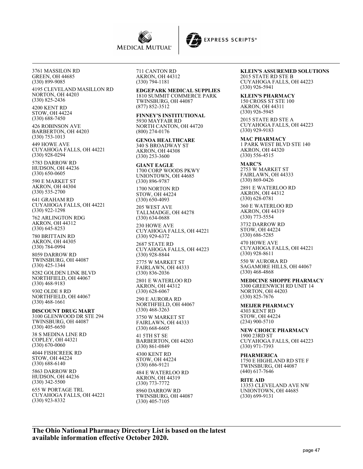

3761 MASSILON RD GREEN, OH 44685 (330) 899-9085

4195 CLEVELAND MASILLON RD NORTON, OH 44203 (330) 825-2436

4200 KENT RD STOW, OH 44224 (330) 688-7450

426 ROBINSON AVE BARBERTON, OH 44203 (330) 753-1013

449 HOWE AVE CUYAHOGA FALLS, OH 44221 (330) 928-0294

5783 DARROW RD HUDSON, OH 44236 (330) 650-0605

590 E MARKET ST AKRON, OH 44304 (330) 535-2700

641 GRAHAM RD CUYAHOGA FALLS, OH 44221 (330) 922-1298

762 ARLINGTON RDG AKRON, OH 44312 (330) 645-8253

780 BRITTAIN RD AKRON, OH 44305 (330) 784-0994

8059 DARROW RD TWINSBURG, OH 44087 (330) 425-1344

8282 GOLDEN LINK BLVD NORTHFIELD, OH 44067 (330) 468-9183

9302 OLDE 8 RD NORTHFIELD, OH 44067 (330) 468-1661

**DISCOUNT DRUG MART** 3100 GLENWOOD DR STE 294 TWINSBURG, OH 44087

(330) 405-6650 38 S MEDINA LINE RD COPLEY, OH 44321 (330) 670-0060

4044 FISHCREEK RD STOW, OH 44224 (330) 688-6140

5863 DARROW RD HUDSON, OH 44236 (330) 342-5500

655 W PORTAGE TRL CUYAHOGA FALLS, OH 44221 (330) 923-8332

711 CANTON RD AKRON, OH 44312 (330) 794-1181

**EDGEPARK MEDICAL SUPPLIES** 1810 SUMMIT COMMERCE PARK TWINSBURG, OH 44087 (877) 852-3512

**FINNEY'S INSTITUTIONAL** 5930 MAYFAIR RD NORTH CANTON, OH 44720 (800) 274-0176

**GENOA HEALTHCARE** 340 S BROADWAY ST AKRON, OH 44308 (330) 253-3600

**GIANT EAGLE** 1700 CORP WOODS PKWY UNIONTOWN, OH 44685 (330) 896-9787

1700 NORTON RD STOW, OH 44224 (330) 650-4093

205 WEST AVE TALLMADGE, OH 44278 (330) 634-0688

230 HOWE AVE CUYAHOGA FALLS, OH 44221 (330) 929-6372

2687 STATE RD CUYAHOGA FALLS, OH 44223 (330) 928-8844

2775 W MARKET ST FAIRLAWN, OH 44333 (330) 836-2036

2801 E WATERLOO RD AKRON, OH 44312 (330) 628-6067

290 E AURORA RD NORTHFIELD, OH 44067 (330) 468-3263

3750 W MARKET ST FAIRLAWN, OH 44333 (330) 668-6605

41 5TH ST SE BARBERTON, OH 44203 (330) 861-0849

4300 KENT RD STOW, OH 44224 (330) 686-9121

484 E WATERLOO RD AKRON, OH 44319 (330) 773-7772

8960 DARROW RD TWINSBURG, OH 44087 (330) 405-7105

**KLEIN'S ASSUREMED SOLUTIONS** 2015 STATE RD STE B CUYAHOGA FALLS, OH 44223 (330) 926-5941

**KLEIN'S PHARMACY** 150 CROSS ST STE 100 AKRON, OH 44311 (330) 926-5945

**EXPRESS SCRIPTS®** 

2015 STATE RD STE A CUYAHOGA FALLS, OH 44223 (330) 929-9183

**MAC PHARMACY** 1 PARK WEST BLVD STE 140 AKRON, OH 44320 (330) 556-4515

**MARC'S** 2753 W MARKET ST FAIRLAWN, OH 44333 (330) 869-0426

2891 E WATERLOO RD AKRON, OH 44312 (330) 628-0781

360 E WATERLOO RD AKRON, OH 44319 (330) 773-5554

3732 DARROW RD STOW, OH 44224 (330) 686-5285

470 HOWE AVE CUYAHOGA FALLS, OH 44221 (330) 928-8611

550 W AURORA RD SAGAMORE HILLS, OH 44067 (330) 468-4868

**MEDICINE SHOPPE PHARMACY**

3300 GREENWICH RD UNIT 14 NORTON, OH 44203 (330) 825-7676

**MEIJER PHARMACY** 4303 KENT RD STOW, OH 44224 (234) 900-5710

**NEW CHOICE PHARMACY** 1900 23RD ST CUYAHOGA FALLS, OH 44223 (330) 971-7393

**PHARMERICA** 1750 E HIGHLAND RD STE F TWINSBURG, OH 44087 (440) 617-7646

**RITE AID** 13353 CLEVELAND AVE NW UNIONTOWN, OH 44685 (330) 699-9131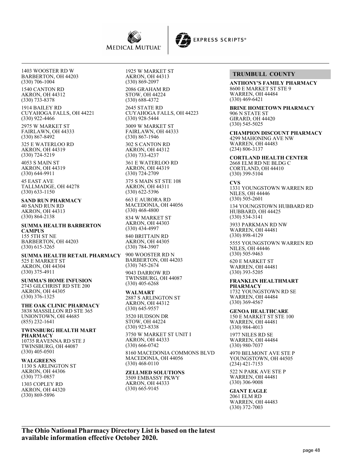

1403 WOOSTER RD W BARBERTON, OH 44203 (330) 706-1004

1540 CANTON RD AKRON, OH 44312 (330) 733-8378

1914 BAILEY RD CUYAHOGA FALLS, OH 44221 (330) 922-4466

2975 W MARKET ST FAIRLAWN, OH 44333 (330) 867-8492

325 E WATERLOO RD AKRON, OH 44319 (330) 724-5219

4053 S MAIN ST AKRON, OH 44319 (330) 644-9911

45 EAST AVE TALLMADGE, OH 44278 (330) 633-1150

**SAND RUN PHARMACY** 40 SAND RUN RD AKRON, OH 44313 (330) 864-2138

**SUMMA HEALTH BARBERTON CAMPUS** 155 5TH ST NE BARBERTON, OH 44203 (330) 615-3265

**SUMMA HEALTH RETAIL PHARMACY** 525 E MARKET ST AKRON, OH 44304 (330) 375-4911

**SUMMA'S HOME INFUSION** 2743 GILCHRIST RD STE 200 AKRON, OH 44305 (330) 376-1325

**THE OAK CLINIC PHARMACY** 3838 MASSILLON RD STE 365 UNIONTOWN, OH 44685 (855) 232-1641

**TWINSBURG HEALTH MART PHARMACY** 10735 RAVENNA RD STE J TWINSBURG, OH 44087

(330) 405-0501 **WALGREENS** 1130 S ARLINGTON ST AKRON, OH 44306 (330) 773-0857

1303 COPLEY RD AKRON, OH 44320 (330) 869-5896

1925 W MARKET ST AKRON, OH 44313 (330) 869-2097

2086 GRAHAM RD STOW, OH 44224 (330) 688-4372

2645 STATE RD CUYAHOGA FALLS, OH 44223 (330) 928-5444 3009 W MARKET ST FAIRLAWN, OH 44333 (330) 867-1946

302 S CANTON RD AKRON, OH 44312 (330) 733-4237

361 E WATERLOO RD AKRON, OH 44319 (330) 724-2709

375 S MAIN ST STE 108 AKRON, OH 44311 (330) 622-5396

663 E AURORA RD MACEDONIA, OH 44056 (330) 468-4800

834 W MARKET ST AKRON, OH 44303 (330) 434-4997

840 BRITTAIN RD AKRON, OH 44305 (330) 784-3907

900 WOOSTER RD N BARBERTON, OH 44203 (330) 745-2674

9043 DARROW RD TWINSBURG, OH 44087 (330) 405-6268

**WALMART**

2887 S ARLINGTON ST AKRON, OH 44312 (330) 645-9557 3520 HUDSON DR STOW, OH 44224 (330) 923-8338

3750 W MARKET ST UNIT I AKRON, OH 44333 (330) 666-0742

8160 MACEDONIA COMMONS BLVD MACEDONIA, OH 44056 (330) 468-0110

## **ZELLMED SOLUTIONS**

3509 EMBASSY PKWY AKRON, OH 44333 (330) 665-9145

## **TRUMBULL COUNTY**

**EXPRESS SCRIPTS®** 

**ANTHONY'S FAMILY PHARMACY** 8600 E MARKET ST STE 9 WARREN, OH 44484 (330) 469-6421

**BRINE HOMETOWN PHARMACY** 906 N STATE ST GIRARD, OH 44420 (330) 545-5025

**CHAMPION DISCOUNT PHARMACY** 4299 MAHONING AVE NW WARREN, OH 44483 (234) 806-3137

**CORTLAND HEALTH CENTER** 2668 ELM RD NE BLDG C CORTLAND, OH 44410 (330) 399-5104

**CVS** 1331 YOUNGSTOWN WARREN RD NILES, OH 44446 (330) 505-2601

134 YOUNGSTOWN HUBBARD RD HUBBARD, OH 44425 (330) 534-3141

3933 PARKMAN RD NW WARREN, OH 44481 (330) 898-4129

5555 YOUNGSTOWN WARREN RD NILES, OH 44446 (330) 505-9463

620 E MARKET ST WARREN, OH 44481 (330) 393-5205

**FRANKLIN HEALTHMART PHARMACY** 1732 YOUNGSTOWN RD SE

WARREN, OH 44484 (330) 369-4567

**GENOA HEALTHCARE**

150 E MARKET ST STE 100 WARREN, OH 44481 (330) 984-4013

1977 NILES RD SE WARREN, OH 44484 (330) 980-7037

4970 BELMONT AVE STE P YOUNGSTOWN, OH 44505 (234) 421-7153

522 N PARK AVE STE P WARREN, OH 44481 (330) 306-9008

**GIANT EAGLE** 2061 ELM RD WARREN, OH 44483 (330) 372-7003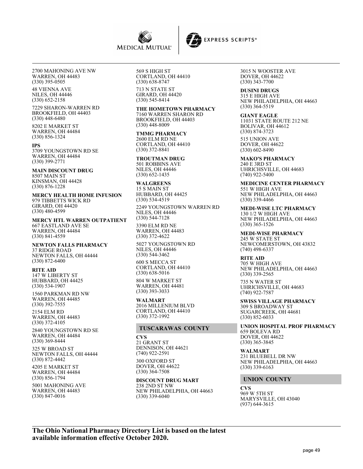

2700 MAHONING AVE NW WARREN, OH 44483 (330) 395-0505

48 VIENNA AVE NILES, OH 44446 (330) 652-2158

7229 SHARON-WARREN RD BROOKFIELD, OH 44403 (330) 448-6480

8202 E MARKET ST WARREN, OH 44484 (330) 856-1324

**IPS**

3709 YOUNGSTOWN RD SE WARREN, OH 44484 (330) 399-2771

**MAIN DISCOUNT DRUG** 8507 MAIN ST KINSMAN, OH 44428 (330) 876-1228

**MERCY HEALTH HOME INFUSION** 979 TIBBETTS WICK RD GIRARD, OH 44420 (330) 480-4599

**MERCY HTL WARREN OUTPATIENT** 667 EASTLAND AVE SE WARREN, OH 44484 (330) 841-4559

**NEWTON FALLS PHARMACY** 37 RIDGE ROAD NEWTON FALLS, OH 44444 (330) 872-6400

**RITE AID** 147 W LIBERTY ST HUBBARD, OH 44425 (330) 534-1907

1560 PARKMAN RD NW WARREN, OH 44485 (330) 392-7555

2154 ELM RD WARREN, OH 44483 (330) 372-4105

2840 YOUNGSTOWN RD SE WARREN, OH 44484 (330) 369-8444

325 W BROAD ST NEWTON FALLS, OH 44444 (330) 872-4442

4205 E MARKET ST WARREN, OH 44484 (330) 856-1794

5001 MAHONING AVE WARREN, OH 44483 (330) 847-0016

569 S HIGH ST CORTLAND, OH 44410 (330) 638-8747 713 N STATE ST

GIRARD, OH 44420 (330) 545-8414 **THE HOMETOWN PHARMACY**

7160 WARREN SHARON RD BROOKFIELD, OH 44403 (330) 448-8009

**TMMG PHARMACY** 2600 ELM RD NE CORTLAND, OH 44410 (330) 372-8841

**TROUTMAN DRUG** 501 ROBBINS AVE NILES, OH 44446 (330) 652-1435

**WALGREENS** 15 S MAIN ST HUBBARD, OH 44425 (330) 534-4519

2249 YOUNGSTOWN WARREN RD NILES, OH 44446 (330) 544-7128

3390 ELM RD NE WARREN, OH 44483 (330) 372-4622

5027 YOUNGSTOWN RD NILES, OH 44446 (330) 544-3462

600 S MECCA ST CORTLAND, OH 44410 (330) 638-5016

804 W MARKET ST WARREN, OH 44481 (330) 393-3033

**WALMART** 2016 MILLENIUM BLVD CORTLAND, OH 44410 (330) 372-1992

## **TUSCARAWAS COUNTY**

**CVS** 21 GRANT ST DENNISON, OH 44621 (740) 922-2591

300 OXFORD ST DOVER, OH 44622 (330) 364-7508

**DISCOUNT DRUG MART** 238 2ND ST NW NEW PHILADELPHIA, OH 44663 (330) 339-6040

3015 N WOOSTER AVE DOVER, OH 44622 (330) 343-7700

**EXPRESS SCRIPTS®** 

**DUSINI DRUGS** 315 E HIGH AVE NEW PHILADELPHIA, OH 44663 (330) 364-5519

**GIANT EAGLE** 11031 STATE ROUTE 212 NE BOLIVAR, OH 44612 (330) 874-3723

515 UNION AVE DOVER, OH 44622 (330) 602-8490

**MAKO'S PHARMACY** 240 E 3RD ST UHRICHSVILLE, OH 44683 (740) 922-5400

**MEDICINE CENTER PHARMACY** 551 W HIGH AVE NEW PHILADELPHIA, OH 44663 (330) 339-4466

**MEDI-WISE LTC PHARMACY** 130 1/2 W HIGH AVE NEW PHILADELPHIA, OH 44663 (330) 365-1526

**MEDI-WISE PHARMACY** 245 W STATE ST NEWCOMERSTOWN, OH 43832 (740) 498-6337

**RITE AID** 705 W HIGH AVE NEW PHILADELPHIA, OH 44663 (330) 339-2565

735 N WATER ST UHRICHSVILLE, OH 44683 (740) 922-7587

**SWISS VILLAGE PHARMACY** 309 S BROADWAY ST SUGARCREEK, OH 44681 (330) 852-6033

**UNION HOSPITAL PROF PHARMACY** 659 BOLEVA RD DOVER, OH 44622 (330) 365-3845

**WALMART** 231 BLUEBELL DR NW NEW PHILADELPHIA, OH 44663 (330) 339-6163

## **UNION COUNTY**

**CVS** 969 W 5TH ST MARYSVILLE, OH 43040 (937) 644-3615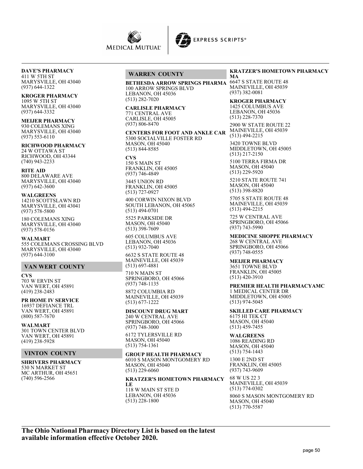

**DAVE'S PHARMACY** 411 W 5TH ST

MARYSVILLE, OH 43040 (937) 644-1322

**KROGER PHARMACY** 1095 W 5TH ST MARYSVILLE, OH 43040 (937) 644-3332

**MEIJER PHARMACY** 930 COLEMANS XING MARYSVILLE, OH 43040 (937) 553-6110

**RICHWOOD PHARMACY** 24 W OTTAWA ST RICHWOOD, OH 43344 (740) 943-2233

**RITE AID** 800 DELAWARE AVE MARYSVILLE, OH 43040 (937) 642-3600

**WALGREENS** 14210 SCOTTSLAWN RD MARYSVILLE, OH 43041 (937) 578-5800

180 COLEMANS XING MARYSVILLE, OH 43040 (937) 578-0156

**WALMART** 555 COLEMANS CROSSING BLVD MARYSVILLE, OH 43040 (937) 644-3100

## **VAN WERT COUNTY**

**CVS** 703 W ERVIN ST VAN WERT, OH 45891 (419) 238-2483

**PR HOME IV SERVICE** 16937 DEFIANCE TRL VAN WERT, OH 45891 (800) 587-7670

**WALMART** 301 TOWN CENTER BLVD VAN WERT, OH 45891 (419) 238-5928

#### **VINTON COUNTY**

**SHRIVERS PHARMACY** 530 N MARKET ST MC ARTHUR, OH 45651 (740) 596-2566

## **WARREN COUNTY**

**BETHESDA ARROW SPRINGS PHARMA** 100 ARROW SPRINGS BLVD LEBANON, OH 45036 (513) 282-7020

# **CARLISLE PHARMACY** 771 CENTRAL AVE

CARLISLE, OH 45005 (937) 806-8470

**CENTERS FOR FOOT AND ANKLE CAR** 5300 SOCIALVILLE FOSTER RD

MASON, OH 45040 (513) 844-8585

**CVS** 150 S MAIN ST FRANKLIN, OH 45005 (937) 746-4849

3445 UNION RD FRANKLIN, OH 45005 (513) 727-0927

400 CORWIN NIXON BLVD SOUTH LEBANON, OH 45065 (513) 494-0701

5525 PARKSIDE DR MASON, OH 45040 (513) 398-7609

605 COLUMBUS AVE LEBANON, OH 45036 (513) 932-7040

6632 S STATE ROUTE 48 MAINEVILLE, OH 45039 (513) 697-4881

710 N MAIN ST SPRINGBORO, OH 45066 (937) 748-1135

8872 COLUMBIA RD MAINEVILLE, OH 45039 (513) 677-1222

**DISCOUNT DRUG MART** 240 W CENTRAL AVE

SPRINGBORO, OH 45066 (937) 748-3000 6172 TYLERSVILLE RD MASON, OH 45040

(513) 754-1361 **GROUP HEALTH PHARMACY**

6010 S MASON MONTGOMERY RD MASON, OH 45040  $(513)$  229-6060

**KRATZER'S HOMETOWN PHARMACY LE** 118 W MAIN ST STE D LEBANON, OH 45036 (513) 228-1800

#### **KRATZER'S HOMETOWN PHARMACY MA**

6647 S STATE ROUTE 48 MAINEVILLE, OH 45039 (937) 382-0081

**KROGER PHARMACY** 1425 COLUMBUS AVE LEBANON, OH 45036 (513) 228-7370

2900 W STATE ROUTE 22 MAINEVILLE, OH 45039 (513) 494-2215

3420 TOWNE BLVD MIDDLETOWN, OH 45005 (513) 217-2150

5100 TERRA FIRMA DR MASON, OH 45040  $(513)$  229-5920

5210 STATE ROUTE 741 MASON, OH 45040 (513) 398-8820

5705 S STATE ROUTE 48 MAINEVILLE, OH 45039 (513) 494-2215

725 W CENTRAL AVE SPRINGBORO, OH 45066 (937) 743-5990

**MEDICINE SHOPPE PHARMACY** 268 W CENTRAL AVE SPRINGBORO, OH 45066

(937) 748-0555 **MEIJER PHARMACY**

3651 TOWNE BLVD FRANKLIN, OH 45005 (513) 420-3910

## **PREMIER HEALTH PHARMACYAMC**

1 MEDICAL CENTER DR MIDDLETOWN, OH 45005 (513) 974-5045

**SKILLED CARE PHARMACY**

6175 HI TEK CT MASON, OH 45040 (513) 459-7455

**WALGREENS**

1086 READING RD MASON, OH 45040 (513) 754-1443 1300 E 2ND ST

FRANKLIN, OH 45005 (937) 743-9609

68 W US 22 3 MAINEVILLE, OH 45039 (513) 774-0302 8060 S MASON MONTGOMERY RD MASON, OH 45040 (513) 770-5587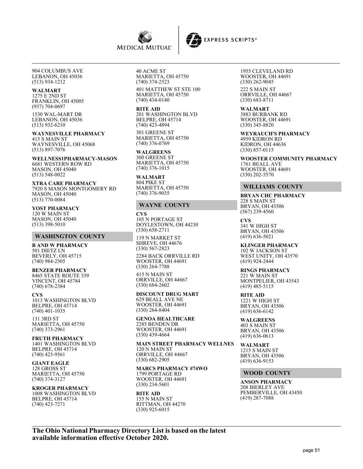

**EXPRESS SCRIPTS®** 

904 COLUMBUS AVE LEBANON, OH 45036 (513) 934-1212

#### **WALMART**

1275 E 2ND ST FRANKLIN, OH 45005 (937) 704-0697

1530 WAL-MART DR LEBANON, OH 45036 (513) 932-6210

**WAYNESVILLE PHARMACY** 415 S MAIN ST WAYNESVILLE, OH 45068 (513) 897-7076

**WELLNESS1PHARMACY-MASON** 6681 WESTERN ROW RD MASON, OH 45040 (513) 548-0022

**XTRA CARE PHARMACY** 7920 S MASON MONTGOMERY RD MASON, OH 45040 (513) 770-0084

**YOST PHARMACY** 120 W MAIN ST MASON, OH 45040 (513) 398-5010

#### **WASHINGTON COUNTY**

**B AND W PHARMACY** 501 DIETZ LN BEVERLY, OH 45715 (740) 984-2305

**BENZER PHARMACY** 8465 STATE ROUTE 339 VINCENT, OH 45784 (740) 678-2384

#### **CVS**

1013 WASHINGTON BLVD BELPRE, OH 45714 (740) 401-1035 131 3RD ST MARIETTA, OH 45750

(740) 373-2961

**FRUTH PHARMACY** 1401 WASHINGTON BLVD BELPRE, OH 45714 (740) 423-9561

#### **GIANT EAGLE** 128 GROSS ST

MARIETTA, OH 45750 (740) 374-3127

# **KROGER PHARMACY**

1008 WASHINGTON BLVD BELPRE, OH 45714 (740) 423-7271

40 ACME ST MARIETTA, OH 45750 (740) 374-2523

401 MATTHEW ST STE 100 MARIETTA, OH 45750 (740) 434-0140

**RITE AID** 201 WASHINGTON BLVD BELPRE, OH 45714 (740) 423-4894

301 GREENE ST MARIETTA, OH 45750 (740) 376-0769

**WALGREENS** 300 GREENE ST MARIETTA, OH 45750 (740) 376-1015

**WALMART** 804 PIKE ST MARIETTA, OH 45750 (740) 376-9035

#### **WAYNE COUNTY**

**CVS** 105 N PORTAGE ST DOYLESTOWN, OH 44230 (330) 658-2711 119 N MARKET ST

SHREVE, OH 44676 (330) 567-2823

2284 BACK ORRVILLE RD WOOSTER, OH 44691 (330) 264-7788

415 N MAIN ST ORRVILLE, OH 44667 (330) 684-2602

**DISCOUNT DRUG MART** 629 BEALL AVE NE

WOOSTER, OH 44691 (330) 264-8404 **GENOA HEALTHCARE**

2285 BENDEN DR WOOSTER, OH 44691 (330) 439-4664

**MAIN STREET PHARMACY WELLNES** 120 N MAIN ST ORRVILLE, OH 44667 (330) 682-2905

**MARCS PHARMACY #74WO** 1799 PORTAGE RD WOOSTER, OH 44691 (330) 234-5601

#### **RITE AID** 155 N MAIN ST RITTMAN, OH 44270 (330) 925-6015

1955 CLEVELAND RD WOOSTER, OH 44691 (330) 262-9045 222 S MAIN ST ORRVILLE, OH 44667 (330) 683-8711

**WALMART** 3883 BURBANK RD WOOSTER, OH 44691 (330) 345-8820

**WEYRAUCH'S PHARMACY** 4959 KIDRON RD KIDRON, OH 44636 (330) 857-0115

**WOOSTER COMMUNITY PHARMACY** 1761 BEALL AVE WOOSTER, OH 44691 (330) 202-5570

#### **WILLIAMS COUNTY**

**BRYAN CHC PHARMACY** 228 S MAIN ST BRYAN, OH 43506 (567) 239-4560

**CVS** 341 W HIGH ST BRYAN, OH 43506 (419) 636-5021

**KLINGER PHARMACY** 102 W JACKSON ST WEST UNITY, OH 43570 (419) 924-2444

**RINGS PHARMACY** 221 W MAIN ST MONTPELIER, OH 43543 (419) 485-5115

**RITE AID** 1221 W HIGH ST BRYAN, OH 43506 (419) 636-6142

**WALGREENS** 403 S MAIN ST BRYAN, OH 43506 (419) 636-0613

**WALMART** 1215 S MAIN ST BRYAN, OH 43506 (419) 636-9153

#### **WOOD COUNTY**

**ANSON PHARMACY** 208 BIERLEY AVE PEMBERVILLE, OH 43450 (419) 287-7088